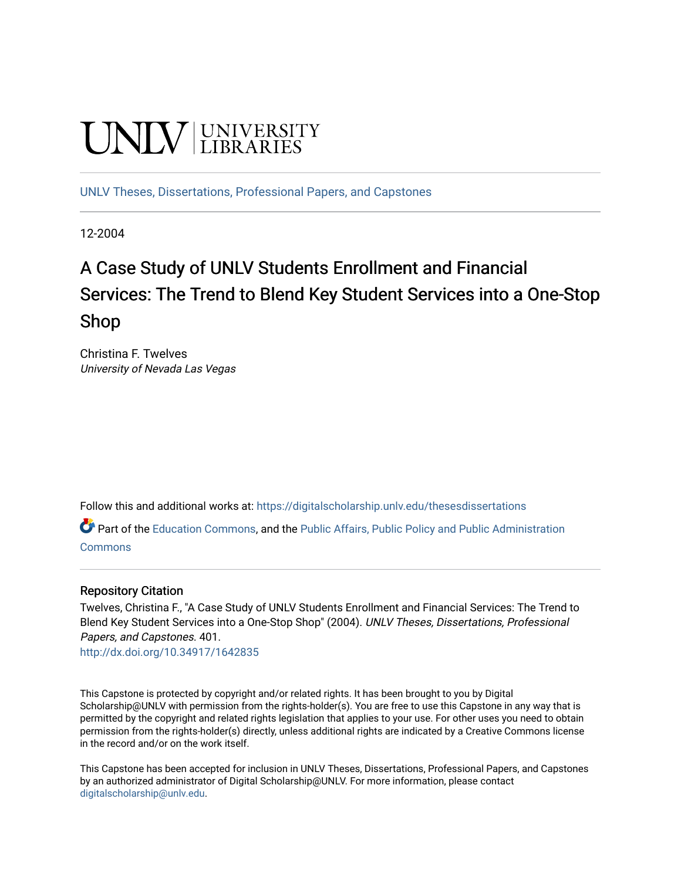# **UNIVERSITY**

[UNLV Theses, Dissertations, Professional Papers, and Capstones](https://digitalscholarship.unlv.edu/thesesdissertations)

12-2004

# A Case Study of UNLV Students Enrollment and Financial Services: The Trend to Blend Key Student Services into a One-Stop Shop

Christina F. Twelves University of Nevada Las Vegas

Follow this and additional works at: [https://digitalscholarship.unlv.edu/thesesdissertations](https://digitalscholarship.unlv.edu/thesesdissertations?utm_source=digitalscholarship.unlv.edu%2Fthesesdissertations%2F401&utm_medium=PDF&utm_campaign=PDFCoverPages)

Part of the [Education Commons](http://network.bepress.com/hgg/discipline/784?utm_source=digitalscholarship.unlv.edu%2Fthesesdissertations%2F401&utm_medium=PDF&utm_campaign=PDFCoverPages), and the [Public Affairs, Public Policy and Public Administration](http://network.bepress.com/hgg/discipline/393?utm_source=digitalscholarship.unlv.edu%2Fthesesdissertations%2F401&utm_medium=PDF&utm_campaign=PDFCoverPages) [Commons](http://network.bepress.com/hgg/discipline/393?utm_source=digitalscholarship.unlv.edu%2Fthesesdissertations%2F401&utm_medium=PDF&utm_campaign=PDFCoverPages)

#### Repository Citation

Twelves, Christina F., "A Case Study of UNLV Students Enrollment and Financial Services: The Trend to Blend Key Student Services into a One-Stop Shop" (2004). UNLV Theses, Dissertations, Professional Papers, and Capstones. 401.

<http://dx.doi.org/10.34917/1642835>

This Capstone is protected by copyright and/or related rights. It has been brought to you by Digital Scholarship@UNLV with permission from the rights-holder(s). You are free to use this Capstone in any way that is permitted by the copyright and related rights legislation that applies to your use. For other uses you need to obtain permission from the rights-holder(s) directly, unless additional rights are indicated by a Creative Commons license in the record and/or on the work itself.

This Capstone has been accepted for inclusion in UNLV Theses, Dissertations, Professional Papers, and Capstones by an authorized administrator of Digital Scholarship@UNLV. For more information, please contact [digitalscholarship@unlv.edu](mailto:digitalscholarship@unlv.edu).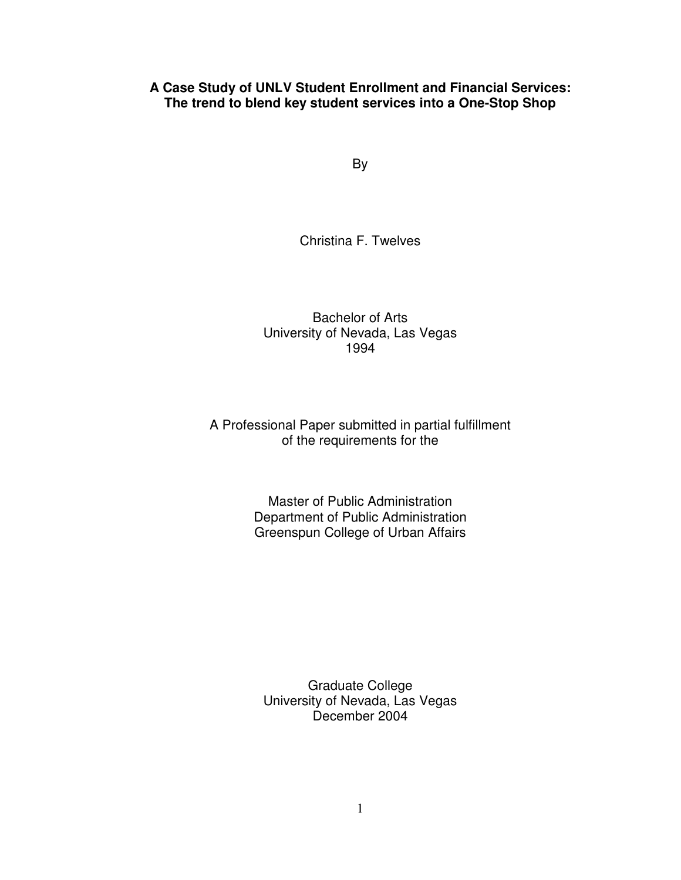## **A Case Study of UNLV Student Enrollment and Financial Services: The trend to blend key student services into a One-Stop Shop**

By

Christina F. Twelves

Bachelor of Arts University of Nevada, Las Vegas 1994

# A Professional Paper submitted in partial fulfillment of the requirements for the

Master of Public Administration Department of Public Administration Greenspun College of Urban Affairs

Graduate College University of Nevada, Las Vegas December 2004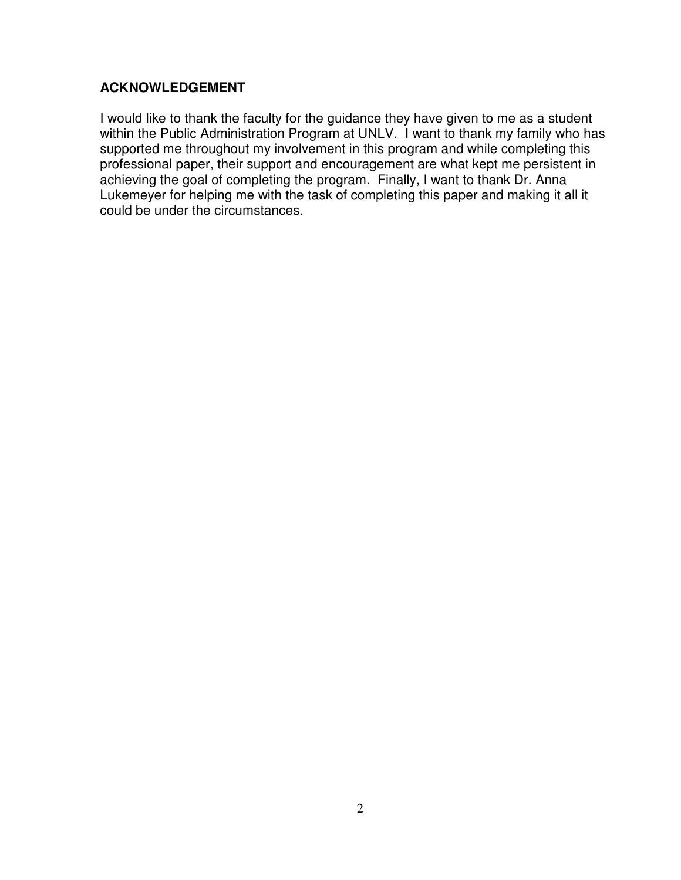# **ACKNOWLEDGEMENT**

I would like to thank the faculty for the guidance they have given to me as a student within the Public Administration Program at UNLV. I want to thank my family who has supported me throughout my involvement in this program and while completing this professional paper, their support and encouragement are what kept me persistent in achieving the goal of completing the program. Finally, I want to thank Dr. Anna Lukemeyer for helping me with the task of completing this paper and making it all it could be under the circumstances.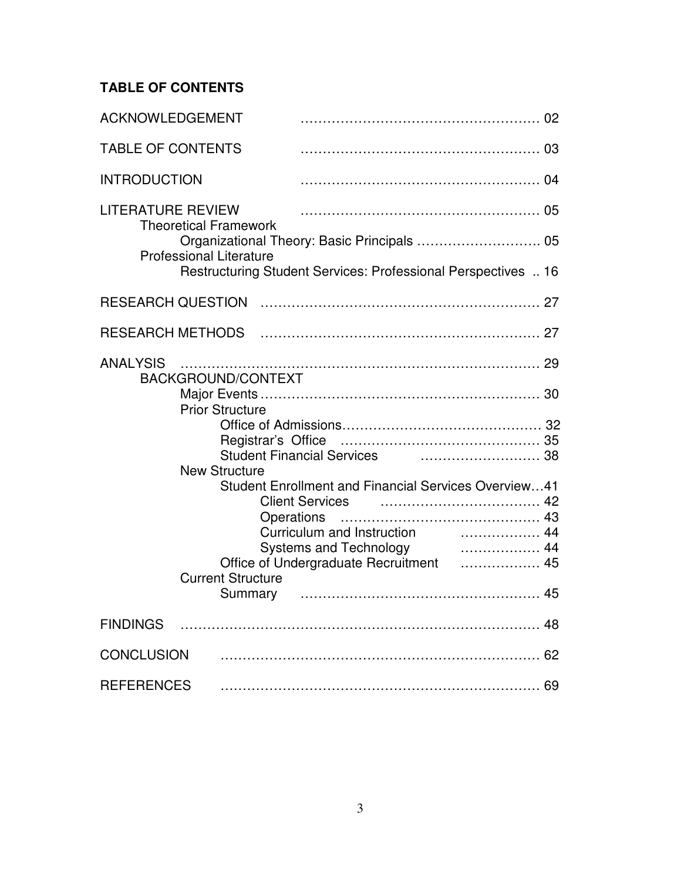# **TABLE OF CONTENTS**

| ACKNOWLEDGEMENT                                                                                                                                                                                                                                                                                                                                                                                                                                          |
|----------------------------------------------------------------------------------------------------------------------------------------------------------------------------------------------------------------------------------------------------------------------------------------------------------------------------------------------------------------------------------------------------------------------------------------------------------|
| <b>TABLE OF CONTENTS</b>                                                                                                                                                                                                                                                                                                                                                                                                                                 |
| <b>INTRODUCTION</b>                                                                                                                                                                                                                                                                                                                                                                                                                                      |
| <b>LITERATURE REVIEW</b><br><b>Theoretical Framework</b><br>Organizational Theory: Basic Principals  05<br><b>Professional Literature</b><br>Restructuring Student Services: Professional Perspectives  16                                                                                                                                                                                                                                               |
|                                                                                                                                                                                                                                                                                                                                                                                                                                                          |
|                                                                                                                                                                                                                                                                                                                                                                                                                                                          |
| <b>ANALYSIS</b><br>BACKGROUND/CONTEXT<br><b>Prior Structure</b><br>Student Financial Services <b>Constructs</b> 38<br><b>New Structure</b><br><b>Student Enrollment and Financial Services Overview41</b><br>Client Services <b>contained</b> and the client services <b>42</b><br><b>Operations</b><br>Curriculum and Instruction <b>contains the Curriculum</b> and Instruction<br>Office of Undergraduate Recruitment  45<br><b>Current Structure</b> |
|                                                                                                                                                                                                                                                                                                                                                                                                                                                          |
| <b>CONCLUSION</b>                                                                                                                                                                                                                                                                                                                                                                                                                                        |
| <b>REFERENCES</b>                                                                                                                                                                                                                                                                                                                                                                                                                                        |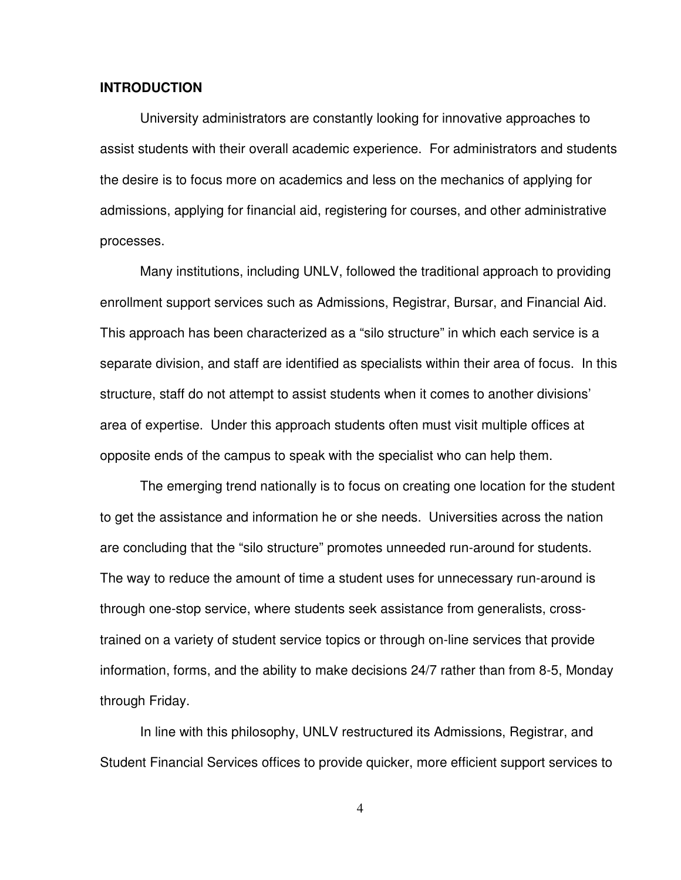#### **INTRODUCTION**

 University administrators are constantly looking for innovative approaches to assist students with their overall academic experience. For administrators and students the desire is to focus more on academics and less on the mechanics of applying for admissions, applying for financial aid, registering for courses, and other administrative processes.

 Many institutions, including UNLV, followed the traditional approach to providing enrollment support services such as Admissions, Registrar, Bursar, and Financial Aid. This approach has been characterized as a "silo structure" in which each service is a separate division, and staff are identified as specialists within their area of focus. In this structure, staff do not attempt to assist students when it comes to another divisions' area of expertise. Under this approach students often must visit multiple offices at opposite ends of the campus to speak with the specialist who can help them.

 The emerging trend nationally is to focus on creating one location for the student to get the assistance and information he or she needs. Universities across the nation are concluding that the "silo structure" promotes unneeded run-around for students. The way to reduce the amount of time a student uses for unnecessary run-around is through one-stop service, where students seek assistance from generalists, crosstrained on a variety of student service topics or through on-line services that provide information, forms, and the ability to make decisions 24/7 rather than from 8-5, Monday through Friday.

In line with this philosophy, UNLV restructured its Admissions, Registrar, and Student Financial Services offices to provide quicker, more efficient support services to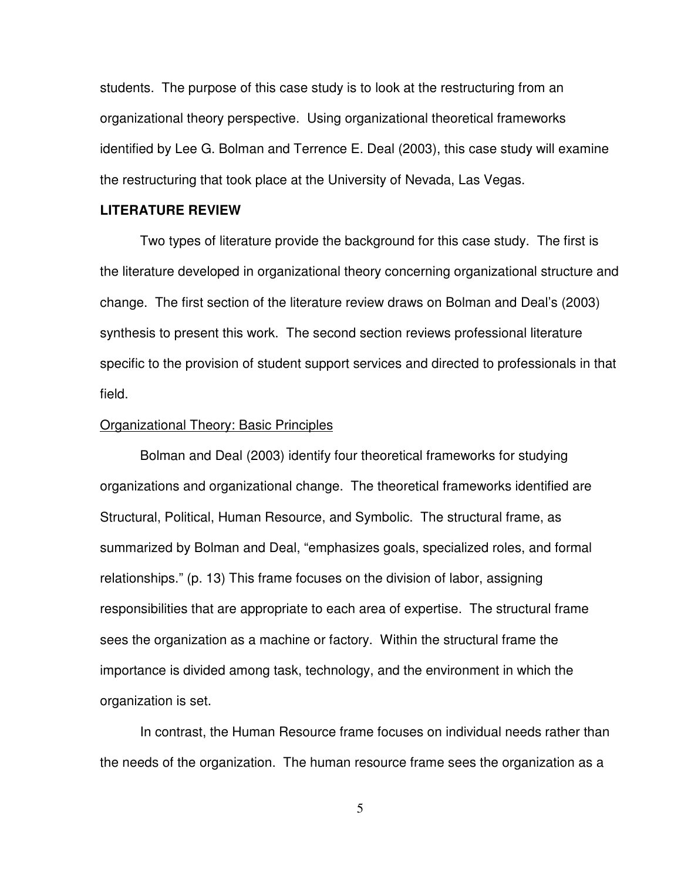students. The purpose of this case study is to look at the restructuring from an organizational theory perspective. Using organizational theoretical frameworks identified by Lee G. Bolman and Terrence E. Deal (2003), this case study will examine the restructuring that took place at the University of Nevada, Las Vegas.

#### **LITERATURE REVIEW**

 Two types of literature provide the background for this case study. The first is the literature developed in organizational theory concerning organizational structure and change. The first section of the literature review draws on Bolman and Deal's (2003) synthesis to present this work. The second section reviews professional literature specific to the provision of student support services and directed to professionals in that field.

#### Organizational Theory: Basic Principles

 Bolman and Deal (2003) identify four theoretical frameworks for studying organizations and organizational change. The theoretical frameworks identified are Structural, Political, Human Resource, and Symbolic. The structural frame, as summarized by Bolman and Deal, "emphasizes goals, specialized roles, and formal relationships." (p. 13) This frame focuses on the division of labor, assigning responsibilities that are appropriate to each area of expertise. The structural frame sees the organization as a machine or factory. Within the structural frame the importance is divided among task, technology, and the environment in which the organization is set.

 In contrast, the Human Resource frame focuses on individual needs rather than the needs of the organization. The human resource frame sees the organization as a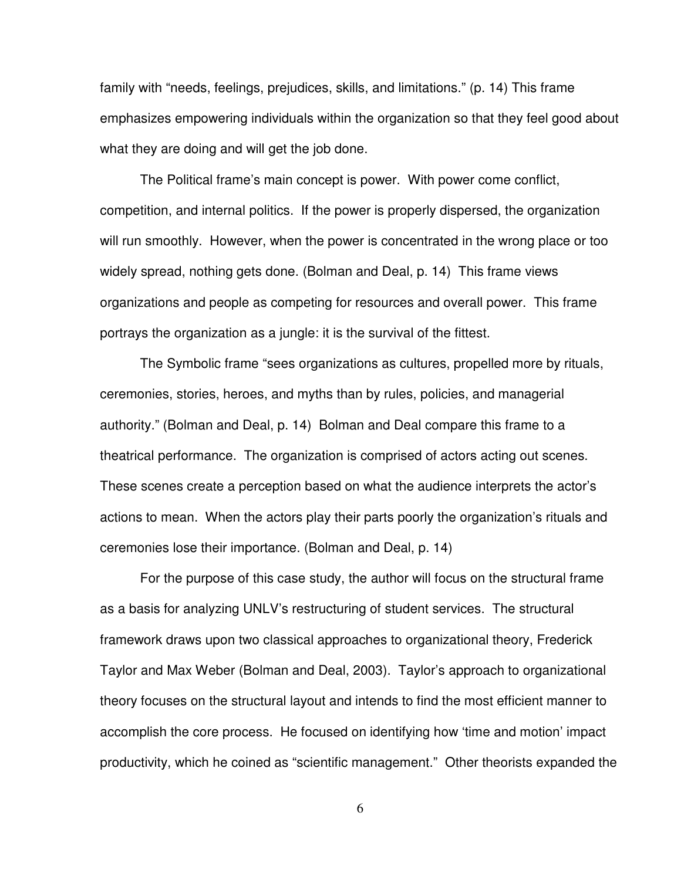family with "needs, feelings, prejudices, skills, and limitations." (p. 14) This frame emphasizes empowering individuals within the organization so that they feel good about what they are doing and will get the job done.

 The Political frame's main concept is power. With power come conflict, competition, and internal politics. If the power is properly dispersed, the organization will run smoothly. However, when the power is concentrated in the wrong place or too widely spread, nothing gets done. (Bolman and Deal, p. 14) This frame views organizations and people as competing for resources and overall power. This frame portrays the organization as a jungle: it is the survival of the fittest.

 The Symbolic frame "sees organizations as cultures, propelled more by rituals, ceremonies, stories, heroes, and myths than by rules, policies, and managerial authority." (Bolman and Deal, p. 14) Bolman and Deal compare this frame to a theatrical performance. The organization is comprised of actors acting out scenes. These scenes create a perception based on what the audience interprets the actor's actions to mean. When the actors play their parts poorly the organization's rituals and ceremonies lose their importance. (Bolman and Deal, p. 14)

For the purpose of this case study, the author will focus on the structural frame as a basis for analyzing UNLV's restructuring of student services. The structural framework draws upon two classical approaches to organizational theory, Frederick Taylor and Max Weber (Bolman and Deal, 2003). Taylor's approach to organizational theory focuses on the structural layout and intends to find the most efficient manner to accomplish the core process. He focused on identifying how 'time and motion' impact productivity, which he coined as "scientific management." Other theorists expanded the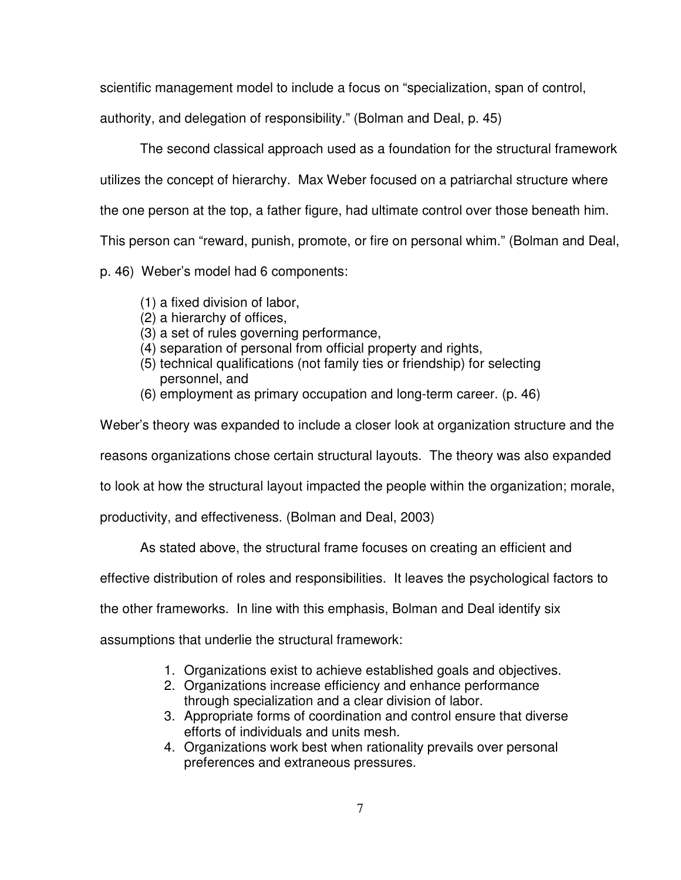scientific management model to include a focus on "specialization, span of control,

authority, and delegation of responsibility." (Bolman and Deal, p. 45)

The second classical approach used as a foundation for the structural framework

utilizes the concept of hierarchy. Max Weber focused on a patriarchal structure where

the one person at the top, a father figure, had ultimate control over those beneath him.

This person can "reward, punish, promote, or fire on personal whim." (Bolman and Deal,

p. 46) Weber's model had 6 components:

- (1) a fixed division of labor,
- (2) a hierarchy of offices,
- (3) a set of rules governing performance,
- (4) separation of personal from official property and rights,
- (5) technical qualifications (not family ties or friendship) for selecting personnel, and
- (6) employment as primary occupation and long-term career. (p. 46)

Weber's theory was expanded to include a closer look at organization structure and the

reasons organizations chose certain structural layouts. The theory was also expanded

to look at how the structural layout impacted the people within the organization; morale,

productivity, and effectiveness. (Bolman and Deal, 2003)

As stated above, the structural frame focuses on creating an efficient and

effective distribution of roles and responsibilities. It leaves the psychological factors to

the other frameworks. In line with this emphasis, Bolman and Deal identify six

assumptions that underlie the structural framework:

- 1. Organizations exist to achieve established goals and objectives.
- 2. Organizations increase efficiency and enhance performance through specialization and a clear division of labor.
- 3. Appropriate forms of coordination and control ensure that diverse efforts of individuals and units mesh.
- 4. Organizations work best when rationality prevails over personal preferences and extraneous pressures.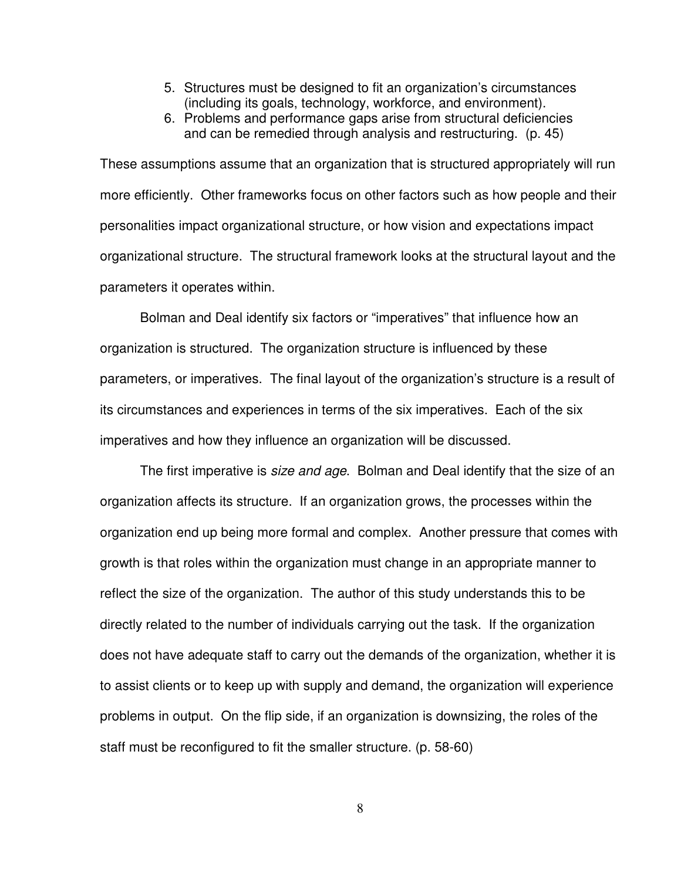- 5. Structures must be designed to fit an organization's circumstances (including its goals, technology, workforce, and environment).
- 6. Problems and performance gaps arise from structural deficiencies and can be remedied through analysis and restructuring. (p. 45)

These assumptions assume that an organization that is structured appropriately will run more efficiently. Other frameworks focus on other factors such as how people and their personalities impact organizational structure, or how vision and expectations impact organizational structure. The structural framework looks at the structural layout and the parameters it operates within.

 Bolman and Deal identify six factors or "imperatives" that influence how an organization is structured. The organization structure is influenced by these parameters, or imperatives. The final layout of the organization's structure is a result of its circumstances and experiences in terms of the six imperatives. Each of the six imperatives and how they influence an organization will be discussed.

The first imperative is *size and age*. Bolman and Deal identify that the size of an organization affects its structure. If an organization grows, the processes within the organization end up being more formal and complex. Another pressure that comes with growth is that roles within the organization must change in an appropriate manner to reflect the size of the organization. The author of this study understands this to be directly related to the number of individuals carrying out the task. If the organization does not have adequate staff to carry out the demands of the organization, whether it is to assist clients or to keep up with supply and demand, the organization will experience problems in output. On the flip side, if an organization is downsizing, the roles of the staff must be reconfigured to fit the smaller structure. (p. 58-60)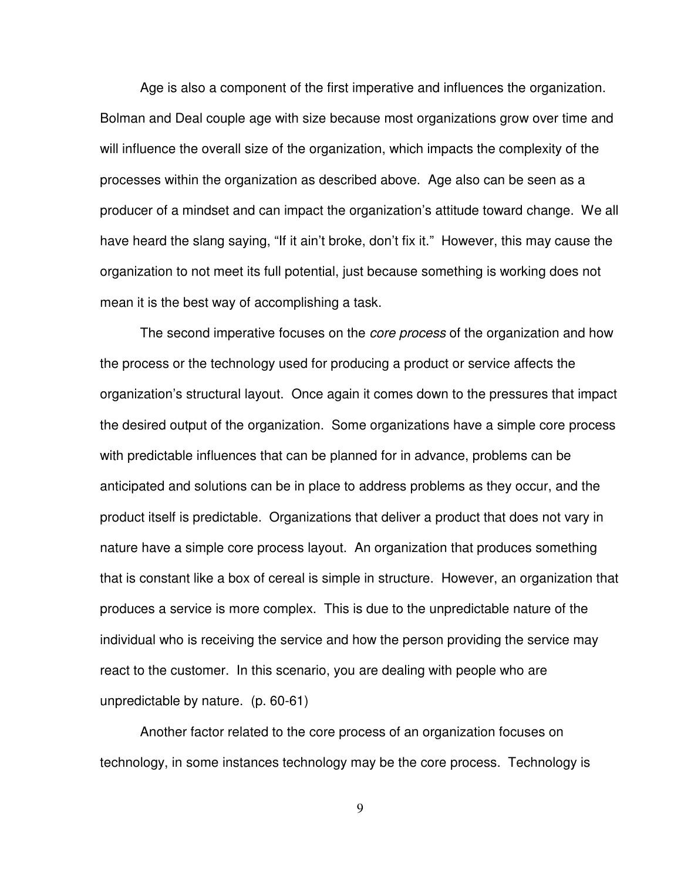Age is also a component of the first imperative and influences the organization. Bolman and Deal couple age with size because most organizations grow over time and will influence the overall size of the organization, which impacts the complexity of the processes within the organization as described above. Age also can be seen as a producer of a mindset and can impact the organization's attitude toward change. We all have heard the slang saying, "If it ain't broke, don't fix it." However, this may cause the organization to not meet its full potential, just because something is working does not mean it is the best way of accomplishing a task.

The second imperative focuses on the *core process* of the organization and how the process or the technology used for producing a product or service affects the organization's structural layout. Once again it comes down to the pressures that impact the desired output of the organization. Some organizations have a simple core process with predictable influences that can be planned for in advance, problems can be anticipated and solutions can be in place to address problems as they occur, and the product itself is predictable. Organizations that deliver a product that does not vary in nature have a simple core process layout. An organization that produces something that is constant like a box of cereal is simple in structure. However, an organization that produces a service is more complex. This is due to the unpredictable nature of the individual who is receiving the service and how the person providing the service may react to the customer. In this scenario, you are dealing with people who are unpredictable by nature. (p. 60-61)

 Another factor related to the core process of an organization focuses on technology, in some instances technology may be the core process. Technology is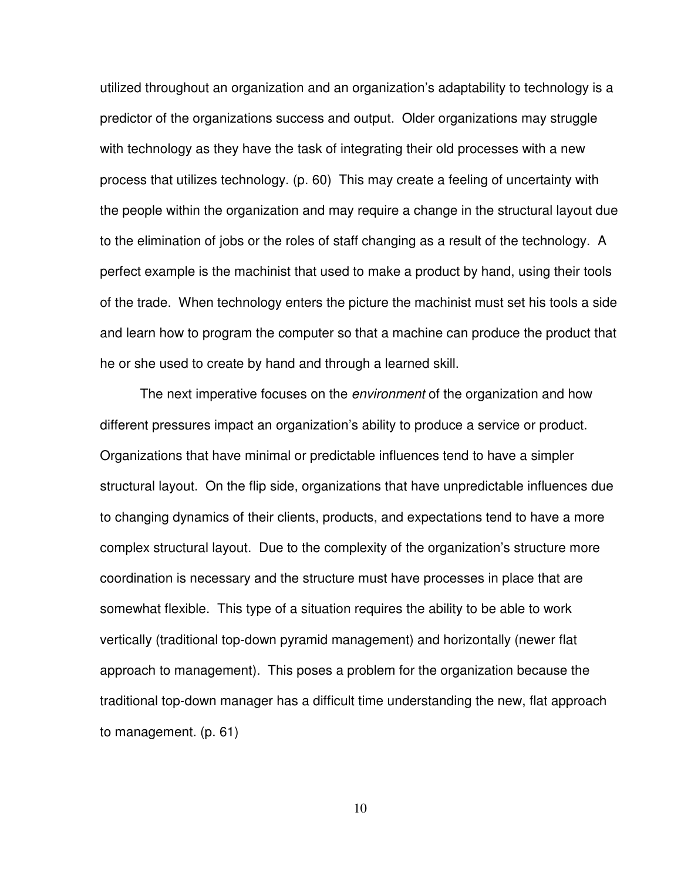utilized throughout an organization and an organization's adaptability to technology is a predictor of the organizations success and output. Older organizations may struggle with technology as they have the task of integrating their old processes with a new process that utilizes technology. (p. 60) This may create a feeling of uncertainty with the people within the organization and may require a change in the structural layout due to the elimination of jobs or the roles of staff changing as a result of the technology. A perfect example is the machinist that used to make a product by hand, using their tools of the trade. When technology enters the picture the machinist must set his tools a side and learn how to program the computer so that a machine can produce the product that he or she used to create by hand and through a learned skill.

The next imperative focuses on the *environment* of the organization and how different pressures impact an organization's ability to produce a service or product. Organizations that have minimal or predictable influences tend to have a simpler structural layout. On the flip side, organizations that have unpredictable influences due to changing dynamics of their clients, products, and expectations tend to have a more complex structural layout. Due to the complexity of the organization's structure more coordination is necessary and the structure must have processes in place that are somewhat flexible. This type of a situation requires the ability to be able to work vertically (traditional top-down pyramid management) and horizontally (newer flat approach to management). This poses a problem for the organization because the traditional top-down manager has a difficult time understanding the new, flat approach to management. (p. 61)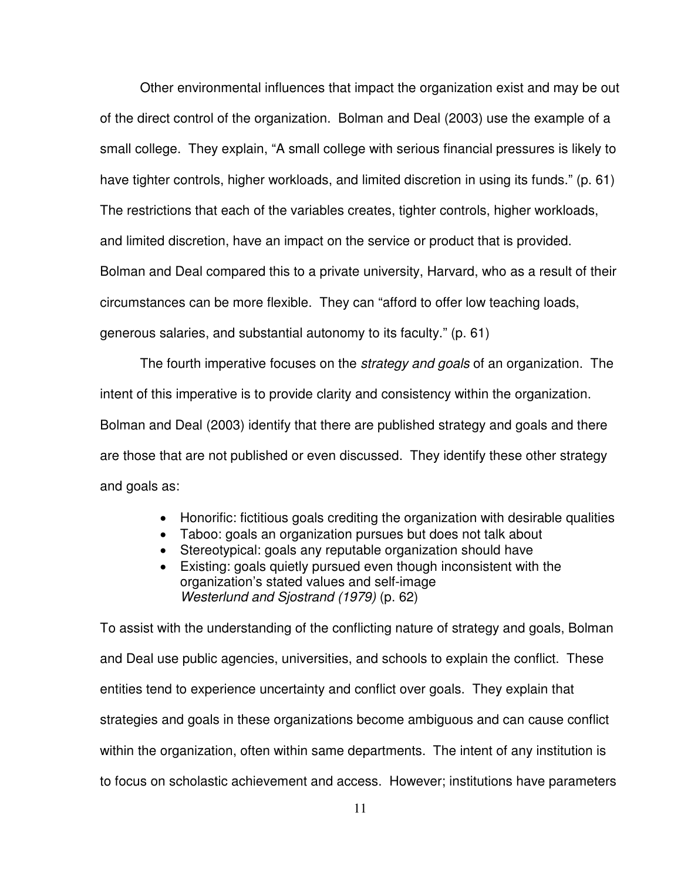Other environmental influences that impact the organization exist and may be out of the direct control of the organization. Bolman and Deal (2003) use the example of a small college. They explain, "A small college with serious financial pressures is likely to have tighter controls, higher workloads, and limited discretion in using its funds." (p. 61) The restrictions that each of the variables creates, tighter controls, higher workloads, and limited discretion, have an impact on the service or product that is provided. Bolman and Deal compared this to a private university, Harvard, who as a result of their circumstances can be more flexible. They can "afford to offer low teaching loads, generous salaries, and substantial autonomy to its faculty." (p. 61)

The fourth imperative focuses on the *strategy and goals* of an organization. The intent of this imperative is to provide clarity and consistency within the organization. Bolman and Deal (2003) identify that there are published strategy and goals and there are those that are not published or even discussed. They identify these other strategy and goals as:

- Honorific: fictitious goals crediting the organization with desirable qualities
- Taboo: goals an organization pursues but does not talk about
- Stereotypical: goals any reputable organization should have
- Existing: goals quietly pursued even though inconsistent with the organization's stated values and self-image Westerlund and Sjostrand (1979) (p. 62)

To assist with the understanding of the conflicting nature of strategy and goals, Bolman and Deal use public agencies, universities, and schools to explain the conflict. These entities tend to experience uncertainty and conflict over goals. They explain that strategies and goals in these organizations become ambiguous and can cause conflict within the organization, often within same departments. The intent of any institution is to focus on scholastic achievement and access. However; institutions have parameters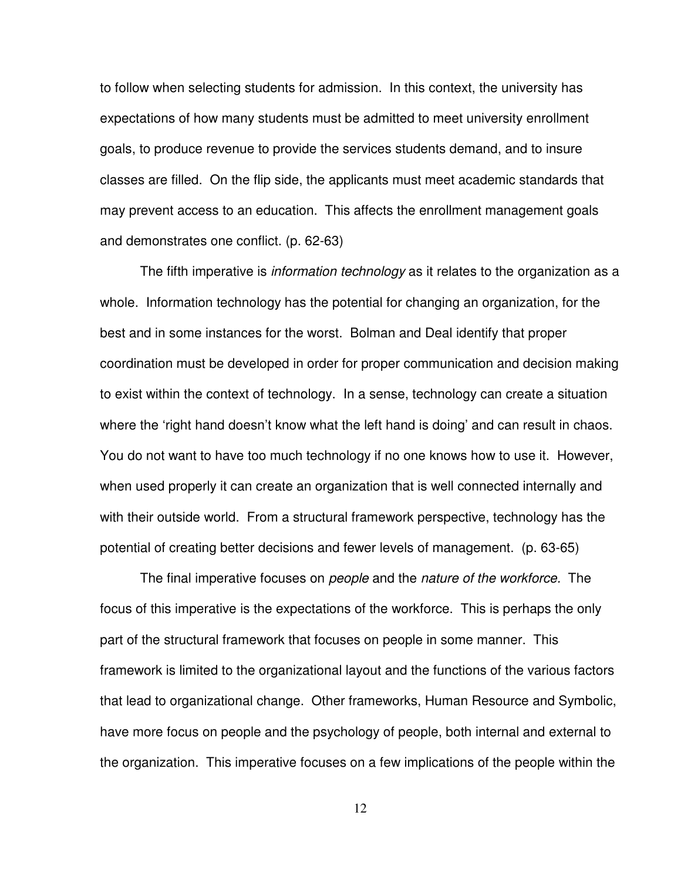to follow when selecting students for admission. In this context, the university has expectations of how many students must be admitted to meet university enrollment goals, to produce revenue to provide the services students demand, and to insure classes are filled. On the flip side, the applicants must meet academic standards that may prevent access to an education. This affects the enrollment management goals and demonstrates one conflict. (p. 62-63)

The fifth imperative is *information technology* as it relates to the organization as a whole. Information technology has the potential for changing an organization, for the best and in some instances for the worst. Bolman and Deal identify that proper coordination must be developed in order for proper communication and decision making to exist within the context of technology. In a sense, technology can create a situation where the 'right hand doesn't know what the left hand is doing' and can result in chaos. You do not want to have too much technology if no one knows how to use it. However, when used properly it can create an organization that is well connected internally and with their outside world. From a structural framework perspective, technology has the potential of creating better decisions and fewer levels of management. (p. 63-65)

The final imperative focuses on *people* and the nature of the workforce. The focus of this imperative is the expectations of the workforce. This is perhaps the only part of the structural framework that focuses on people in some manner. This framework is limited to the organizational layout and the functions of the various factors that lead to organizational change. Other frameworks, Human Resource and Symbolic, have more focus on people and the psychology of people, both internal and external to the organization. This imperative focuses on a few implications of the people within the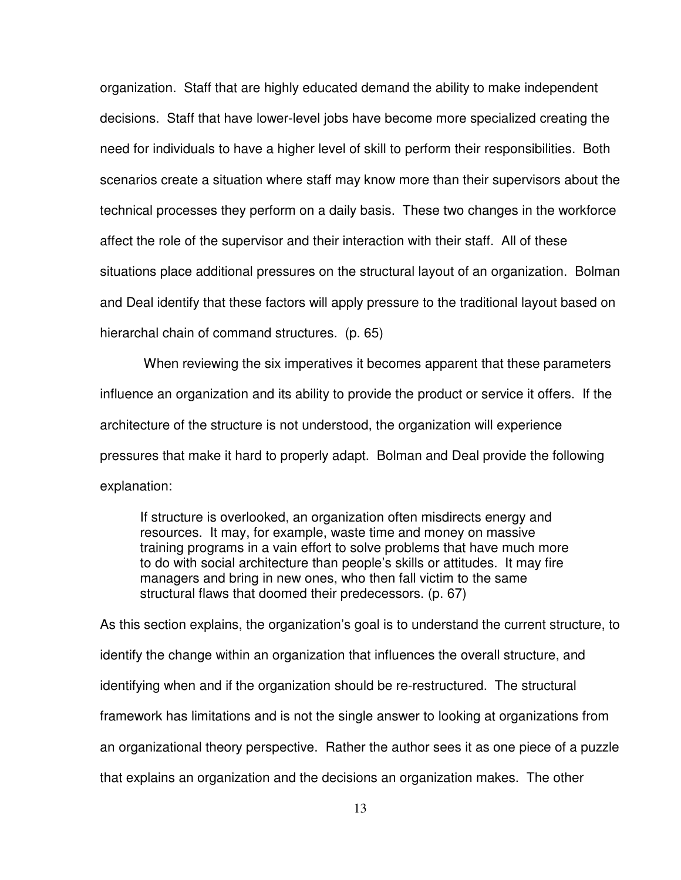organization. Staff that are highly educated demand the ability to make independent decisions. Staff that have lower-level jobs have become more specialized creating the need for individuals to have a higher level of skill to perform their responsibilities. Both scenarios create a situation where staff may know more than their supervisors about the technical processes they perform on a daily basis. These two changes in the workforce affect the role of the supervisor and their interaction with their staff. All of these situations place additional pressures on the structural layout of an organization. Bolman and Deal identify that these factors will apply pressure to the traditional layout based on hierarchal chain of command structures. (p. 65)

 When reviewing the six imperatives it becomes apparent that these parameters influence an organization and its ability to provide the product or service it offers. If the architecture of the structure is not understood, the organization will experience pressures that make it hard to properly adapt. Bolman and Deal provide the following explanation:

If structure is overlooked, an organization often misdirects energy and resources. It may, for example, waste time and money on massive training programs in a vain effort to solve problems that have much more to do with social architecture than people's skills or attitudes. It may fire managers and bring in new ones, who then fall victim to the same structural flaws that doomed their predecessors. (p. 67)

As this section explains, the organization's goal is to understand the current structure, to identify the change within an organization that influences the overall structure, and identifying when and if the organization should be re-restructured. The structural framework has limitations and is not the single answer to looking at organizations from an organizational theory perspective. Rather the author sees it as one piece of a puzzle that explains an organization and the decisions an organization makes. The other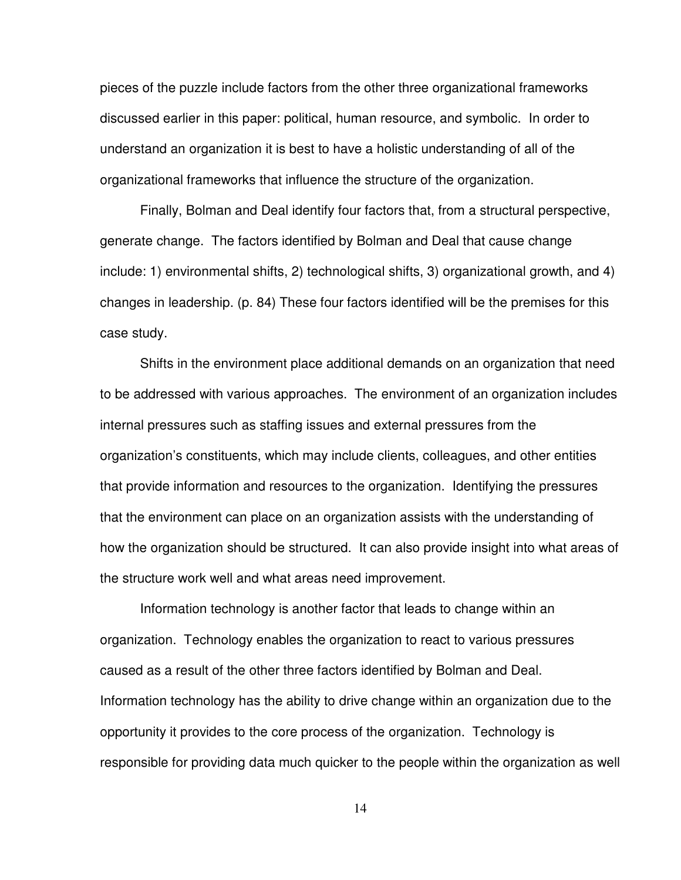pieces of the puzzle include factors from the other three organizational frameworks discussed earlier in this paper: political, human resource, and symbolic. In order to understand an organization it is best to have a holistic understanding of all of the organizational frameworks that influence the structure of the organization.

 Finally, Bolman and Deal identify four factors that, from a structural perspective, generate change. The factors identified by Bolman and Deal that cause change include: 1) environmental shifts, 2) technological shifts, 3) organizational growth, and 4) changes in leadership. (p. 84) These four factors identified will be the premises for this case study.

 Shifts in the environment place additional demands on an organization that need to be addressed with various approaches. The environment of an organization includes internal pressures such as staffing issues and external pressures from the organization's constituents, which may include clients, colleagues, and other entities that provide information and resources to the organization. Identifying the pressures that the environment can place on an organization assists with the understanding of how the organization should be structured. It can also provide insight into what areas of the structure work well and what areas need improvement.

 Information technology is another factor that leads to change within an organization. Technology enables the organization to react to various pressures caused as a result of the other three factors identified by Bolman and Deal. Information technology has the ability to drive change within an organization due to the opportunity it provides to the core process of the organization. Technology is responsible for providing data much quicker to the people within the organization as well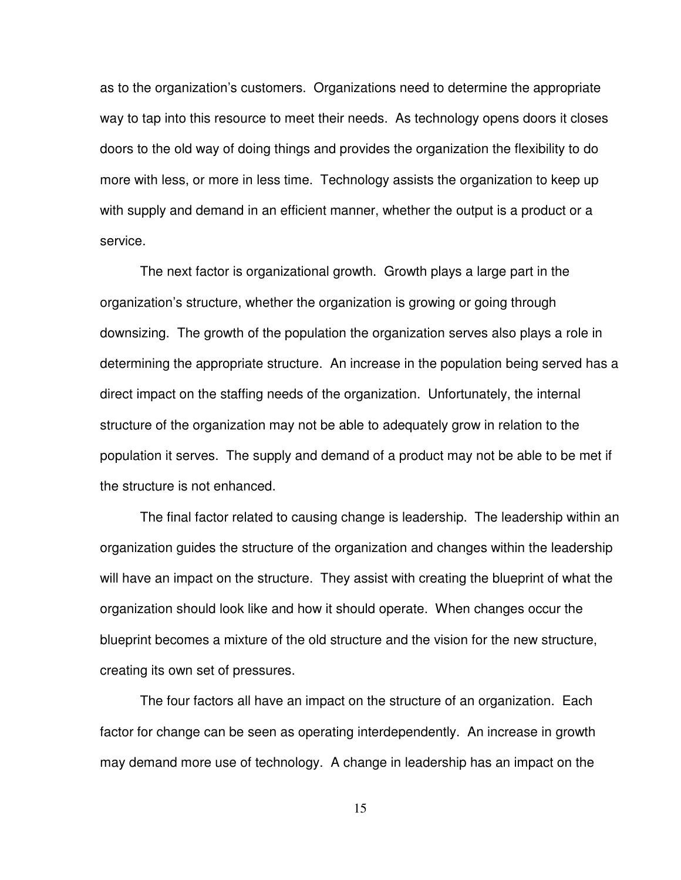as to the organization's customers. Organizations need to determine the appropriate way to tap into this resource to meet their needs. As technology opens doors it closes doors to the old way of doing things and provides the organization the flexibility to do more with less, or more in less time. Technology assists the organization to keep up with supply and demand in an efficient manner, whether the output is a product or a service.

 The next factor is organizational growth. Growth plays a large part in the organization's structure, whether the organization is growing or going through downsizing. The growth of the population the organization serves also plays a role in determining the appropriate structure. An increase in the population being served has a direct impact on the staffing needs of the organization. Unfortunately, the internal structure of the organization may not be able to adequately grow in relation to the population it serves. The supply and demand of a product may not be able to be met if the structure is not enhanced.

 The final factor related to causing change is leadership. The leadership within an organization guides the structure of the organization and changes within the leadership will have an impact on the structure. They assist with creating the blueprint of what the organization should look like and how it should operate. When changes occur the blueprint becomes a mixture of the old structure and the vision for the new structure, creating its own set of pressures.

 The four factors all have an impact on the structure of an organization. Each factor for change can be seen as operating interdependently. An increase in growth may demand more use of technology. A change in leadership has an impact on the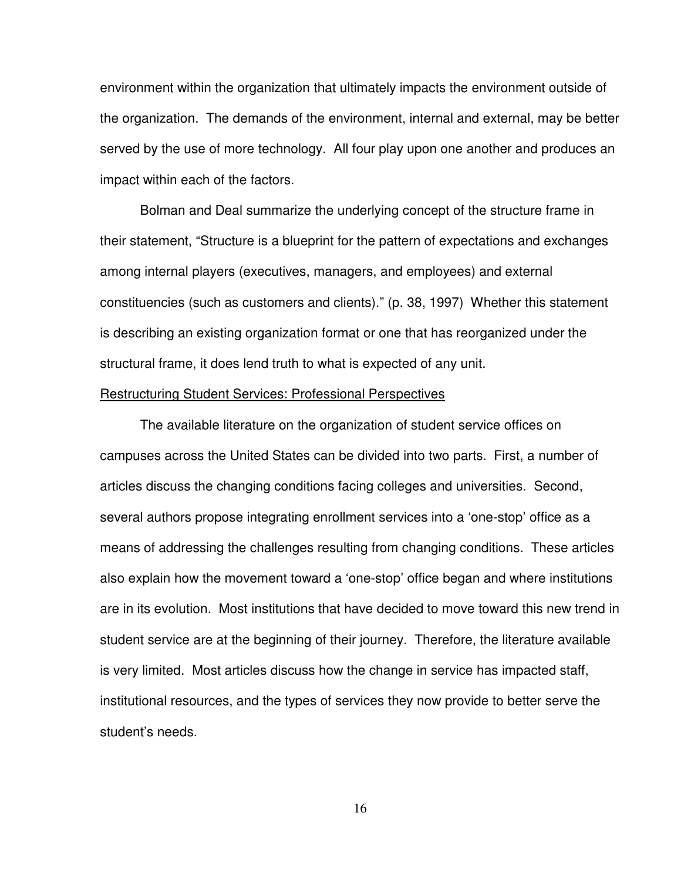environment within the organization that ultimately impacts the environment outside of the organization. The demands of the environment, internal and external, may be better served by the use of more technology. All four play upon one another and produces an impact within each of the factors.

 Bolman and Deal summarize the underlying concept of the structure frame in their statement, "Structure is a blueprint for the pattern of expectations and exchanges among internal players (executives, managers, and employees) and external constituencies (such as customers and clients)." (p. 38, 1997) Whether this statement is describing an existing organization format or one that has reorganized under the structural frame, it does lend truth to what is expected of any unit.

#### Restructuring Student Services: Professional Perspectives

The available literature on the organization of student service offices on campuses across the United States can be divided into two parts. First, a number of articles discuss the changing conditions facing colleges and universities. Second, several authors propose integrating enrollment services into a 'one-stop' office as a means of addressing the challenges resulting from changing conditions. These articles also explain how the movement toward a 'one-stop' office began and where institutions are in its evolution. Most institutions that have decided to move toward this new trend in student service are at the beginning of their journey. Therefore, the literature available is very limited. Most articles discuss how the change in service has impacted staff, institutional resources, and the types of services they now provide to better serve the student's needs.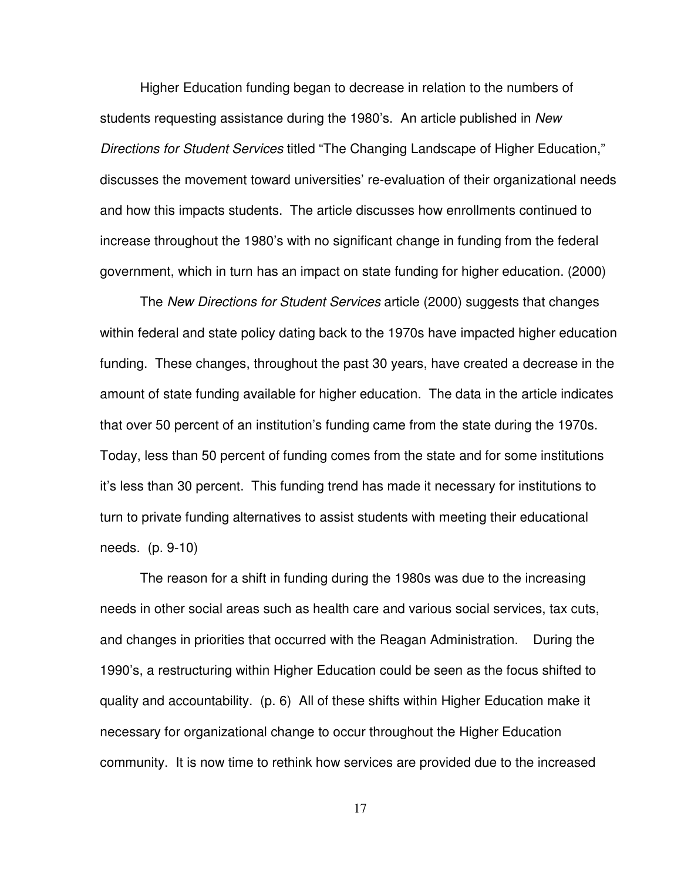Higher Education funding began to decrease in relation to the numbers of students requesting assistance during the 1980's. An article published in New Directions for Student Services titled "The Changing Landscape of Higher Education," discusses the movement toward universities' re-evaluation of their organizational needs and how this impacts students. The article discusses how enrollments continued to increase throughout the 1980's with no significant change in funding from the federal government, which in turn has an impact on state funding for higher education. (2000)

 The New Directions for Student Services article (2000) suggests that changes within federal and state policy dating back to the 1970s have impacted higher education funding. These changes, throughout the past 30 years, have created a decrease in the amount of state funding available for higher education. The data in the article indicates that over 50 percent of an institution's funding came from the state during the 1970s. Today, less than 50 percent of funding comes from the state and for some institutions it's less than 30 percent. This funding trend has made it necessary for institutions to turn to private funding alternatives to assist students with meeting their educational needs. (p. 9-10)

 The reason for a shift in funding during the 1980s was due to the increasing needs in other social areas such as health care and various social services, tax cuts, and changes in priorities that occurred with the Reagan Administration. During the 1990's, a restructuring within Higher Education could be seen as the focus shifted to quality and accountability. (p. 6) All of these shifts within Higher Education make it necessary for organizational change to occur throughout the Higher Education community. It is now time to rethink how services are provided due to the increased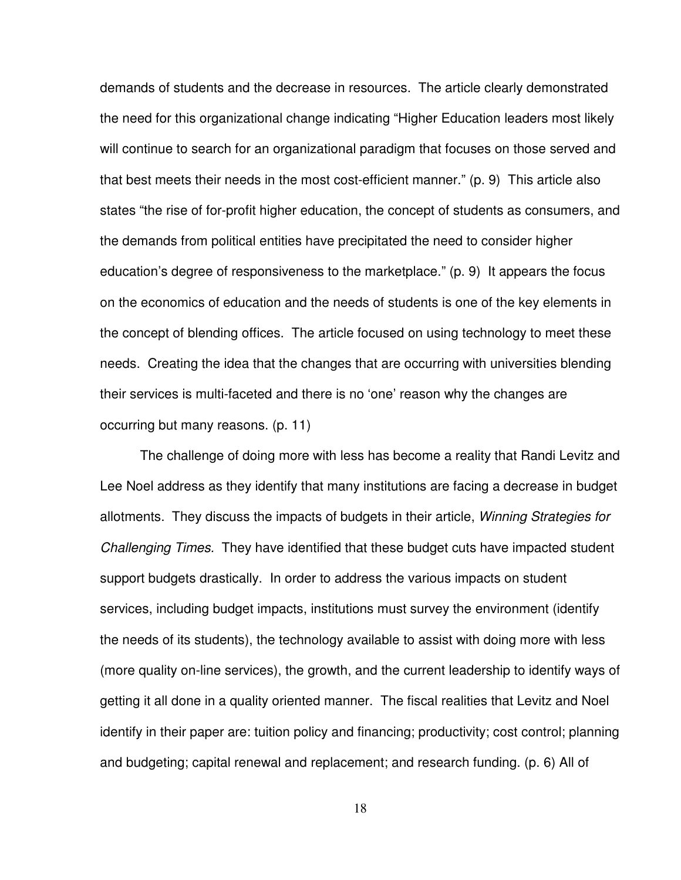demands of students and the decrease in resources. The article clearly demonstrated the need for this organizational change indicating "Higher Education leaders most likely will continue to search for an organizational paradigm that focuses on those served and that best meets their needs in the most cost-efficient manner." (p. 9) This article also states "the rise of for-profit higher education, the concept of students as consumers, and the demands from political entities have precipitated the need to consider higher education's degree of responsiveness to the marketplace." (p. 9) It appears the focus on the economics of education and the needs of students is one of the key elements in the concept of blending offices. The article focused on using technology to meet these needs. Creating the idea that the changes that are occurring with universities blending their services is multi-faceted and there is no 'one' reason why the changes are occurring but many reasons. (p. 11)

 The challenge of doing more with less has become a reality that Randi Levitz and Lee Noel address as they identify that many institutions are facing a decrease in budget allotments. They discuss the impacts of budgets in their article, Winning Strategies for Challenging Times. They have identified that these budget cuts have impacted student support budgets drastically. In order to address the various impacts on student services, including budget impacts, institutions must survey the environment (identify the needs of its students), the technology available to assist with doing more with less (more quality on-line services), the growth, and the current leadership to identify ways of getting it all done in a quality oriented manner. The fiscal realities that Levitz and Noel identify in their paper are: tuition policy and financing; productivity; cost control; planning and budgeting; capital renewal and replacement; and research funding. (p. 6) All of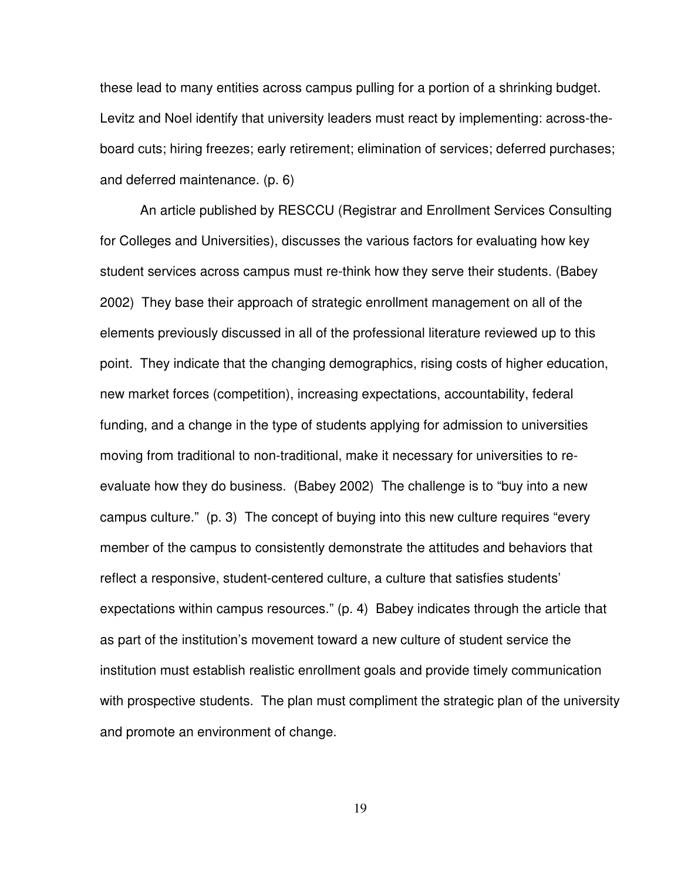these lead to many entities across campus pulling for a portion of a shrinking budget. Levitz and Noel identify that university leaders must react by implementing: across-theboard cuts; hiring freezes; early retirement; elimination of services; deferred purchases; and deferred maintenance. (p. 6)

 An article published by RESCCU (Registrar and Enrollment Services Consulting for Colleges and Universities), discusses the various factors for evaluating how key student services across campus must re-think how they serve their students. (Babey 2002) They base their approach of strategic enrollment management on all of the elements previously discussed in all of the professional literature reviewed up to this point. They indicate that the changing demographics, rising costs of higher education, new market forces (competition), increasing expectations, accountability, federal funding, and a change in the type of students applying for admission to universities moving from traditional to non-traditional, make it necessary for universities to reevaluate how they do business. (Babey 2002) The challenge is to "buy into a new campus culture." (p. 3) The concept of buying into this new culture requires "every member of the campus to consistently demonstrate the attitudes and behaviors that reflect a responsive, student-centered culture, a culture that satisfies students' expectations within campus resources." (p. 4) Babey indicates through the article that as part of the institution's movement toward a new culture of student service the institution must establish realistic enrollment goals and provide timely communication with prospective students. The plan must compliment the strategic plan of the university and promote an environment of change.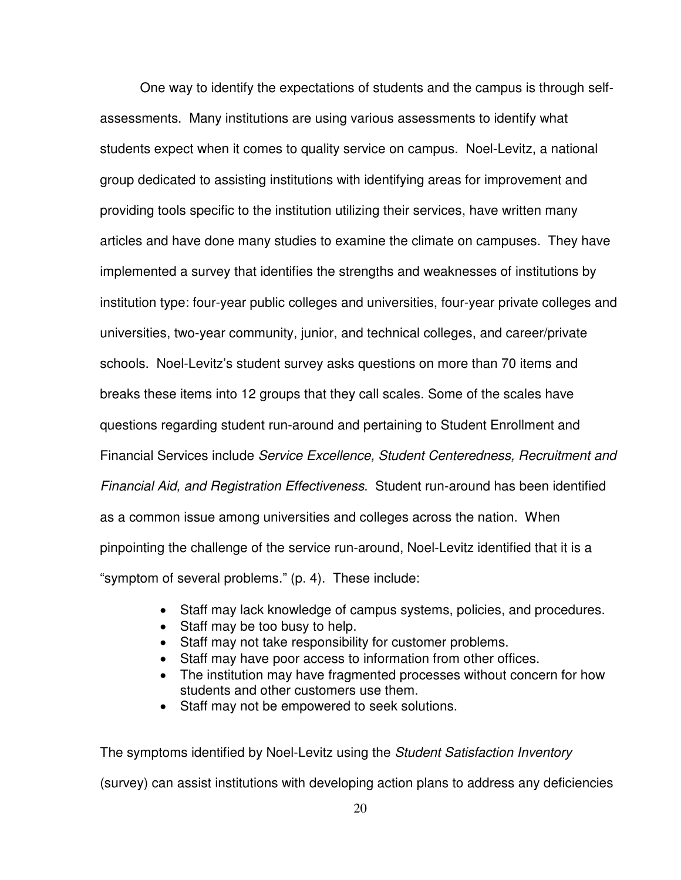One way to identify the expectations of students and the campus is through selfassessments. Many institutions are using various assessments to identify what students expect when it comes to quality service on campus. Noel-Levitz, a national group dedicated to assisting institutions with identifying areas for improvement and providing tools specific to the institution utilizing their services, have written many articles and have done many studies to examine the climate on campuses. They have implemented a survey that identifies the strengths and weaknesses of institutions by institution type: four-year public colleges and universities, four-year private colleges and universities, two-year community, junior, and technical colleges, and career/private schools. Noel-Levitz's student survey asks questions on more than 70 items and breaks these items into 12 groups that they call scales. Some of the scales have questions regarding student run-around and pertaining to Student Enrollment and Financial Services include Service Excellence, Student Centeredness, Recruitment and Financial Aid, and Registration Effectiveness. Student run-around has been identified as a common issue among universities and colleges across the nation. When pinpointing the challenge of the service run-around, Noel-Levitz identified that it is a "symptom of several problems." (p. 4). These include:

- Staff may lack knowledge of campus systems, policies, and procedures.
- Staff may be too busy to help.
- Staff may not take responsibility for customer problems.
- Staff may have poor access to information from other offices.
- The institution may have fragmented processes without concern for how students and other customers use them.
- Staff may not be empowered to seek solutions.

The symptoms identified by Noel-Levitz using the *Student Satisfaction Inventory* 

(survey) can assist institutions with developing action plans to address any deficiencies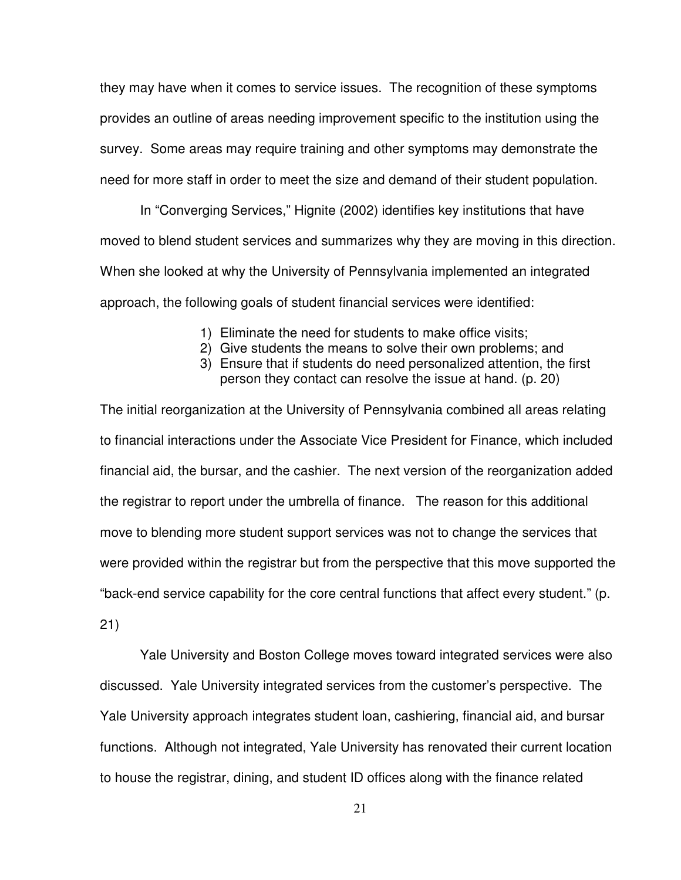they may have when it comes to service issues. The recognition of these symptoms provides an outline of areas needing improvement specific to the institution using the survey. Some areas may require training and other symptoms may demonstrate the need for more staff in order to meet the size and demand of their student population.

 In "Converging Services," Hignite (2002) identifies key institutions that have moved to blend student services and summarizes why they are moving in this direction. When she looked at why the University of Pennsylvania implemented an integrated approach, the following goals of student financial services were identified:

- 1) Eliminate the need for students to make office visits;
- 2) Give students the means to solve their own problems; and
- 3) Ensure that if students do need personalized attention, the first person they contact can resolve the issue at hand. (p. 20)

The initial reorganization at the University of Pennsylvania combined all areas relating to financial interactions under the Associate Vice President for Finance, which included financial aid, the bursar, and the cashier. The next version of the reorganization added the registrar to report under the umbrella of finance. The reason for this additional move to blending more student support services was not to change the services that were provided within the registrar but from the perspective that this move supported the "back-end service capability for the core central functions that affect every student." (p.

21)

 Yale University and Boston College moves toward integrated services were also discussed. Yale University integrated services from the customer's perspective. The Yale University approach integrates student loan, cashiering, financial aid, and bursar functions. Although not integrated, Yale University has renovated their current location to house the registrar, dining, and student ID offices along with the finance related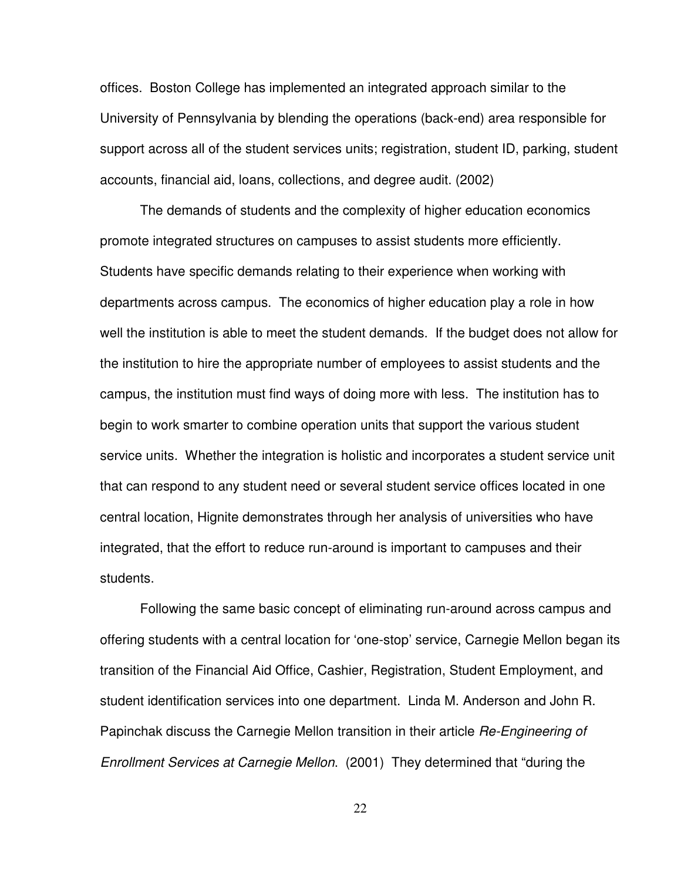offices. Boston College has implemented an integrated approach similar to the University of Pennsylvania by blending the operations (back-end) area responsible for support across all of the student services units; registration, student ID, parking, student accounts, financial aid, loans, collections, and degree audit. (2002)

 The demands of students and the complexity of higher education economics promote integrated structures on campuses to assist students more efficiently. Students have specific demands relating to their experience when working with departments across campus. The economics of higher education play a role in how well the institution is able to meet the student demands. If the budget does not allow for the institution to hire the appropriate number of employees to assist students and the campus, the institution must find ways of doing more with less. The institution has to begin to work smarter to combine operation units that support the various student service units. Whether the integration is holistic and incorporates a student service unit that can respond to any student need or several student service offices located in one central location, Hignite demonstrates through her analysis of universities who have integrated, that the effort to reduce run-around is important to campuses and their students.

 Following the same basic concept of eliminating run-around across campus and offering students with a central location for 'one-stop' service, Carnegie Mellon began its transition of the Financial Aid Office, Cashier, Registration, Student Employment, and student identification services into one department. Linda M. Anderson and John R. Papinchak discuss the Carnegie Mellon transition in their article Re-Engineering of Enrollment Services at Carnegie Mellon. (2001) They determined that "during the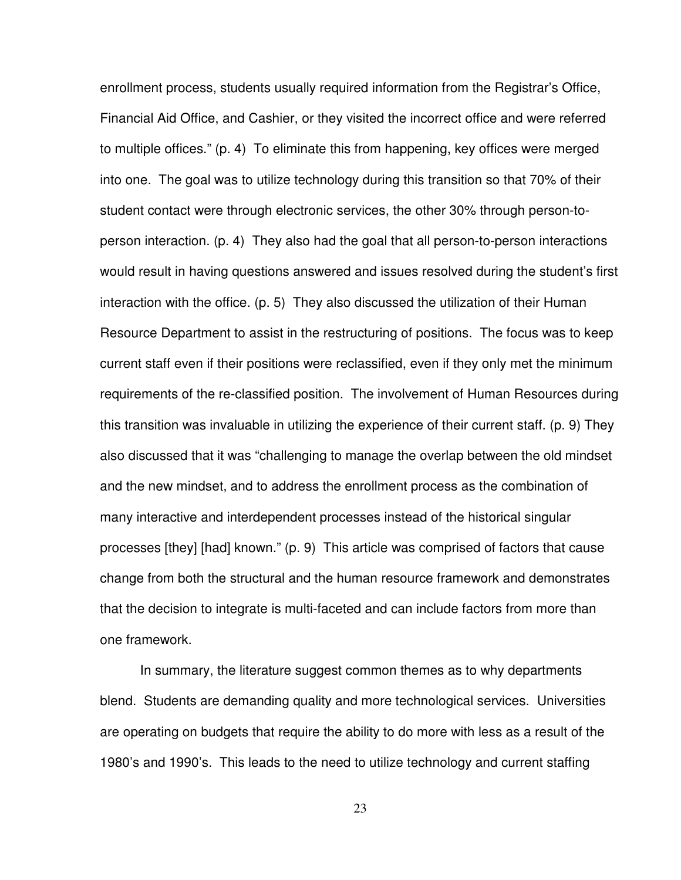enrollment process, students usually required information from the Registrar's Office, Financial Aid Office, and Cashier, or they visited the incorrect office and were referred to multiple offices." (p. 4) To eliminate this from happening, key offices were merged into one. The goal was to utilize technology during this transition so that 70% of their student contact were through electronic services, the other 30% through person-toperson interaction. (p. 4) They also had the goal that all person-to-person interactions would result in having questions answered and issues resolved during the student's first interaction with the office. (p. 5) They also discussed the utilization of their Human Resource Department to assist in the restructuring of positions. The focus was to keep current staff even if their positions were reclassified, even if they only met the minimum requirements of the re-classified position. The involvement of Human Resources during this transition was invaluable in utilizing the experience of their current staff. (p. 9) They also discussed that it was "challenging to manage the overlap between the old mindset and the new mindset, and to address the enrollment process as the combination of many interactive and interdependent processes instead of the historical singular processes [they] [had] known." (p. 9) This article was comprised of factors that cause change from both the structural and the human resource framework and demonstrates that the decision to integrate is multi-faceted and can include factors from more than one framework.

 In summary, the literature suggest common themes as to why departments blend. Students are demanding quality and more technological services. Universities are operating on budgets that require the ability to do more with less as a result of the 1980's and 1990's. This leads to the need to utilize technology and current staffing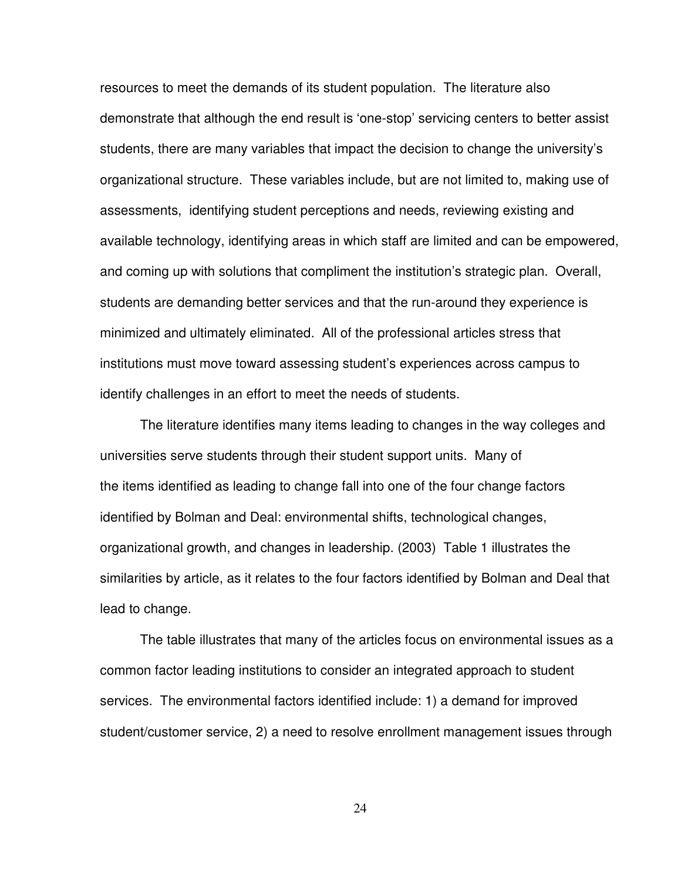resources to meet the demands of its student population. The literature also demonstrate that although the end result is 'one-stop' servicing centers to better assist students, there are many variables that impact the decision to change the university's organizational structure. These variables include, but are not limited to, making use of assessments, identifying student perceptions and needs, reviewing existing and available technology, identifying areas in which staff are limited and can be empowered, and coming up with solutions that compliment the institution's strategic plan. Overall, students are demanding better services and that the run-around they experience is minimized and ultimately eliminated. All of the professional articles stress that institutions must move toward assessing student's experiences across campus to identify challenges in an effort to meet the needs of students.

 The literature identifies many items leading to changes in the way colleges and universities serve students through their student support units. Many of the items identified as leading to change fall into one of the four change factors identified by Bolman and Deal: environmental shifts, technological changes, organizational growth, and changes in leadership. (2003) Table 1 illustrates the similarities by article, as it relates to the four factors identified by Bolman and Deal that lead to change.

 The table illustrates that many of the articles focus on environmental issues as a common factor leading institutions to consider an integrated approach to student services. The environmental factors identified include: 1) a demand for improved student/customer service, 2) a need to resolve enrollment management issues through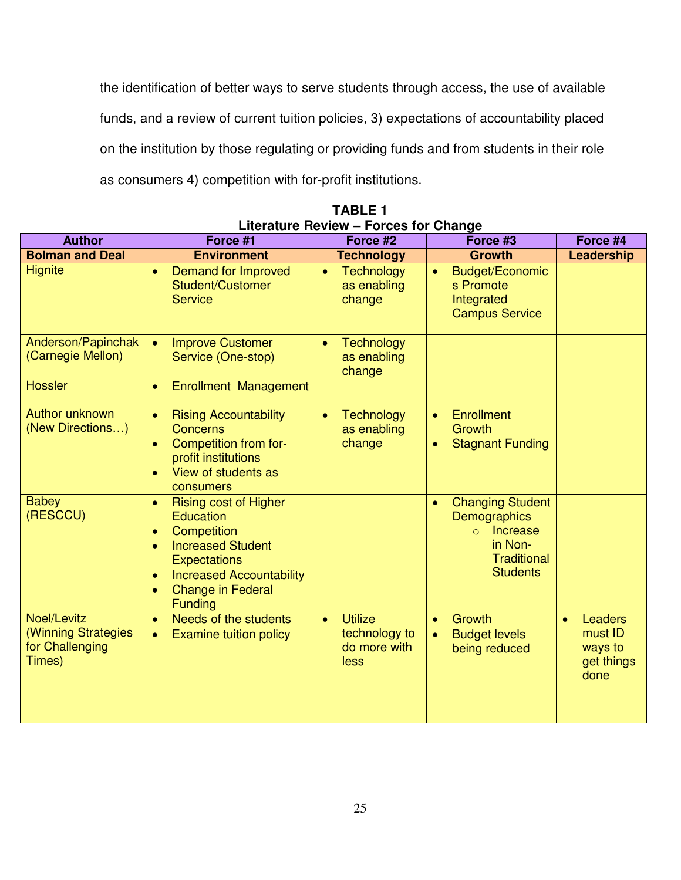the identification of better ways to serve students through access, the use of available funds, and a review of current tuition policies, 3) expectations of accountability placed on the institution by those regulating or providing funds and from students in their role as consumers 4) competition with for-profit institutions.

| <b>Author</b>                                                   | Force #1                                                                                                                                                                                                                                                             | Force #2<br>Force #3                                                 |                                                                                                                                         | Force #4                                                   |
|-----------------------------------------------------------------|----------------------------------------------------------------------------------------------------------------------------------------------------------------------------------------------------------------------------------------------------------------------|----------------------------------------------------------------------|-----------------------------------------------------------------------------------------------------------------------------------------|------------------------------------------------------------|
| <b>Bolman and Deal</b>                                          | <b>Environment</b>                                                                                                                                                                                                                                                   | <b>Technology</b>                                                    | <b>Growth</b>                                                                                                                           | Leadership                                                 |
| <b>Hignite</b>                                                  | <b>Demand for Improved</b><br>$\bullet$<br>Student/Customer<br><b>Service</b>                                                                                                                                                                                        | <b>Technology</b><br>$\bullet$<br>as enabling<br>change              | <b>Budget/Economic</b><br>$\bullet$<br>s Promote<br>Integrated<br><b>Campus Service</b>                                                 |                                                            |
| Anderson/Papinchak<br>(Carnegie Mellon)                         | <b>Improve Customer</b><br>$\bullet$<br>Service (One-stop)                                                                                                                                                                                                           | <b>Technology</b><br>$\bullet$<br>as enabling<br>change              |                                                                                                                                         |                                                            |
| <b>Hossler</b>                                                  | <b>Enrollment Management</b><br>$\bullet$                                                                                                                                                                                                                            |                                                                      |                                                                                                                                         |                                                            |
| Author unknown<br>(New Directions)                              | <b>Rising Accountability</b><br>$\bullet$<br><b>Concerns</b><br>Competition from for-<br>$\bullet$<br>profit institutions<br>View of students as<br>$\bullet$<br>consumers                                                                                           | <b>Technology</b><br>$\bullet$<br>as enabling<br>change              | Enrollment<br>$\bullet$<br>Growth<br><b>Stagnant Funding</b><br>$\bullet$                                                               |                                                            |
| <b>Babey</b><br>(RESCCU)                                        | <b>Rising cost of Higher</b><br>$\bullet$<br><b>Education</b><br>Competition<br>$\bullet$<br><b>Increased Student</b><br>$\bullet$<br><b>Expectations</b><br><b>Increased Accountability</b><br>$\bullet$<br><b>Change in Federal</b><br>$\bullet$<br><b>Funding</b> |                                                                      | <b>Changing Student</b><br>$\bullet$<br>Demographics<br><b>Increase</b><br>$\Omega$<br>in Non-<br><b>Traditional</b><br><b>Students</b> |                                                            |
| Noel/Levitz<br>(Winning Strategies<br>for Challenging<br>Times) | Needs of the students<br>$\bullet$<br><b>Examine tuition policy</b><br>$\bullet$                                                                                                                                                                                     | <b>Utilize</b><br>$\bullet$<br>technology to<br>do more with<br>less | Growth<br>$\bullet$<br><b>Budget levels</b><br>$\bullet$<br>being reduced                                                               | <b>Leaders</b><br>must ID<br>ways to<br>get things<br>done |

**TABLE 1 Literature Review – Forces for Change**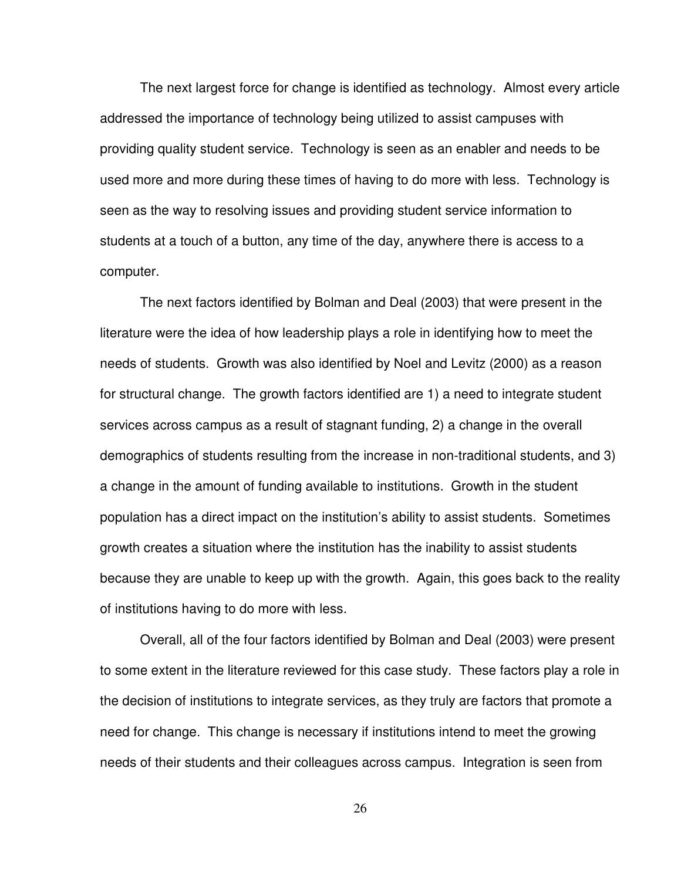The next largest force for change is identified as technology. Almost every article addressed the importance of technology being utilized to assist campuses with providing quality student service. Technology is seen as an enabler and needs to be used more and more during these times of having to do more with less. Technology is seen as the way to resolving issues and providing student service information to students at a touch of a button, any time of the day, anywhere there is access to a computer.

 The next factors identified by Bolman and Deal (2003) that were present in the literature were the idea of how leadership plays a role in identifying how to meet the needs of students. Growth was also identified by Noel and Levitz (2000) as a reason for structural change. The growth factors identified are 1) a need to integrate student services across campus as a result of stagnant funding, 2) a change in the overall demographics of students resulting from the increase in non-traditional students, and 3) a change in the amount of funding available to institutions. Growth in the student population has a direct impact on the institution's ability to assist students. Sometimes growth creates a situation where the institution has the inability to assist students because they are unable to keep up with the growth. Again, this goes back to the reality of institutions having to do more with less.

 Overall, all of the four factors identified by Bolman and Deal (2003) were present to some extent in the literature reviewed for this case study. These factors play a role in the decision of institutions to integrate services, as they truly are factors that promote a need for change. This change is necessary if institutions intend to meet the growing needs of their students and their colleagues across campus. Integration is seen from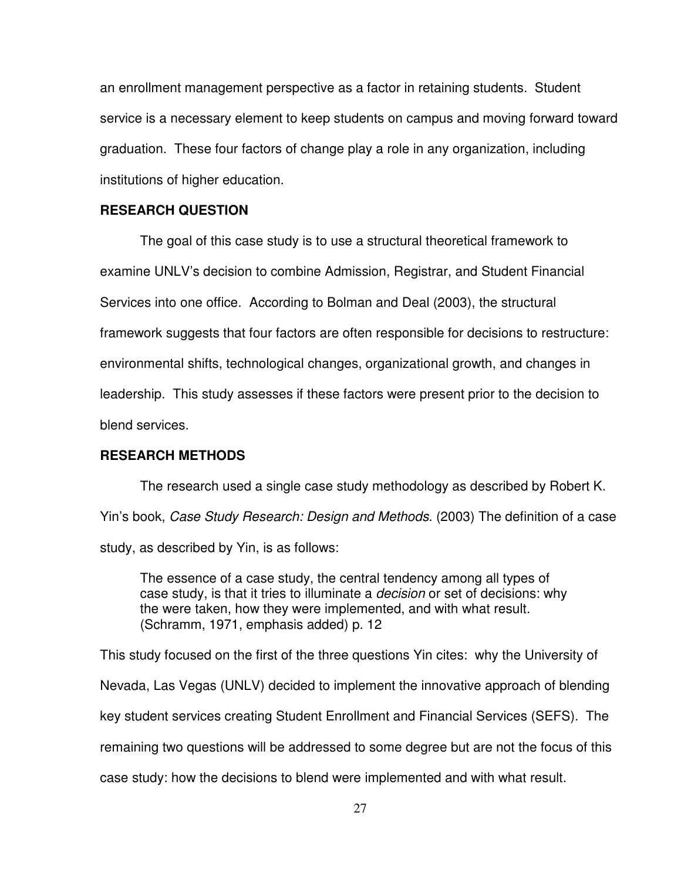an enrollment management perspective as a factor in retaining students. Student service is a necessary element to keep students on campus and moving forward toward graduation. These four factors of change play a role in any organization, including institutions of higher education.

#### **RESEARCH QUESTION**

 The goal of this case study is to use a structural theoretical framework to examine UNLV's decision to combine Admission, Registrar, and Student Financial Services into one office. According to Bolman and Deal (2003), the structural framework suggests that four factors are often responsible for decisions to restructure: environmental shifts, technological changes, organizational growth, and changes in leadership. This study assesses if these factors were present prior to the decision to blend services.

#### **RESEARCH METHODS**

 The research used a single case study methodology as described by Robert K. Yin's book, Case Study Research: Design and Methods. (2003) The definition of a case study, as described by Yin, is as follows:

The essence of a case study, the central tendency among all types of case study, is that it tries to illuminate a decision or set of decisions: why the were taken, how they were implemented, and with what result. (Schramm, 1971, emphasis added) p. 12

This study focused on the first of the three questions Yin cites: why the University of Nevada, Las Vegas (UNLV) decided to implement the innovative approach of blending key student services creating Student Enrollment and Financial Services (SEFS). The remaining two questions will be addressed to some degree but are not the focus of this case study: how the decisions to blend were implemented and with what result.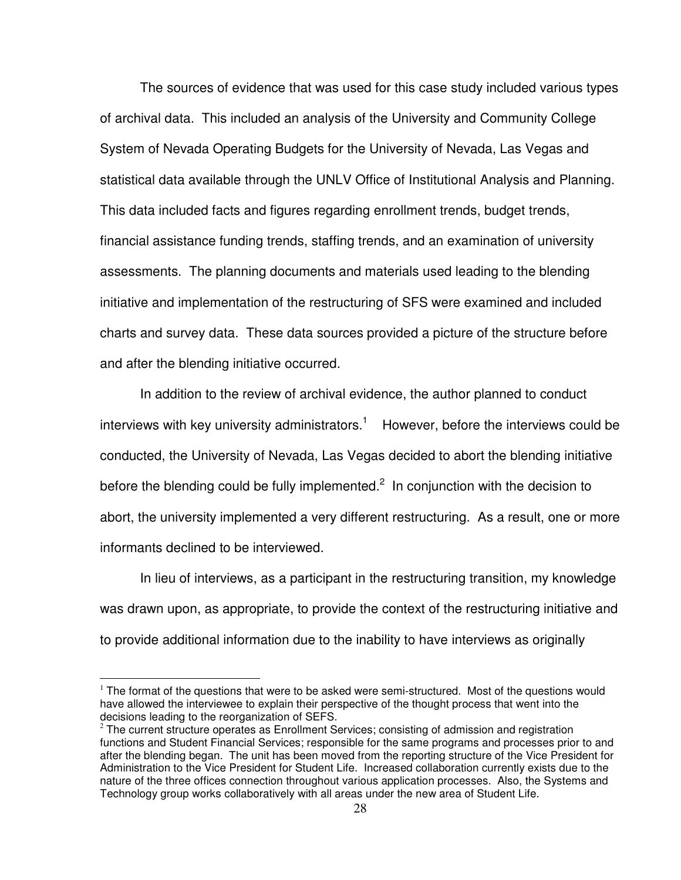The sources of evidence that was used for this case study included various types of archival data. This included an analysis of the University and Community College System of Nevada Operating Budgets for the University of Nevada, Las Vegas and statistical data available through the UNLV Office of Institutional Analysis and Planning. This data included facts and figures regarding enrollment trends, budget trends, financial assistance funding trends, staffing trends, and an examination of university assessments. The planning documents and materials used leading to the blending initiative and implementation of the restructuring of SFS were examined and included charts and survey data. These data sources provided a picture of the structure before and after the blending initiative occurred.

 In addition to the review of archival evidence, the author planned to conduct interviews with key university administrators.<sup>1</sup> However, before the interviews could be conducted, the University of Nevada, Las Vegas decided to abort the blending initiative before the blending could be fully implemented. $2$  In conjunction with the decision to abort, the university implemented a very different restructuring. As a result, one or more informants declined to be interviewed.

 In lieu of interviews, as a participant in the restructuring transition, my knowledge was drawn upon, as appropriate, to provide the context of the restructuring initiative and to provide additional information due to the inability to have interviews as originally

 $\overline{a}$ 

 $<sup>1</sup>$  The format of the questions that were to be asked were semi-structured. Most of the questions would</sup> have allowed the interviewee to explain their perspective of the thought process that went into the decisions leading to the reorganization of SEFS.

 $2$  The current structure operates as Enrollment Services; consisting of admission and registration functions and Student Financial Services; responsible for the same programs and processes prior to and after the blending began. The unit has been moved from the reporting structure of the Vice President for Administration to the Vice President for Student Life. Increased collaboration currently exists due to the nature of the three offices connection throughout various application processes. Also, the Systems and Technology group works collaboratively with all areas under the new area of Student Life.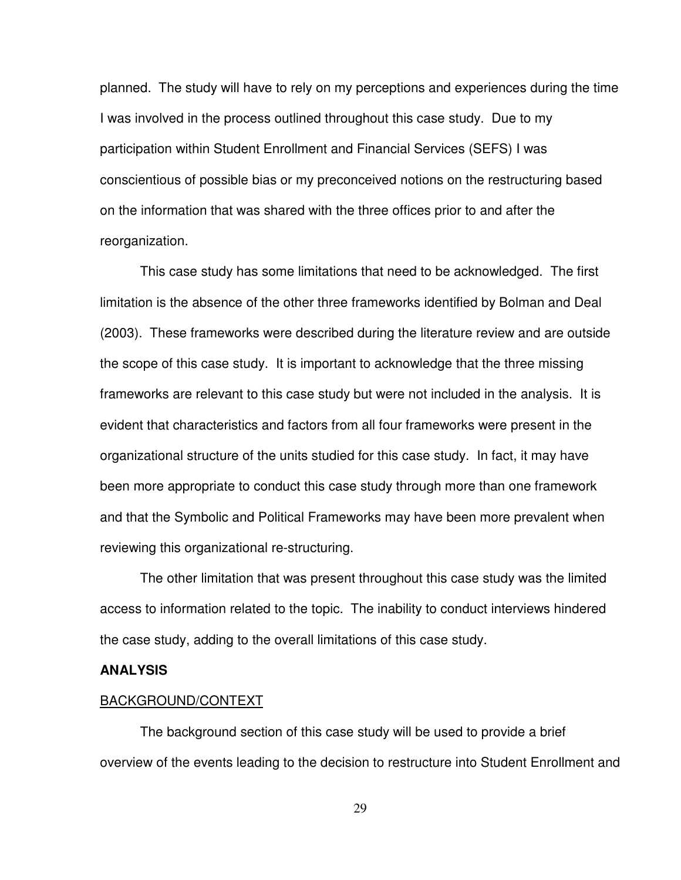planned. The study will have to rely on my perceptions and experiences during the time I was involved in the process outlined throughout this case study. Due to my participation within Student Enrollment and Financial Services (SEFS) I was conscientious of possible bias or my preconceived notions on the restructuring based on the information that was shared with the three offices prior to and after the reorganization.

 This case study has some limitations that need to be acknowledged. The first limitation is the absence of the other three frameworks identified by Bolman and Deal (2003). These frameworks were described during the literature review and are outside the scope of this case study. It is important to acknowledge that the three missing frameworks are relevant to this case study but were not included in the analysis. It is evident that characteristics and factors from all four frameworks were present in the organizational structure of the units studied for this case study. In fact, it may have been more appropriate to conduct this case study through more than one framework and that the Symbolic and Political Frameworks may have been more prevalent when reviewing this organizational re-structuring.

 The other limitation that was present throughout this case study was the limited access to information related to the topic. The inability to conduct interviews hindered the case study, adding to the overall limitations of this case study.

#### **ANALYSIS**

#### BACKGROUND/CONTEXT

The background section of this case study will be used to provide a brief overview of the events leading to the decision to restructure into Student Enrollment and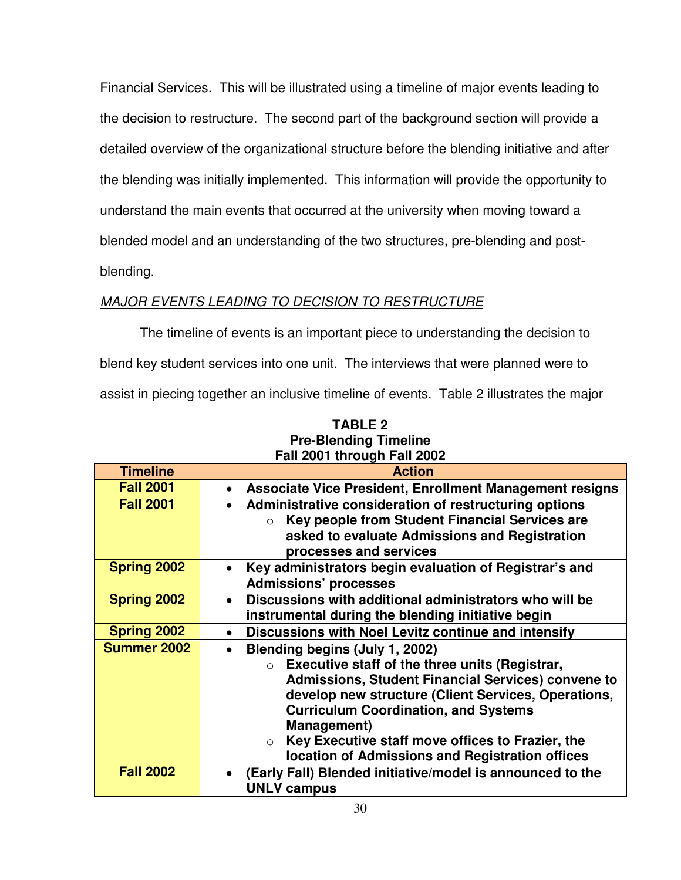Financial Services. This will be illustrated using a timeline of major events leading to the decision to restructure. The second part of the background section will provide a detailed overview of the organizational structure before the blending initiative and after the blending was initially implemented. This information will provide the opportunity to understand the main events that occurred at the university when moving toward a blended model and an understanding of the two structures, pre-blending and postblending.

# MAJOR EVENTS LEADING TO DECISION TO RESTRUCTURE

 The timeline of events is an important piece to understanding the decision to blend key student services into one unit. The interviews that were planned were to assist in piecing together an inclusive timeline of events. Table 2 illustrates the major

| <b>Timeline</b>    | <b>Action</b>                                                                                                                                                                                                                                                                                                                                                                                    |
|--------------------|--------------------------------------------------------------------------------------------------------------------------------------------------------------------------------------------------------------------------------------------------------------------------------------------------------------------------------------------------------------------------------------------------|
| <b>Fall 2001</b>   | Associate Vice President, Enrollment Management resigns                                                                                                                                                                                                                                                                                                                                          |
| <b>Fall 2001</b>   | Administrative consideration of restructuring options<br>Key people from Student Financial Services are<br>$\bigcirc$<br>asked to evaluate Admissions and Registration<br>processes and services                                                                                                                                                                                                 |
| <b>Spring 2002</b> | Key administrators begin evaluation of Registrar's and<br><b>Admissions' processes</b>                                                                                                                                                                                                                                                                                                           |
| <b>Spring 2002</b> | Discussions with additional administrators who will be<br>$\bullet$<br>instrumental during the blending initiative begin                                                                                                                                                                                                                                                                         |
| <b>Spring 2002</b> | Discussions with Noel Levitz continue and intensify                                                                                                                                                                                                                                                                                                                                              |
| <b>Summer 2002</b> | Blending begins (July 1, 2002)<br>Executive staff of the three units (Registrar,<br>$\circ$<br>Admissions, Student Financial Services) convene to<br>develop new structure (Client Services, Operations,<br><b>Curriculum Coordination, and Systems</b><br><b>Management</b> )<br>Key Executive staff move offices to Frazier, the<br>$\circ$<br>location of Admissions and Registration offices |
| <b>Fall 2002</b>   | (Early Fall) Blended initiative/model is announced to the<br><b>UNLV campus</b>                                                                                                                                                                                                                                                                                                                  |

**TABLE 2 Pre-Blending Timeline Fall 2001 through Fall 2002**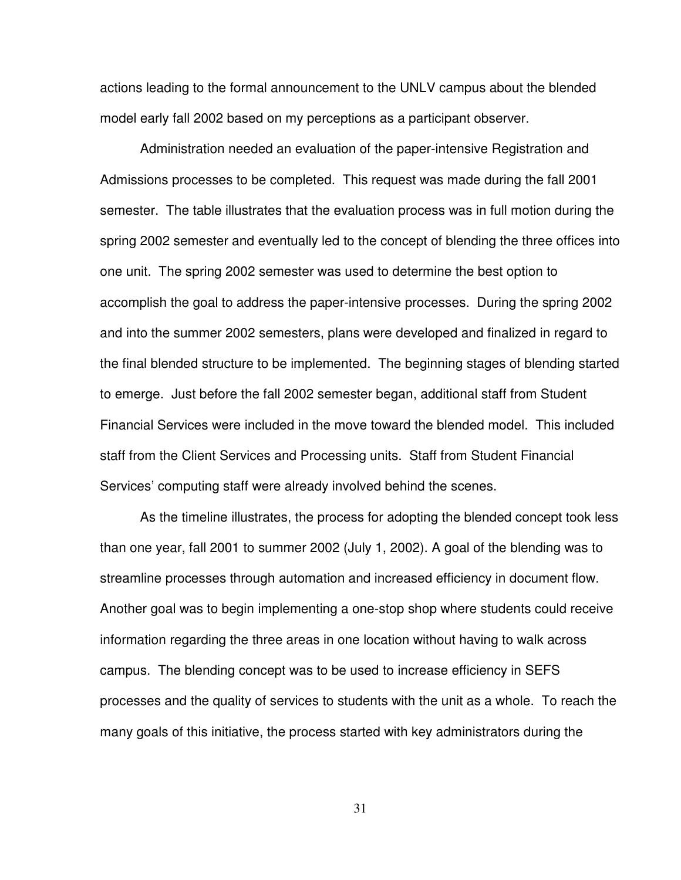actions leading to the formal announcement to the UNLV campus about the blended model early fall 2002 based on my perceptions as a participant observer.

 Administration needed an evaluation of the paper-intensive Registration and Admissions processes to be completed. This request was made during the fall 2001 semester. The table illustrates that the evaluation process was in full motion during the spring 2002 semester and eventually led to the concept of blending the three offices into one unit. The spring 2002 semester was used to determine the best option to accomplish the goal to address the paper-intensive processes. During the spring 2002 and into the summer 2002 semesters, plans were developed and finalized in regard to the final blended structure to be implemented. The beginning stages of blending started to emerge. Just before the fall 2002 semester began, additional staff from Student Financial Services were included in the move toward the blended model. This included staff from the Client Services and Processing units. Staff from Student Financial Services' computing staff were already involved behind the scenes.

 As the timeline illustrates, the process for adopting the blended concept took less than one year, fall 2001 to summer 2002 (July 1, 2002). A goal of the blending was to streamline processes through automation and increased efficiency in document flow. Another goal was to begin implementing a one-stop shop where students could receive information regarding the three areas in one location without having to walk across campus. The blending concept was to be used to increase efficiency in SEFS processes and the quality of services to students with the unit as a whole. To reach the many goals of this initiative, the process started with key administrators during the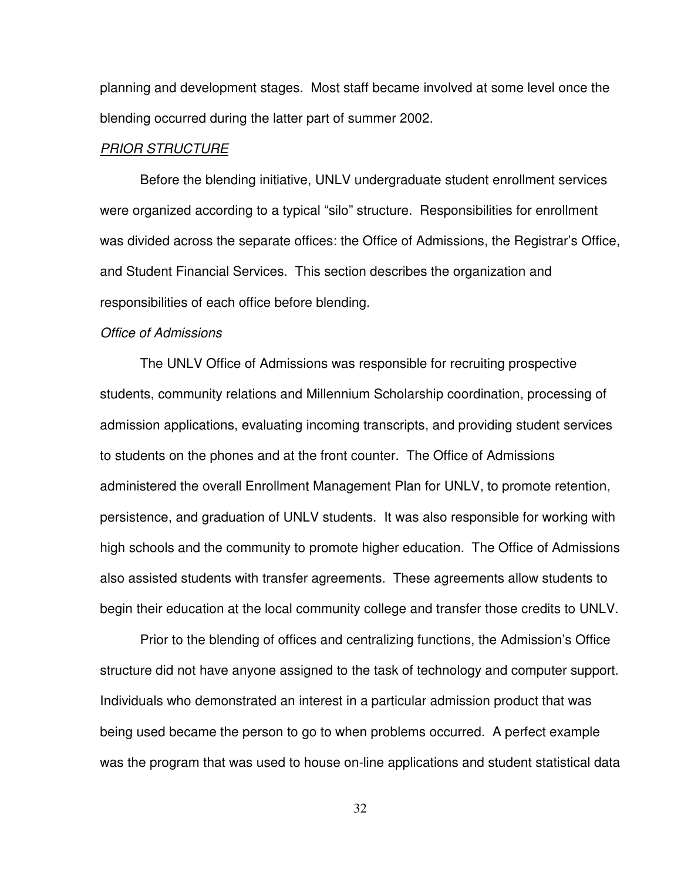planning and development stages. Most staff became involved at some level once the blending occurred during the latter part of summer 2002.

#### PRIOR STRUCTURE

 Before the blending initiative, UNLV undergraduate student enrollment services were organized according to a typical "silo" structure. Responsibilities for enrollment was divided across the separate offices: the Office of Admissions, the Registrar's Office, and Student Financial Services. This section describes the organization and responsibilities of each office before blending.

#### Office of Admissions

 The UNLV Office of Admissions was responsible for recruiting prospective students, community relations and Millennium Scholarship coordination, processing of admission applications, evaluating incoming transcripts, and providing student services to students on the phones and at the front counter. The Office of Admissions administered the overall Enrollment Management Plan for UNLV, to promote retention, persistence, and graduation of UNLV students. It was also responsible for working with high schools and the community to promote higher education. The Office of Admissions also assisted students with transfer agreements. These agreements allow students to begin their education at the local community college and transfer those credits to UNLV.

 Prior to the blending of offices and centralizing functions, the Admission's Office structure did not have anyone assigned to the task of technology and computer support. Individuals who demonstrated an interest in a particular admission product that was being used became the person to go to when problems occurred. A perfect example was the program that was used to house on-line applications and student statistical data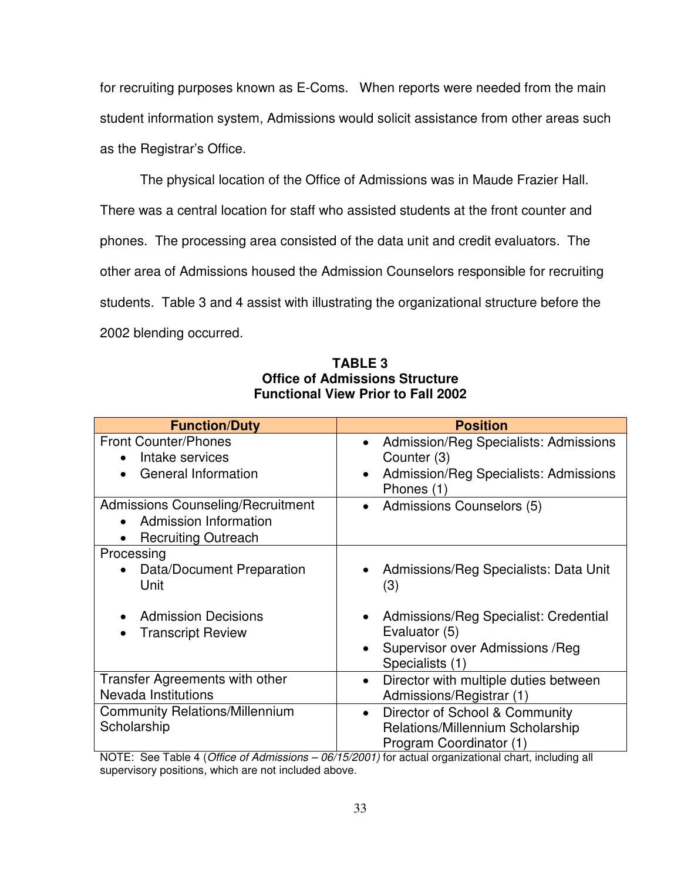for recruiting purposes known as E-Coms. When reports were needed from the main student information system, Admissions would solicit assistance from other areas such as the Registrar's Office.

 The physical location of the Office of Admissions was in Maude Frazier Hall. There was a central location for staff who assisted students at the front counter and phones. The processing area consisted of the data unit and credit evaluators. The other area of Admissions housed the Admission Counselors responsible for recruiting students. Table 3 and 4 assist with illustrating the organizational structure before the 2002 blending occurred.

| <b>Function/Duty</b>                                                                                         | <b>Position</b>                                                                                                                       |
|--------------------------------------------------------------------------------------------------------------|---------------------------------------------------------------------------------------------------------------------------------------|
| <b>Front Counter/Phones</b><br>Intake services<br>$\bullet$<br>General Information<br>$\bullet$              | Admission/Reg Specialists: Admissions<br>$\bullet$<br>Counter (3)<br>Admission/Reg Specialists: Admissions<br>$\bullet$<br>Phones (1) |
| <b>Admissions Counseling/Recruitment</b><br>Admission Information<br>$\bullet$<br><b>Recruiting Outreach</b> | Admissions Counselors (5)<br>$\bullet$                                                                                                |
| Processing<br>Data/Document Preparation<br>$\bullet$<br>Unit                                                 | Admissions/Reg Specialists: Data Unit<br>(3)                                                                                          |
| <b>Admission Decisions</b><br><b>Transcript Review</b><br>$\bullet$                                          | Admissions/Reg Specialist: Credential<br>Evaluator (5)<br>Supervisor over Admissions / Reg<br>Specialists (1)                         |
| Transfer Agreements with other<br>Nevada Institutions                                                        | Director with multiple duties between<br>$\bullet$<br>Admissions/Registrar (1)                                                        |
| <b>Community Relations/Millennium</b><br>Scholarship                                                         | Director of School & Community<br>$\bullet$<br>Relations/Millennium Scholarship<br>Program Coordinator (1)                            |

**TABLE 3 Office of Admissions Structure Functional View Prior to Fall 2002** 

NOTE: See Table 4 (Office of Admissions - 06/15/2001) for actual organizational chart, including all supervisory positions, which are not included above.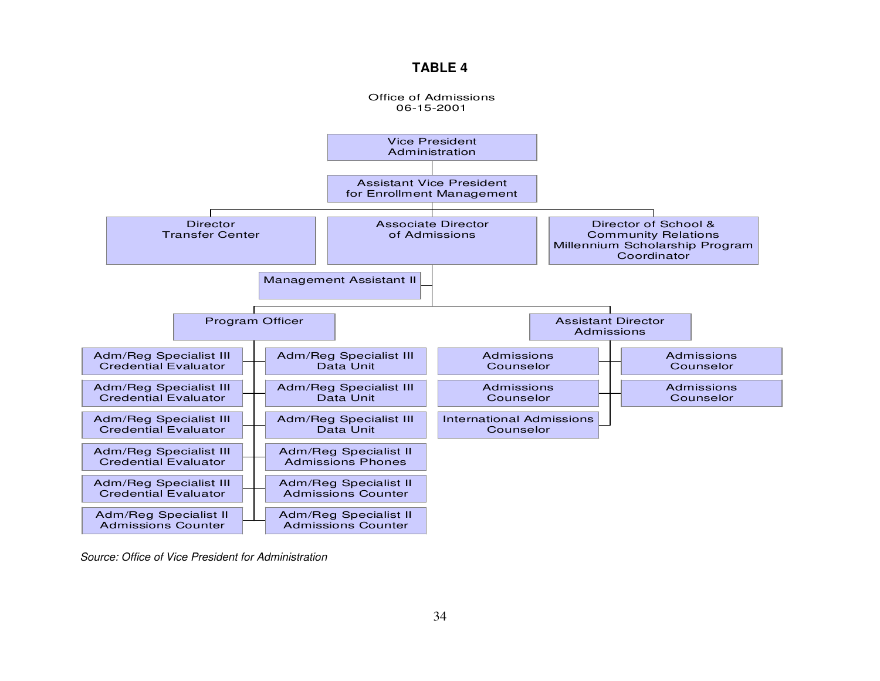#### **TABLE 4**



Source: Office of Vice President for Administration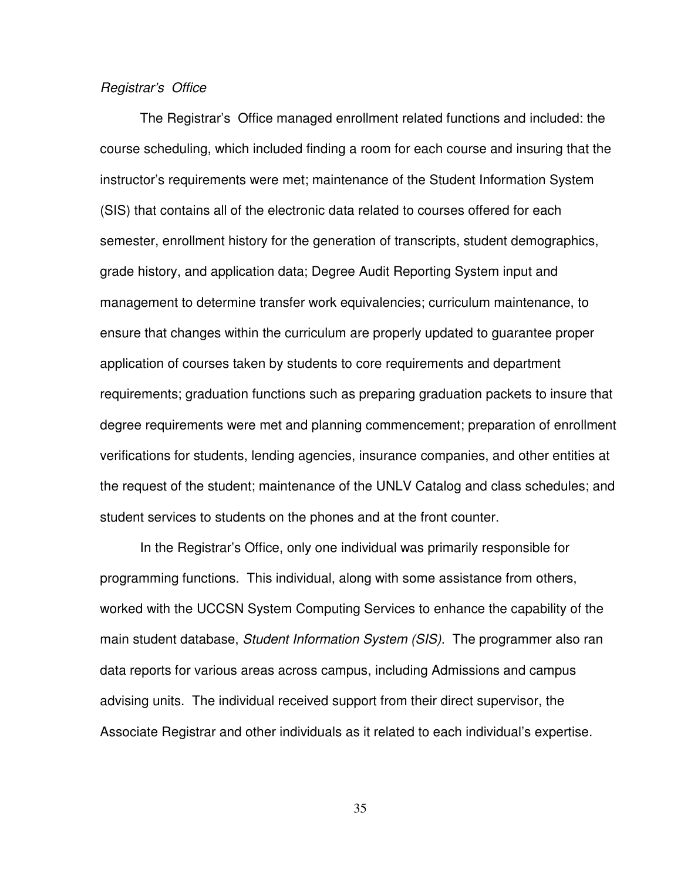#### Registrar's Office

 The Registrar's Office managed enrollment related functions and included: the course scheduling, which included finding a room for each course and insuring that the instructor's requirements were met; maintenance of the Student Information System (SIS) that contains all of the electronic data related to courses offered for each semester, enrollment history for the generation of transcripts, student demographics, grade history, and application data; Degree Audit Reporting System input and management to determine transfer work equivalencies; curriculum maintenance, to ensure that changes within the curriculum are properly updated to guarantee proper application of courses taken by students to core requirements and department requirements; graduation functions such as preparing graduation packets to insure that degree requirements were met and planning commencement; preparation of enrollment verifications for students, lending agencies, insurance companies, and other entities at the request of the student; maintenance of the UNLV Catalog and class schedules; and student services to students on the phones and at the front counter.

 In the Registrar's Office, only one individual was primarily responsible for programming functions. This individual, along with some assistance from others, worked with the UCCSN System Computing Services to enhance the capability of the main student database, *Student Information System (SIS)*. The programmer also ran data reports for various areas across campus, including Admissions and campus advising units. The individual received support from their direct supervisor, the Associate Registrar and other individuals as it related to each individual's expertise.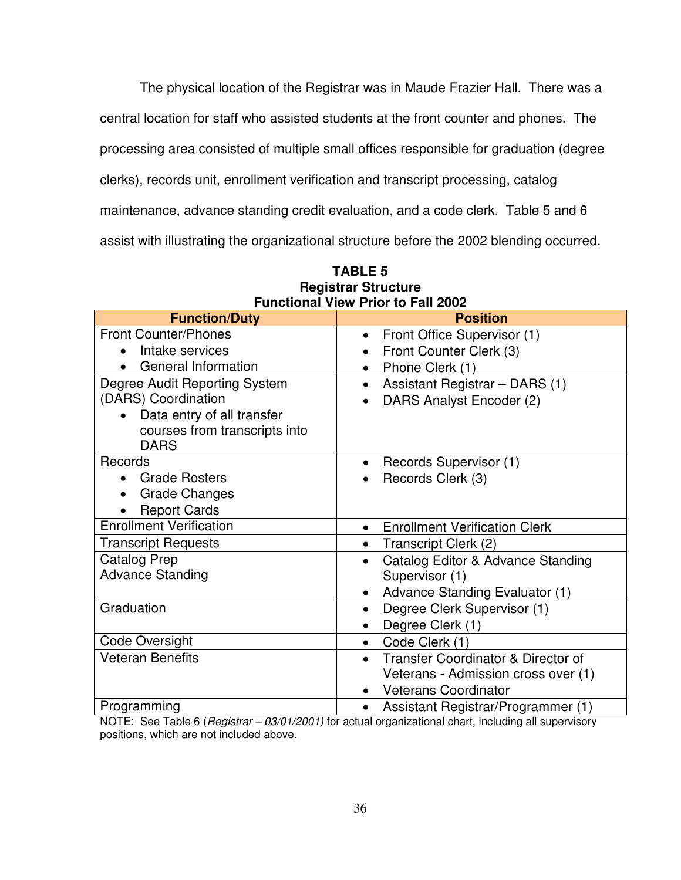The physical location of the Registrar was in Maude Frazier Hall. There was a

central location for staff who assisted students at the front counter and phones. The

processing area consisted of multiple small offices responsible for graduation (degree

clerks), records unit, enrollment verification and transcript processing, catalog

maintenance, advance standing credit evaluation, and a code clerk. Table 5 and 6

assist with illustrating the organizational structure before the 2002 blending occurred.

|                                         | FUIICHOHAI VIEW FHOI LO FAII ZUUZ                          |
|-----------------------------------------|------------------------------------------------------------|
| <b>Function/Duty</b>                    | <b>Position</b>                                            |
| <b>Front Counter/Phones</b>             | Front Office Supervisor (1)<br>$\bullet$                   |
| Intake services                         | Front Counter Clerk (3)<br>$\bullet$                       |
| General Information                     | Phone Clerk (1)<br>$\bullet$                               |
| Degree Audit Reporting System           | Assistant Registrar - DARS (1)<br>$\bullet$                |
| (DARS) Coordination                     | DARS Analyst Encoder (2)<br>$\bullet$                      |
| Data entry of all transfer<br>$\bullet$ |                                                            |
| courses from transcripts into           |                                                            |
| <b>DARS</b>                             |                                                            |
| Records                                 | Records Supervisor (1)<br>$\bullet$                        |
| <b>Grade Rosters</b><br>$\bullet$       | Records Clerk (3)                                          |
| <b>Grade Changes</b><br>$\bullet$       |                                                            |
| <b>Report Cards</b>                     |                                                            |
| <b>Enrollment Verification</b>          | <b>Enrollment Verification Clerk</b><br>$\bullet$          |
| <b>Transcript Requests</b>              | Transcript Clerk (2)<br>$\bullet$                          |
| <b>Catalog Prep</b>                     | Catalog Editor & Advance Standing<br>$\bullet$             |
| <b>Advance Standing</b>                 | Supervisor (1)                                             |
|                                         | Advance Standing Evaluator (1)<br>$\bullet$                |
| Graduation                              | Degree Clerk Supervisor (1)<br>$\bullet$                   |
|                                         | Degree Clerk (1)<br>$\bullet$                              |
| Code Oversight                          | Code Clerk (1)<br>$\bullet$                                |
| <b>Veteran Benefits</b>                 | <b>Transfer Coordinator &amp; Director of</b><br>$\bullet$ |
|                                         | Veterans - Admission cross over (1)                        |
|                                         | <b>Veterans Coordinator</b>                                |
| Programming                             | Assistant Registrar/Programmer (1)<br>$\bullet$            |

| <b>TABLE 5</b>                            |  |  |  |  |
|-------------------------------------------|--|--|--|--|
| <b>Registrar Structure</b>                |  |  |  |  |
| <b>Functional View Prior to Fall 2002</b> |  |  |  |  |

NOTE: See Table 6 (Registrar – 03/01/2001) for actual organizational chart, including all supervisory positions, which are not included above.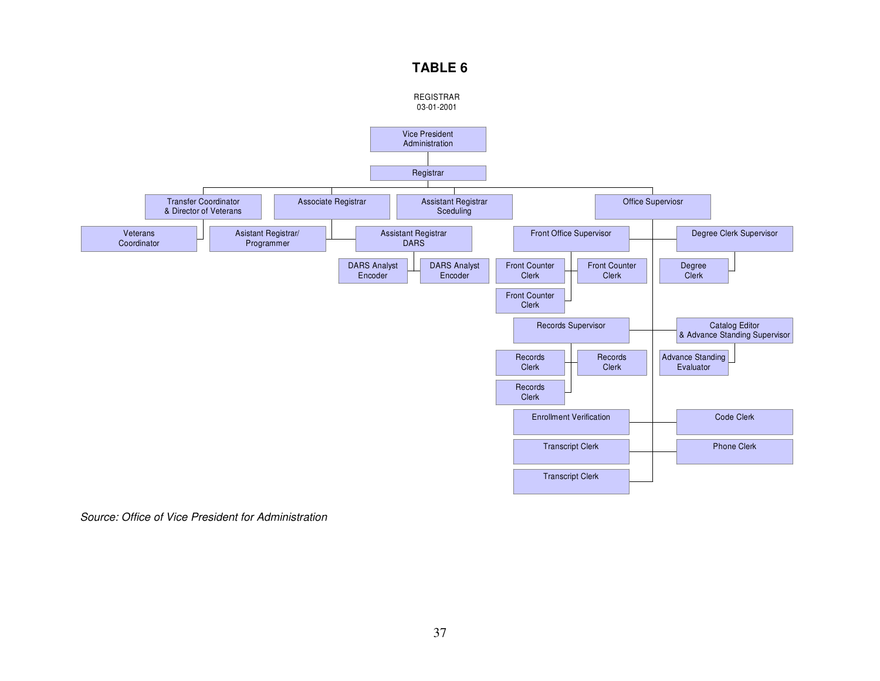# **TABLE 6**



Source: Office of Vice President for Administration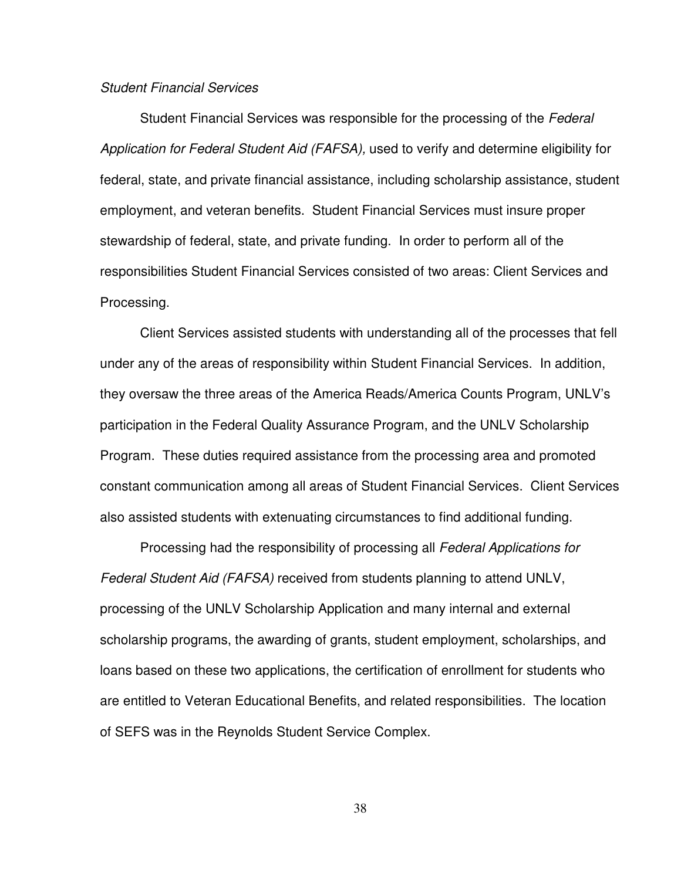#### Student Financial Services

Student Financial Services was responsible for the processing of the Federal Application for Federal Student Aid (FAFSA), used to verify and determine eligibility for federal, state, and private financial assistance, including scholarship assistance, student employment, and veteran benefits. Student Financial Services must insure proper stewardship of federal, state, and private funding. In order to perform all of the responsibilities Student Financial Services consisted of two areas: Client Services and Processing.

Client Services assisted students with understanding all of the processes that fell under any of the areas of responsibility within Student Financial Services. In addition, they oversaw the three areas of the America Reads/America Counts Program, UNLV's participation in the Federal Quality Assurance Program, and the UNLV Scholarship Program. These duties required assistance from the processing area and promoted constant communication among all areas of Student Financial Services. Client Services also assisted students with extenuating circumstances to find additional funding.

Processing had the responsibility of processing all Federal Applications for Federal Student Aid (FAFSA) received from students planning to attend UNLV, processing of the UNLV Scholarship Application and many internal and external scholarship programs, the awarding of grants, student employment, scholarships, and loans based on these two applications, the certification of enrollment for students who are entitled to Veteran Educational Benefits, and related responsibilities. The location of SEFS was in the Reynolds Student Service Complex.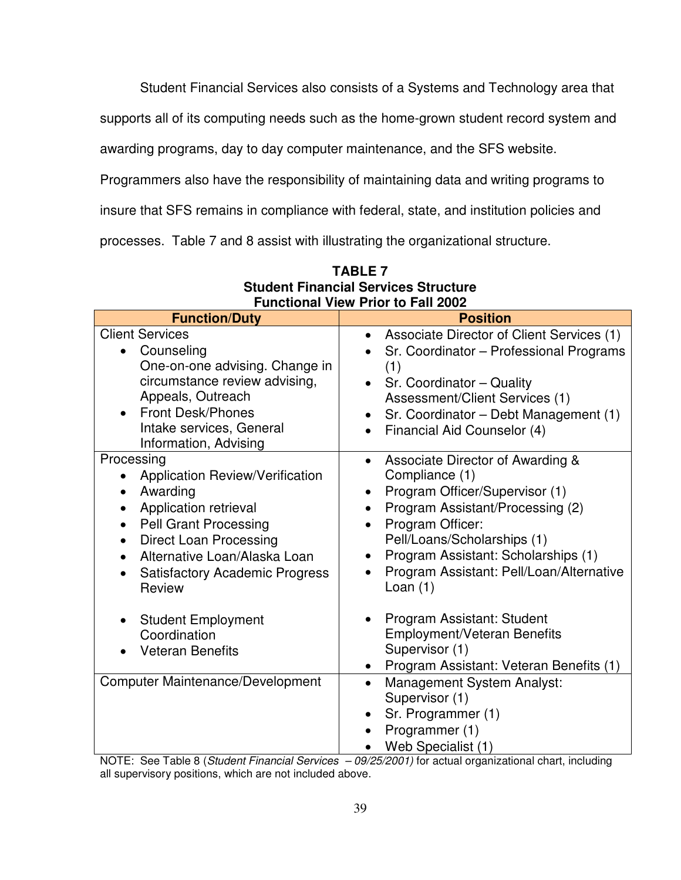Student Financial Services also consists of a Systems and Technology area that

supports all of its computing needs such as the home-grown student record system and

awarding programs, day to day computer maintenance, and the SFS website.

Programmers also have the responsibility of maintaining data and writing programs to

insure that SFS remains in compliance with federal, state, and institution policies and

processes. Table 7 and 8 assist with illustrating the organizational structure.

| I UNCHUNGI VIEW FILUI LU I AN ZUUZ                                                                                                                                                                                                                                                                             |                                                                                                                                                                                                                                                                                                                                  |  |  |  |  |
|----------------------------------------------------------------------------------------------------------------------------------------------------------------------------------------------------------------------------------------------------------------------------------------------------------------|----------------------------------------------------------------------------------------------------------------------------------------------------------------------------------------------------------------------------------------------------------------------------------------------------------------------------------|--|--|--|--|
| <b>Function/Duty</b>                                                                                                                                                                                                                                                                                           | <b>Position</b>                                                                                                                                                                                                                                                                                                                  |  |  |  |  |
| <b>Client Services</b><br>Counseling<br>$\bullet$<br>One-on-one advising. Change in<br>circumstance review advising,<br>Appeals, Outreach<br><b>Front Desk/Phones</b><br>Intake services, General<br>Information, Advising                                                                                     | Associate Director of Client Services (1)<br>$\bullet$<br>Sr. Coordinator - Professional Programs<br>(1)<br>Sr. Coordinator - Quality<br>Assessment/Client Services (1)<br>Sr. Coordinator - Debt Management (1)<br>Financial Aid Counselor (4)<br>$\bullet$                                                                     |  |  |  |  |
| Processing<br><b>Application Review/Verification</b><br>Awarding<br>$\bullet$<br>Application retrieval<br><b>Pell Grant Processing</b><br>$\bullet$<br><b>Direct Loan Processing</b><br>$\bullet$<br>Alternative Loan/Alaska Loan<br>$\bullet$<br><b>Satisfactory Academic Progress</b><br>$\bullet$<br>Review | Associate Director of Awarding &<br>Compliance (1)<br>Program Officer/Supervisor (1)<br>$\bullet$<br>Program Assistant/Processing (2)<br>$\bullet$<br>Program Officer:<br>$\bullet$<br>Pell/Loans/Scholarships (1)<br>Program Assistant: Scholarships (1)<br>$\bullet$<br>Program Assistant: Pell/Loan/Alternative<br>Loan $(1)$ |  |  |  |  |
| <b>Student Employment</b><br>Coordination<br><b>Veteran Benefits</b>                                                                                                                                                                                                                                           | Program Assistant: Student<br><b>Employment/Veteran Benefits</b><br>Supervisor (1)<br>Program Assistant: Veteran Benefits (1)                                                                                                                                                                                                    |  |  |  |  |
| <b>Computer Maintenance/Development</b>                                                                                                                                                                                                                                                                        | <b>Management System Analyst:</b><br>$\bullet$<br>Supervisor (1)<br>Sr. Programmer (1)<br>Programmer (1)<br>Web Specialist (1)                                                                                                                                                                                                   |  |  |  |  |

**TABLE 7 Student Financial Services Structure Functional View Prior to Fall 2002** 

NOTE: See Table 8 (Student Financial Services - 09/25/2001) for actual organizational chart, including all supervisory positions, which are not included above.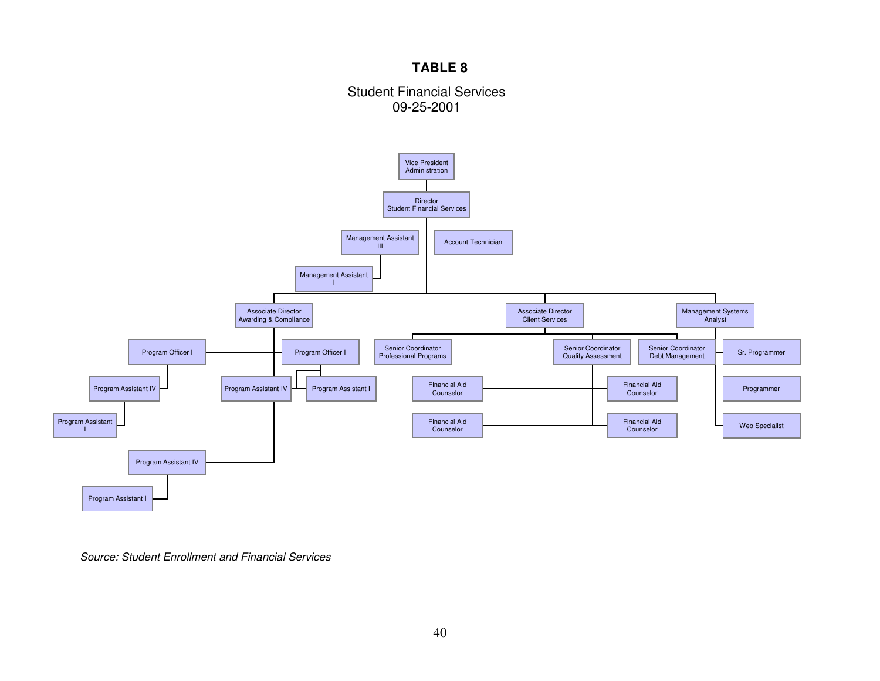# **TABLE 8**

## Student Financial Services 09-25-2001



Source: Student Enrollment and Financial Services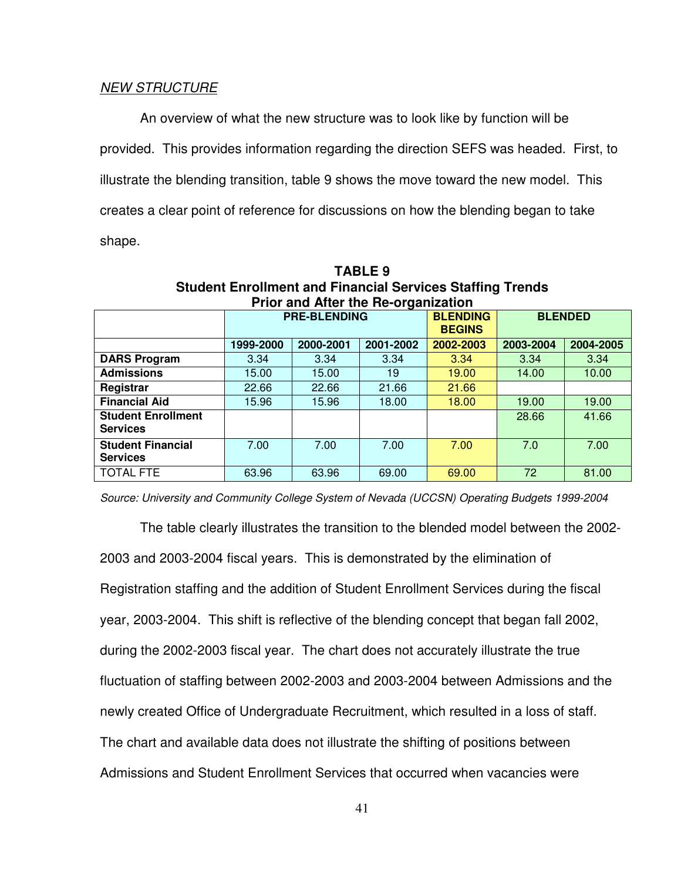#### NEW STRUCTURE

 An overview of what the new structure was to look like by function will be provided. This provides information regarding the direction SEFS was headed. First, to illustrate the blending transition, table 9 shows the move toward the new model. This creates a clear point of reference for discussions on how the blending began to take shape.

| <b>Prior and After the Re-organization</b>   |                     |           |           |                                  |                |           |  |
|----------------------------------------------|---------------------|-----------|-----------|----------------------------------|----------------|-----------|--|
|                                              | <b>PRE-BLENDING</b> |           |           | <b>BLENDING</b><br><b>BEGINS</b> | <b>BLENDED</b> |           |  |
|                                              | 1999-2000           | 2000-2001 | 2001-2002 | 2002-2003                        | 2003-2004      | 2004-2005 |  |
| <b>DARS Program</b>                          | 3.34                | 3.34      | 3.34      | 3.34                             | 3.34           | 3.34      |  |
| <b>Admissions</b>                            | 15.00               | 15.00     | 19        | 19.00                            | 14.00          | 10.00     |  |
| Registrar                                    | 22.66               | 22.66     | 21.66     | 21.66                            |                |           |  |
| <b>Financial Aid</b>                         | 15.96               | 15.96     | 18.00     | 18.00                            | 19.00          | 19.00     |  |
| <b>Student Enrollment</b><br><b>Services</b> |                     |           |           |                                  | 28.66          | 41.66     |  |
| <b>Student Financial</b><br><b>Services</b>  | 7.00                | 7.00      | 7.00      | 7.00                             | 7.0            | 7.00      |  |
| <b>TOTAL FTE</b>                             | 63.96               | 63.96     | 69.00     | 69.00                            | 72             | 81.00     |  |

**TABLE 9 Student Enrollment and Financial Services Staffing Trends** 

Source: University and Community College System of Nevada (UCCSN) Operating Budgets 1999-2004

 The table clearly illustrates the transition to the blended model between the 2002- 2003 and 2003-2004 fiscal years. This is demonstrated by the elimination of Registration staffing and the addition of Student Enrollment Services during the fiscal year, 2003-2004. This shift is reflective of the blending concept that began fall 2002, during the 2002-2003 fiscal year. The chart does not accurately illustrate the true fluctuation of staffing between 2002-2003 and 2003-2004 between Admissions and the newly created Office of Undergraduate Recruitment, which resulted in a loss of staff. The chart and available data does not illustrate the shifting of positions between Admissions and Student Enrollment Services that occurred when vacancies were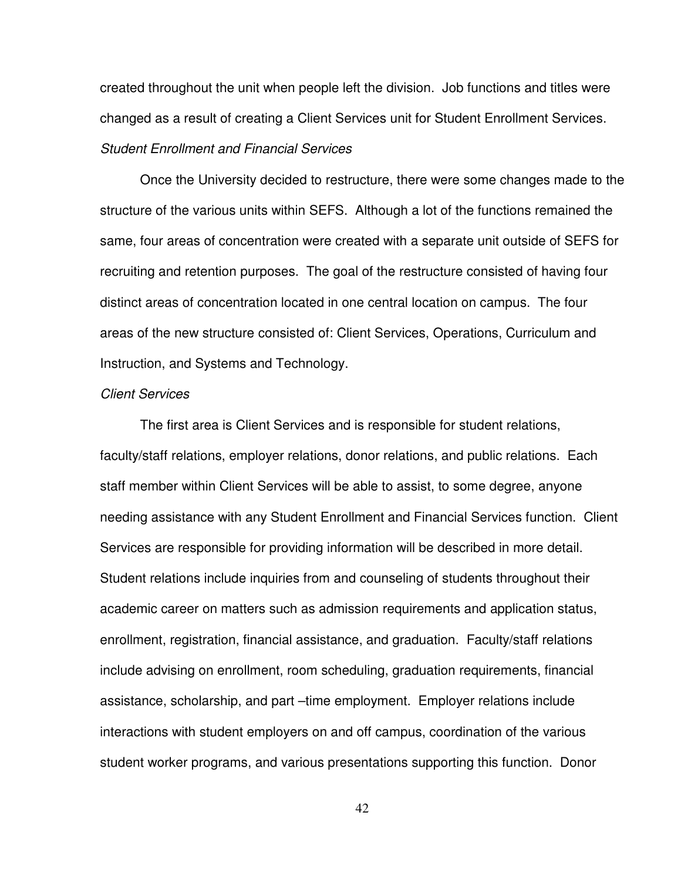created throughout the unit when people left the division. Job functions and titles were changed as a result of creating a Client Services unit for Student Enrollment Services. Student Enrollment and Financial Services

Once the University decided to restructure, there were some changes made to the structure of the various units within SEFS. Although a lot of the functions remained the same, four areas of concentration were created with a separate unit outside of SEFS for recruiting and retention purposes. The goal of the restructure consisted of having four distinct areas of concentration located in one central location on campus. The four areas of the new structure consisted of: Client Services, Operations, Curriculum and Instruction, and Systems and Technology.

#### Client Services

The first area is Client Services and is responsible for student relations, faculty/staff relations, employer relations, donor relations, and public relations. Each staff member within Client Services will be able to assist, to some degree, anyone needing assistance with any Student Enrollment and Financial Services function. Client Services are responsible for providing information will be described in more detail. Student relations include inquiries from and counseling of students throughout their academic career on matters such as admission requirements and application status, enrollment, registration, financial assistance, and graduation. Faculty/staff relations include advising on enrollment, room scheduling, graduation requirements, financial assistance, scholarship, and part –time employment. Employer relations include interactions with student employers on and off campus, coordination of the various student worker programs, and various presentations supporting this function. Donor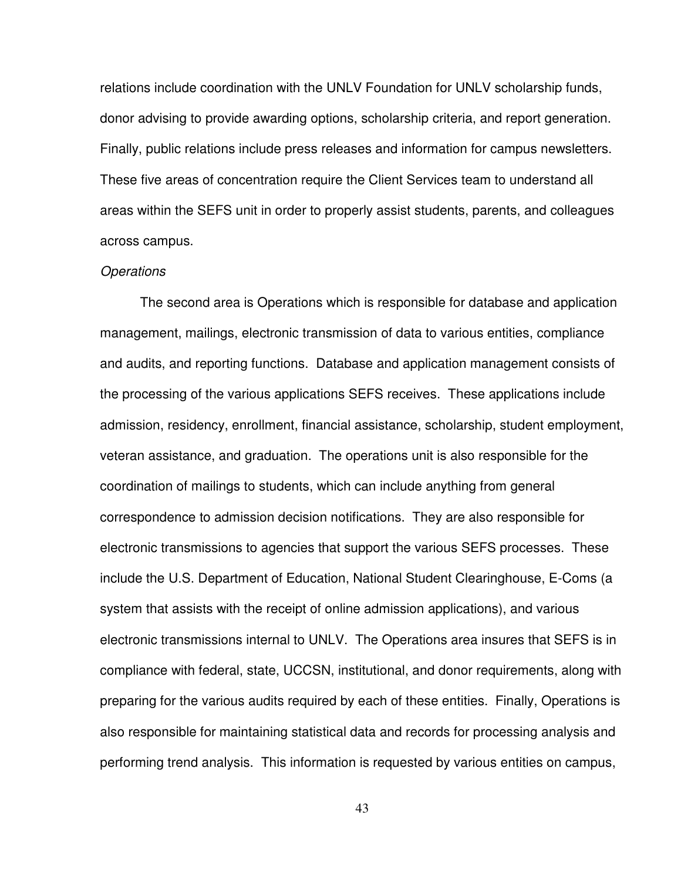relations include coordination with the UNLV Foundation for UNLV scholarship funds, donor advising to provide awarding options, scholarship criteria, and report generation. Finally, public relations include press releases and information for campus newsletters. These five areas of concentration require the Client Services team to understand all areas within the SEFS unit in order to properly assist students, parents, and colleagues across campus.

#### **Operations**

The second area is Operations which is responsible for database and application management, mailings, electronic transmission of data to various entities, compliance and audits, and reporting functions. Database and application management consists of the processing of the various applications SEFS receives. These applications include admission, residency, enrollment, financial assistance, scholarship, student employment, veteran assistance, and graduation. The operations unit is also responsible for the coordination of mailings to students, which can include anything from general correspondence to admission decision notifications. They are also responsible for electronic transmissions to agencies that support the various SEFS processes. These include the U.S. Department of Education, National Student Clearinghouse, E-Coms (a system that assists with the receipt of online admission applications), and various electronic transmissions internal to UNLV. The Operations area insures that SEFS is in compliance with federal, state, UCCSN, institutional, and donor requirements, along with preparing for the various audits required by each of these entities. Finally, Operations is also responsible for maintaining statistical data and records for processing analysis and performing trend analysis. This information is requested by various entities on campus,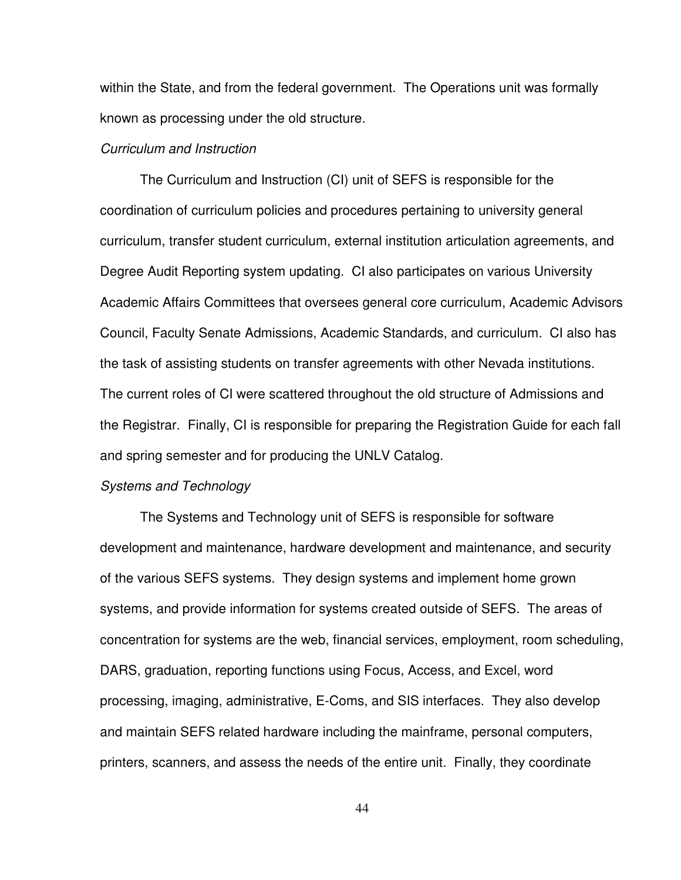within the State, and from the federal government. The Operations unit was formally known as processing under the old structure.

#### Curriculum and Instruction

 The Curriculum and Instruction (CI) unit of SEFS is responsible for the coordination of curriculum policies and procedures pertaining to university general curriculum, transfer student curriculum, external institution articulation agreements, and Degree Audit Reporting system updating. CI also participates on various University Academic Affairs Committees that oversees general core curriculum, Academic Advisors Council, Faculty Senate Admissions, Academic Standards, and curriculum. CI also has the task of assisting students on transfer agreements with other Nevada institutions. The current roles of CI were scattered throughout the old structure of Admissions and the Registrar. Finally, CI is responsible for preparing the Registration Guide for each fall and spring semester and for producing the UNLV Catalog.

#### Systems and Technology

 The Systems and Technology unit of SEFS is responsible for software development and maintenance, hardware development and maintenance, and security of the various SEFS systems. They design systems and implement home grown systems, and provide information for systems created outside of SEFS. The areas of concentration for systems are the web, financial services, employment, room scheduling, DARS, graduation, reporting functions using Focus, Access, and Excel, word processing, imaging, administrative, E-Coms, and SIS interfaces. They also develop and maintain SEFS related hardware including the mainframe, personal computers, printers, scanners, and assess the needs of the entire unit. Finally, they coordinate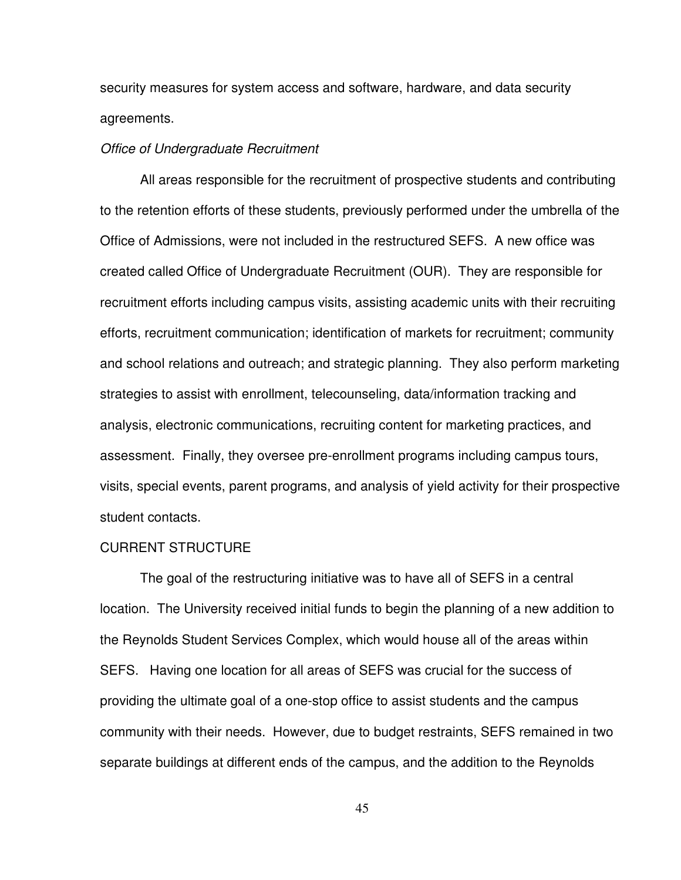security measures for system access and software, hardware, and data security agreements.

#### Office of Undergraduate Recruitment

 All areas responsible for the recruitment of prospective students and contributing to the retention efforts of these students, previously performed under the umbrella of the Office of Admissions, were not included in the restructured SEFS. A new office was created called Office of Undergraduate Recruitment (OUR). They are responsible for recruitment efforts including campus visits, assisting academic units with their recruiting efforts, recruitment communication; identification of markets for recruitment; community and school relations and outreach; and strategic planning. They also perform marketing strategies to assist with enrollment, telecounseling, data/information tracking and analysis, electronic communications, recruiting content for marketing practices, and assessment. Finally, they oversee pre-enrollment programs including campus tours, visits, special events, parent programs, and analysis of yield activity for their prospective student contacts.

#### CURRENT STRUCTURE

 The goal of the restructuring initiative was to have all of SEFS in a central location. The University received initial funds to begin the planning of a new addition to the Reynolds Student Services Complex, which would house all of the areas within SEFS. Having one location for all areas of SEFS was crucial for the success of providing the ultimate goal of a one-stop office to assist students and the campus community with their needs. However, due to budget restraints, SEFS remained in two separate buildings at different ends of the campus, and the addition to the Reynolds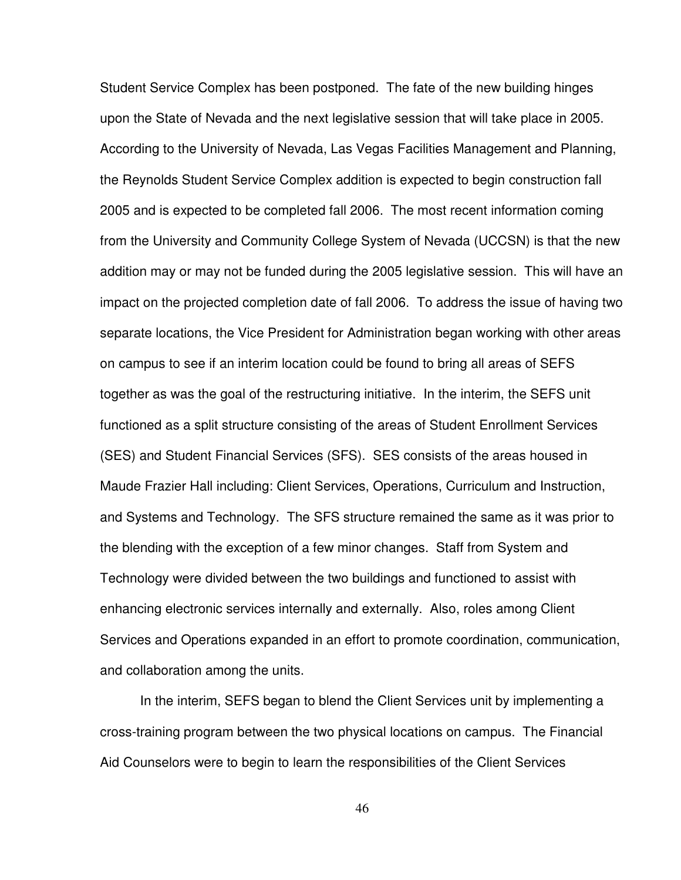Student Service Complex has been postponed. The fate of the new building hinges upon the State of Nevada and the next legislative session that will take place in 2005. According to the University of Nevada, Las Vegas Facilities Management and Planning, the Reynolds Student Service Complex addition is expected to begin construction fall 2005 and is expected to be completed fall 2006. The most recent information coming from the University and Community College System of Nevada (UCCSN) is that the new addition may or may not be funded during the 2005 legislative session. This will have an impact on the projected completion date of fall 2006. To address the issue of having two separate locations, the Vice President for Administration began working with other areas on campus to see if an interim location could be found to bring all areas of SEFS together as was the goal of the restructuring initiative. In the interim, the SEFS unit functioned as a split structure consisting of the areas of Student Enrollment Services (SES) and Student Financial Services (SFS). SES consists of the areas housed in Maude Frazier Hall including: Client Services, Operations, Curriculum and Instruction, and Systems and Technology. The SFS structure remained the same as it was prior to the blending with the exception of a few minor changes. Staff from System and Technology were divided between the two buildings and functioned to assist with enhancing electronic services internally and externally. Also, roles among Client Services and Operations expanded in an effort to promote coordination, communication, and collaboration among the units.

 In the interim, SEFS began to blend the Client Services unit by implementing a cross-training program between the two physical locations on campus. The Financial Aid Counselors were to begin to learn the responsibilities of the Client Services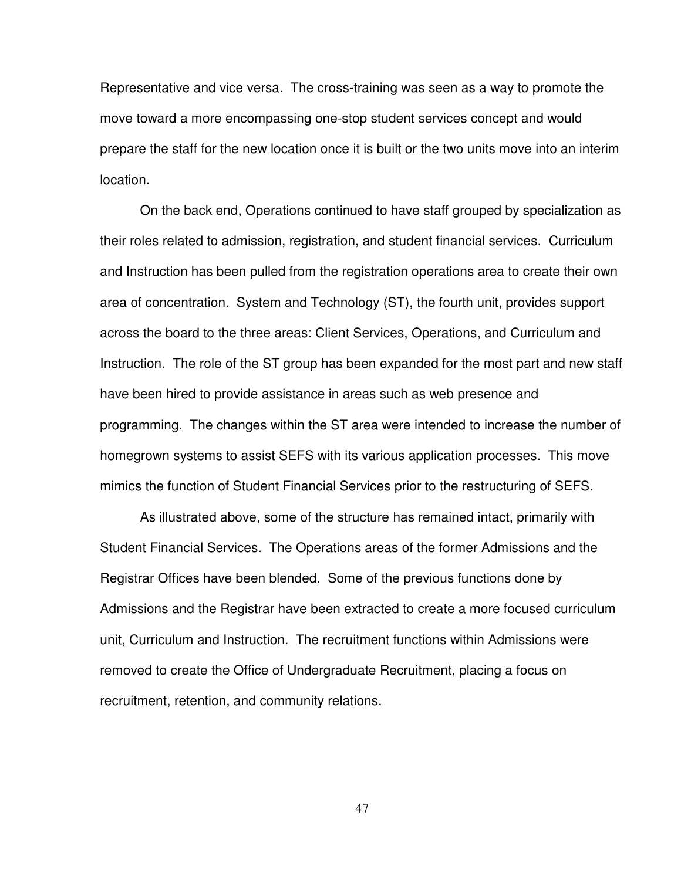Representative and vice versa. The cross-training was seen as a way to promote the move toward a more encompassing one-stop student services concept and would prepare the staff for the new location once it is built or the two units move into an interim location.

 On the back end, Operations continued to have staff grouped by specialization as their roles related to admission, registration, and student financial services. Curriculum and Instruction has been pulled from the registration operations area to create their own area of concentration. System and Technology (ST), the fourth unit, provides support across the board to the three areas: Client Services, Operations, and Curriculum and Instruction. The role of the ST group has been expanded for the most part and new staff have been hired to provide assistance in areas such as web presence and programming. The changes within the ST area were intended to increase the number of homegrown systems to assist SEFS with its various application processes. This move mimics the function of Student Financial Services prior to the restructuring of SEFS.

 As illustrated above, some of the structure has remained intact, primarily with Student Financial Services. The Operations areas of the former Admissions and the Registrar Offices have been blended. Some of the previous functions done by Admissions and the Registrar have been extracted to create a more focused curriculum unit, Curriculum and Instruction. The recruitment functions within Admissions were removed to create the Office of Undergraduate Recruitment, placing a focus on recruitment, retention, and community relations.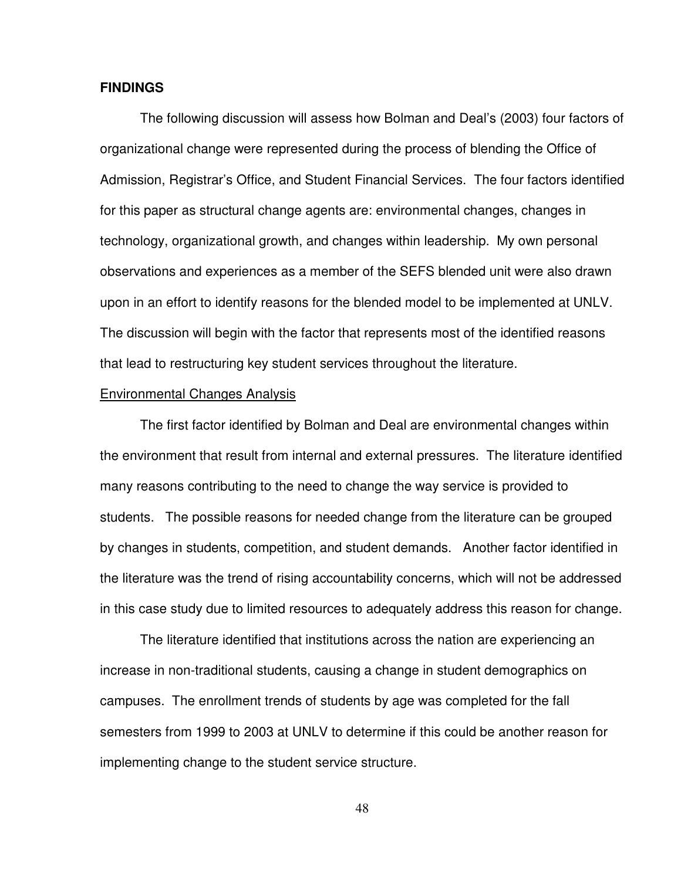#### **FINDINGS**

 The following discussion will assess how Bolman and Deal's (2003) four factors of organizational change were represented during the process of blending the Office of Admission, Registrar's Office, and Student Financial Services. The four factors identified for this paper as structural change agents are: environmental changes, changes in technology, organizational growth, and changes within leadership. My own personal observations and experiences as a member of the SEFS blended unit were also drawn upon in an effort to identify reasons for the blended model to be implemented at UNLV. The discussion will begin with the factor that represents most of the identified reasons that lead to restructuring key student services throughout the literature.

#### Environmental Changes Analysis

 The first factor identified by Bolman and Deal are environmental changes within the environment that result from internal and external pressures. The literature identified many reasons contributing to the need to change the way service is provided to students. The possible reasons for needed change from the literature can be grouped by changes in students, competition, and student demands. Another factor identified in the literature was the trend of rising accountability concerns, which will not be addressed in this case study due to limited resources to adequately address this reason for change.

 The literature identified that institutions across the nation are experiencing an increase in non-traditional students, causing a change in student demographics on campuses. The enrollment trends of students by age was completed for the fall semesters from 1999 to 2003 at UNLV to determine if this could be another reason for implementing change to the student service structure.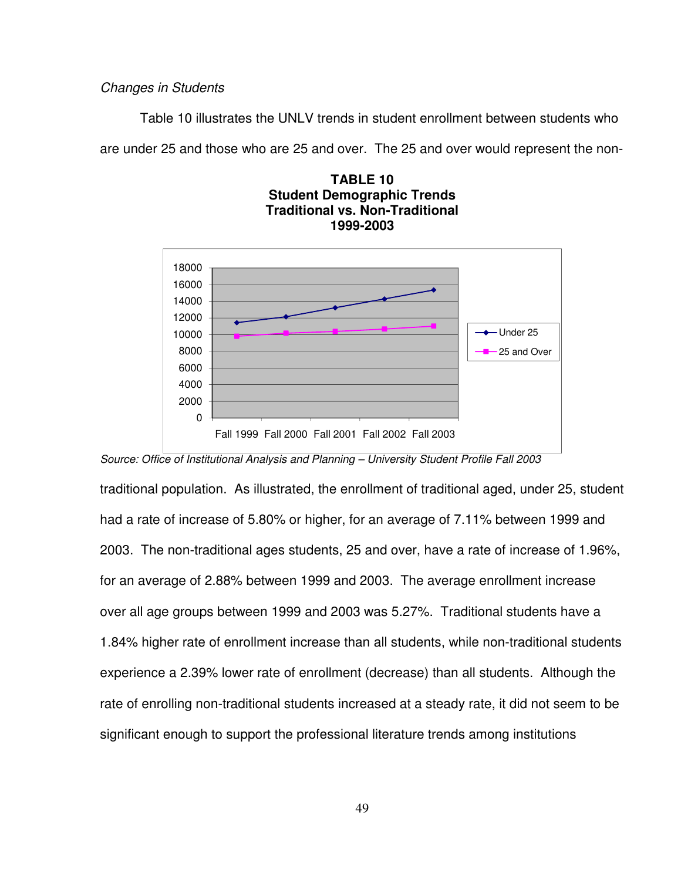Changes in Students

Table 10 illustrates the UNLV trends in student enrollment between students who

are under 25 and those who are 25 and over. The 25 and over would represent the non-





Source: Office of Institutional Analysis and Planning – University Student Profile Fall 2003

traditional population. As illustrated, the enrollment of traditional aged, under 25, student had a rate of increase of 5.80% or higher, for an average of 7.11% between 1999 and 2003. The non-traditional ages students, 25 and over, have a rate of increase of 1.96%, for an average of 2.88% between 1999 and 2003. The average enrollment increase over all age groups between 1999 and 2003 was 5.27%. Traditional students have a 1.84% higher rate of enrollment increase than all students, while non-traditional students experience a 2.39% lower rate of enrollment (decrease) than all students. Although the rate of enrolling non-traditional students increased at a steady rate, it did not seem to be significant enough to support the professional literature trends among institutions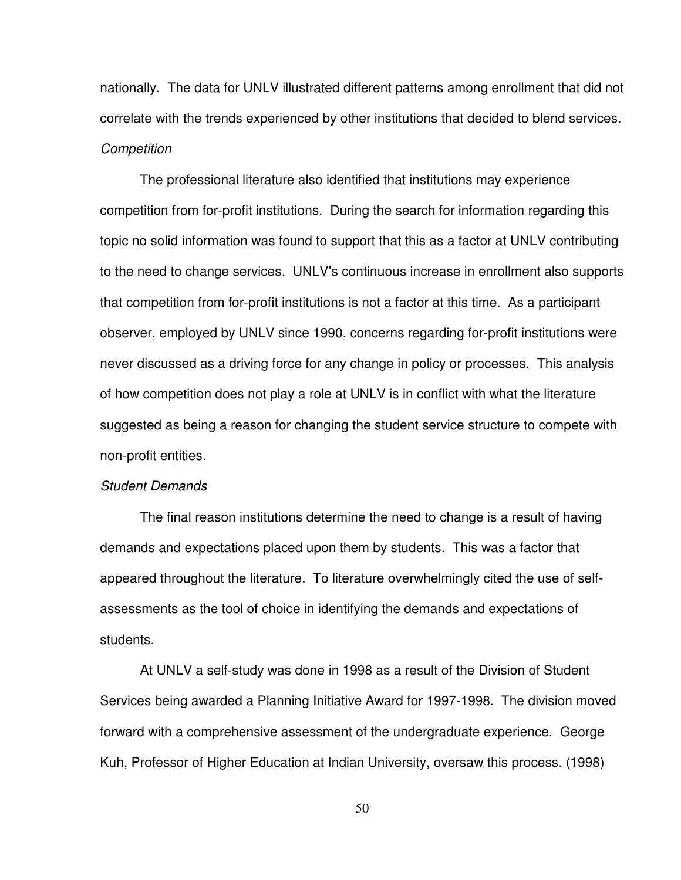nationally. The data for UNLV illustrated different patterns among enrollment that did not correlate with the trends experienced by other institutions that decided to blend services. **Competition** 

 The professional literature also identified that institutions may experience competition from for-profit institutions. During the search for information regarding this topic no solid information was found to support that this as a factor at UNLV contributing to the need to change services. UNLV's continuous increase in enrollment also supports that competition from for-profit institutions is not a factor at this time. As a participant observer, employed by UNLV since 1990, concerns regarding for-profit institutions were never discussed as a driving force for any change in policy or processes. This analysis of how competition does not play a role at UNLV is in conflict with what the literature suggested as being a reason for changing the student service structure to compete with non-profit entities.

#### Student Demands

 The final reason institutions determine the need to change is a result of having demands and expectations placed upon them by students. This was a factor that appeared throughout the literature. To literature overwhelmingly cited the use of selfassessments as the tool of choice in identifying the demands and expectations of students.

 At UNLV a self-study was done in 1998 as a result of the Division of Student Services being awarded a Planning Initiative Award for 1997-1998. The division moved forward with a comprehensive assessment of the undergraduate experience. George Kuh, Professor of Higher Education at Indian University, oversaw this process. (1998)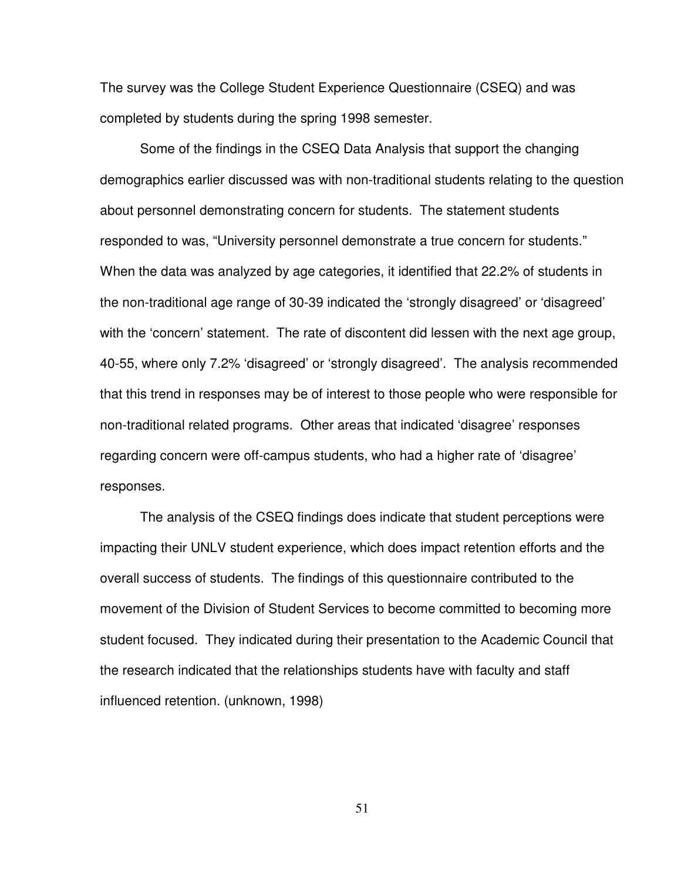The survey was the College Student Experience Questionnaire (CSEQ) and was completed by students during the spring 1998 semester.

 Some of the findings in the CSEQ Data Analysis that support the changing demographics earlier discussed was with non-traditional students relating to the question about personnel demonstrating concern for students. The statement students responded to was, "University personnel demonstrate a true concern for students." When the data was analyzed by age categories, it identified that 22.2% of students in the non-traditional age range of 30-39 indicated the 'strongly disagreed' or 'disagreed' with the 'concern' statement. The rate of discontent did lessen with the next age group, 40-55, where only 7.2% 'disagreed' or 'strongly disagreed'. The analysis recommended that this trend in responses may be of interest to those people who were responsible for non-traditional related programs. Other areas that indicated 'disagree' responses regarding concern were off-campus students, who had a higher rate of 'disagree' responses.

 The analysis of the CSEQ findings does indicate that student perceptions were impacting their UNLV student experience, which does impact retention efforts and the overall success of students. The findings of this questionnaire contributed to the movement of the Division of Student Services to become committed to becoming more student focused. They indicated during their presentation to the Academic Council that the research indicated that the relationships students have with faculty and staff influenced retention. (unknown, 1998)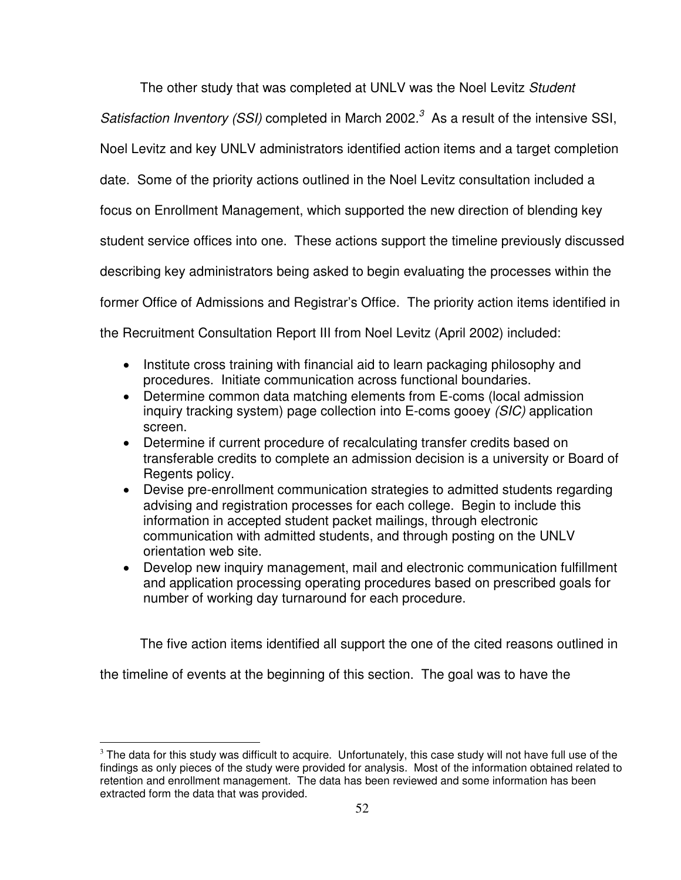The other study that was completed at UNLV was the Noel Levitz Student

Satisfaction Inventory (SSI) completed in March 2002.<sup>3</sup> As a result of the intensive SSI,

Noel Levitz and key UNLV administrators identified action items and a target completion

date. Some of the priority actions outlined in the Noel Levitz consultation included a

focus on Enrollment Management, which supported the new direction of blending key

student service offices into one. These actions support the timeline previously discussed

describing key administrators being asked to begin evaluating the processes within the

former Office of Admissions and Registrar's Office. The priority action items identified in

the Recruitment Consultation Report III from Noel Levitz (April 2002) included:

- Institute cross training with financial aid to learn packaging philosophy and procedures. Initiate communication across functional boundaries.
- Determine common data matching elements from E-coms (local admission inquiry tracking system) page collection into E-coms gooey (SIC) application screen.
- Determine if current procedure of recalculating transfer credits based on transferable credits to complete an admission decision is a university or Board of Regents policy.
- Devise pre-enrollment communication strategies to admitted students regarding advising and registration processes for each college. Begin to include this information in accepted student packet mailings, through electronic communication with admitted students, and through posting on the UNLV orientation web site.
- Develop new inquiry management, mail and electronic communication fulfillment and application processing operating procedures based on prescribed goals for number of working day turnaround for each procedure.

The five action items identified all support the one of the cited reasons outlined in

the timeline of events at the beginning of this section. The goal was to have the

 $\overline{a}$ 

 $3$  The data for this study was difficult to acquire. Unfortunately, this case study will not have full use of the findings as only pieces of the study were provided for analysis. Most of the information obtained related to retention and enrollment management. The data has been reviewed and some information has been extracted form the data that was provided.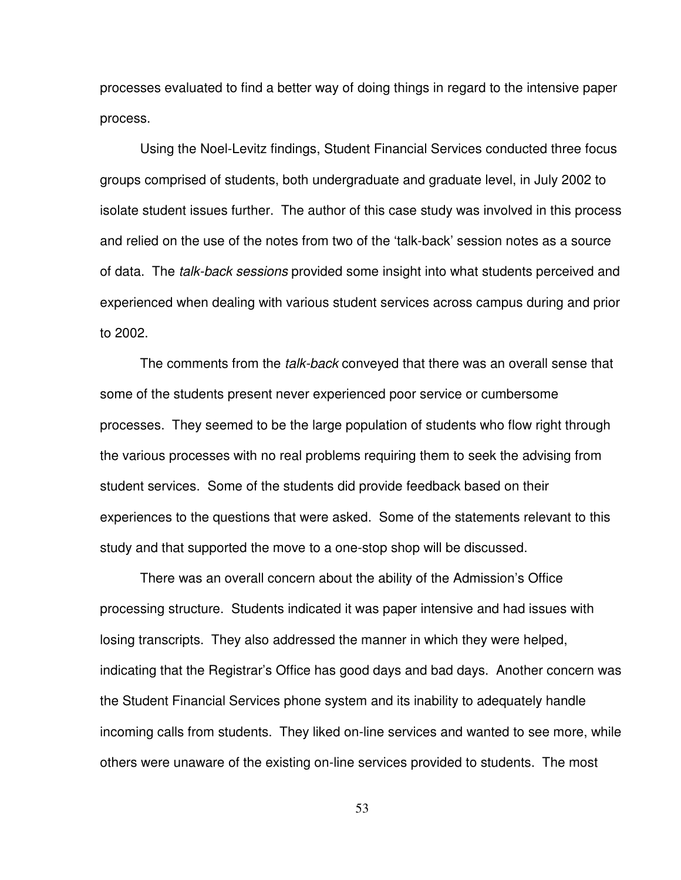processes evaluated to find a better way of doing things in regard to the intensive paper process.

Using the Noel-Levitz findings, Student Financial Services conducted three focus groups comprised of students, both undergraduate and graduate level, in July 2002 to isolate student issues further. The author of this case study was involved in this process and relied on the use of the notes from two of the 'talk-back' session notes as a source of data. The talk-back sessions provided some insight into what students perceived and experienced when dealing with various student services across campus during and prior to 2002.

The comments from the *talk-back* conveyed that there was an overall sense that some of the students present never experienced poor service or cumbersome processes. They seemed to be the large population of students who flow right through the various processes with no real problems requiring them to seek the advising from student services. Some of the students did provide feedback based on their experiences to the questions that were asked. Some of the statements relevant to this study and that supported the move to a one-stop shop will be discussed.

 There was an overall concern about the ability of the Admission's Office processing structure. Students indicated it was paper intensive and had issues with losing transcripts. They also addressed the manner in which they were helped, indicating that the Registrar's Office has good days and bad days. Another concern was the Student Financial Services phone system and its inability to adequately handle incoming calls from students. They liked on-line services and wanted to see more, while others were unaware of the existing on-line services provided to students. The most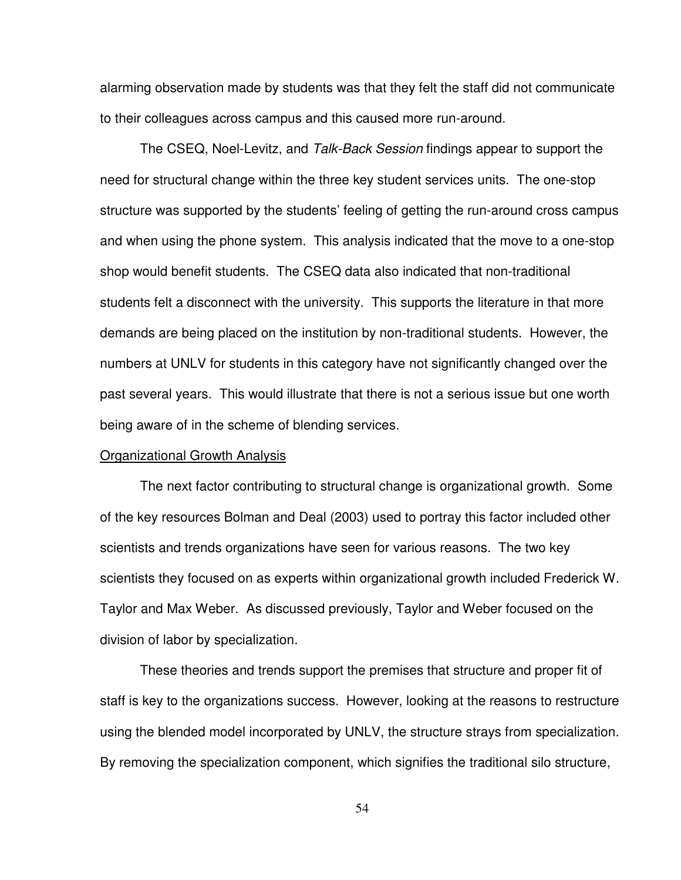alarming observation made by students was that they felt the staff did not communicate to their colleagues across campus and this caused more run-around.

The CSEQ, Noel-Levitz, and Talk-Back Session findings appear to support the need for structural change within the three key student services units. The one-stop structure was supported by the students' feeling of getting the run-around cross campus and when using the phone system. This analysis indicated that the move to a one-stop shop would benefit students. The CSEQ data also indicated that non-traditional students felt a disconnect with the university. This supports the literature in that more demands are being placed on the institution by non-traditional students. However, the numbers at UNLV for students in this category have not significantly changed over the past several years. This would illustrate that there is not a serious issue but one worth being aware of in the scheme of blending services.

#### Organizational Growth Analysis

 The next factor contributing to structural change is organizational growth. Some of the key resources Bolman and Deal (2003) used to portray this factor included other scientists and trends organizations have seen for various reasons. The two key scientists they focused on as experts within organizational growth included Frederick W. Taylor and Max Weber. As discussed previously, Taylor and Weber focused on the division of labor by specialization.

 These theories and trends support the premises that structure and proper fit of staff is key to the organizations success. However, looking at the reasons to restructure using the blended model incorporated by UNLV, the structure strays from specialization. By removing the specialization component, which signifies the traditional silo structure,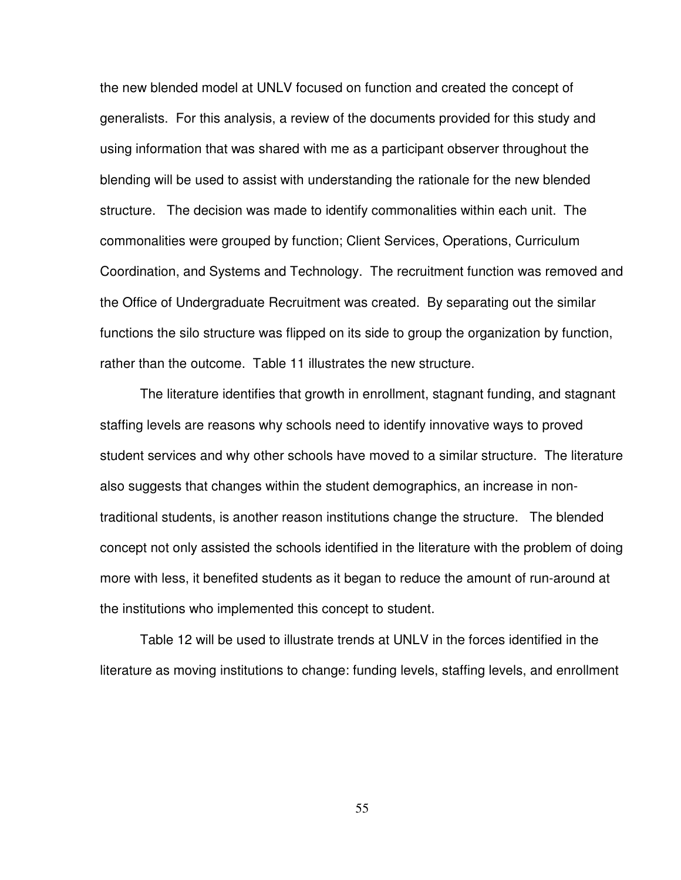the new blended model at UNLV focused on function and created the concept of generalists. For this analysis, a review of the documents provided for this study and using information that was shared with me as a participant observer throughout the blending will be used to assist with understanding the rationale for the new blended structure. The decision was made to identify commonalities within each unit. The commonalities were grouped by function; Client Services, Operations, Curriculum Coordination, and Systems and Technology. The recruitment function was removed and the Office of Undergraduate Recruitment was created. By separating out the similar functions the silo structure was flipped on its side to group the organization by function, rather than the outcome. Table 11 illustrates the new structure.

 The literature identifies that growth in enrollment, stagnant funding, and stagnant staffing levels are reasons why schools need to identify innovative ways to proved student services and why other schools have moved to a similar structure. The literature also suggests that changes within the student demographics, an increase in nontraditional students, is another reason institutions change the structure. The blended concept not only assisted the schools identified in the literature with the problem of doing more with less, it benefited students as it began to reduce the amount of run-around at the institutions who implemented this concept to student.

 Table 12 will be used to illustrate trends at UNLV in the forces identified in the literature as moving institutions to change: funding levels, staffing levels, and enrollment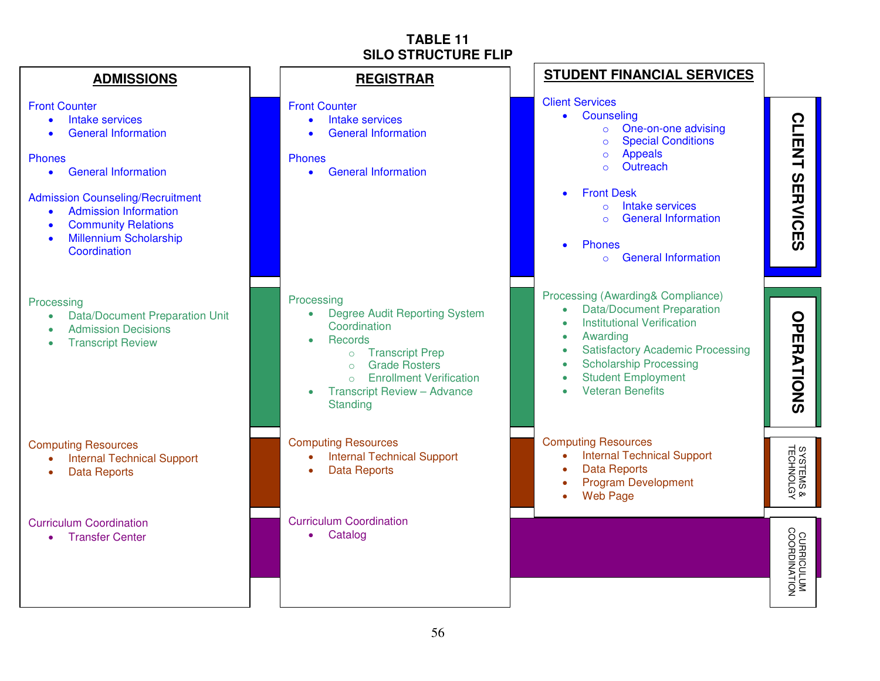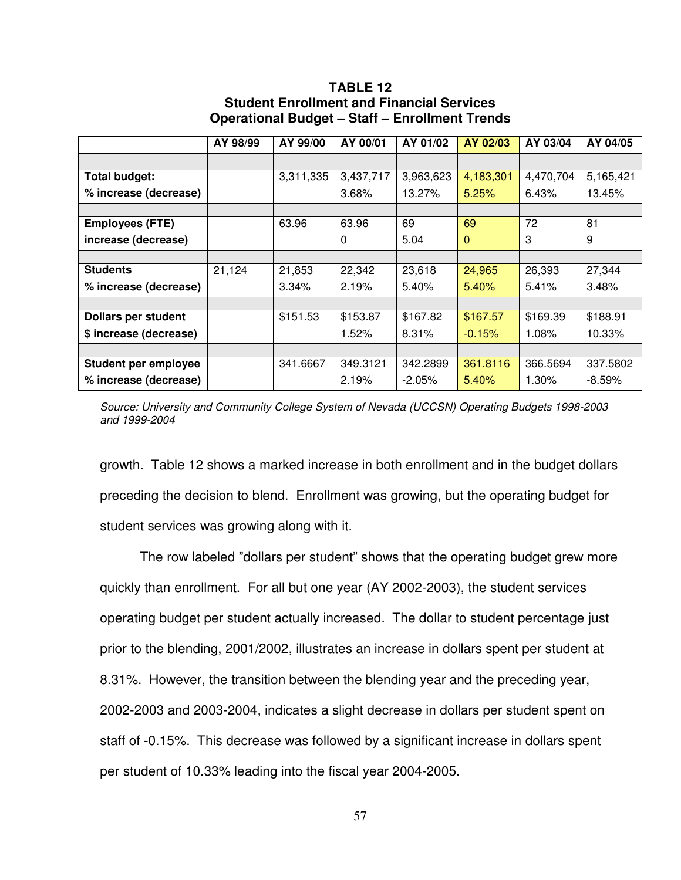#### **TABLE 12 Student Enrollment and Financial Services Operational Budget – Staff – Enrollment Trends**

|                            | AY 98/99 | AY 99/00  | AY 00/01  | AY 01/02  | AY 02/03     | AY 03/04  | AY 04/05  |
|----------------------------|----------|-----------|-----------|-----------|--------------|-----------|-----------|
|                            |          |           |           |           |              |           |           |
| <b>Total budget:</b>       |          | 3,311,335 | 3,437,717 | 3,963,623 | 4,183,301    | 4,470,704 | 5,165,421 |
| % increase (decrease)      |          |           | 3.68%     | 13.27%    | 5.25%        | 6.43%     | 13.45%    |
|                            |          |           |           |           |              |           |           |
| <b>Employees (FTE)</b>     |          | 63.96     | 63.96     | 69        | 69           | 72        | 81        |
| increase (decrease)        |          |           | $\Omega$  | 5.04      | $\mathbf{0}$ | 3         | 9         |
|                            |          |           |           |           |              |           |           |
| <b>Students</b>            | 21,124   | 21,853    | 22,342    | 23,618    | 24,965       | 26,393    | 27,344    |
| % increase (decrease)      |          | 3.34%     | 2.19%     | 5.40%     | 5.40%        | 5.41%     | 3.48%     |
|                            |          |           |           |           |              |           |           |
| <b>Dollars per student</b> |          | \$151.53  | \$153.87  | \$167.82  | \$167.57     | \$169.39  | \$188.91  |
| \$ increase (decrease)     |          |           | 1.52%     | 8.31%     | $-0.15%$     | 1.08%     | 10.33%    |
|                            |          |           |           |           |              |           |           |
| Student per employee       |          | 341.6667  | 349.3121  | 342.2899  | 361.8116     | 366.5694  | 337.5802  |
| % increase (decrease)      |          |           | 2.19%     | $-2.05%$  | 5.40%        | 1.30%     | $-8.59\%$ |

Source: University and Community College System of Nevada (UCCSN) Operating Budgets 1998-2003 and 1999-2004

growth. Table 12 shows a marked increase in both enrollment and in the budget dollars preceding the decision to blend. Enrollment was growing, but the operating budget for student services was growing along with it.

 The row labeled "dollars per student" shows that the operating budget grew more quickly than enrollment. For all but one year (AY 2002-2003), the student services operating budget per student actually increased. The dollar to student percentage just prior to the blending, 2001/2002, illustrates an increase in dollars spent per student at 8.31%. However, the transition between the blending year and the preceding year, 2002-2003 and 2003-2004, indicates a slight decrease in dollars per student spent on staff of -0.15%. This decrease was followed by a significant increase in dollars spent per student of 10.33% leading into the fiscal year 2004-2005.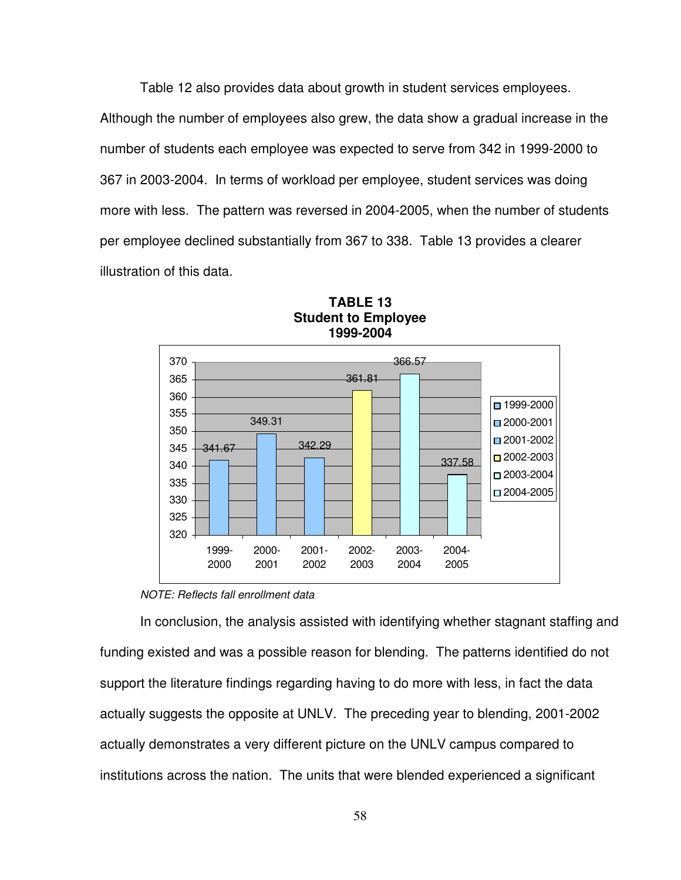Table 12 also provides data about growth in student services employees. Although the number of employees also grew, the data show a gradual increase in the number of students each employee was expected to serve from 342 in 1999-2000 to 367 in 2003-2004. In terms of workload per employee, student services was doing more with less. The pattern was reversed in 2004-2005, when the number of students per employee declined substantially from 367 to 338. Table 13 provides a clearer illustration of this data.



#### **TABLE 13 Student to Employee 1999-2004**

#### NOTE: Reflects fall enrollment data

 In conclusion, the analysis assisted with identifying whether stagnant staffing and funding existed and was a possible reason for blending. The patterns identified do not support the literature findings regarding having to do more with less, in fact the data actually suggests the opposite at UNLV. The preceding year to blending, 2001-2002 actually demonstrates a very different picture on the UNLV campus compared to institutions across the nation. The units that were blended experienced a significant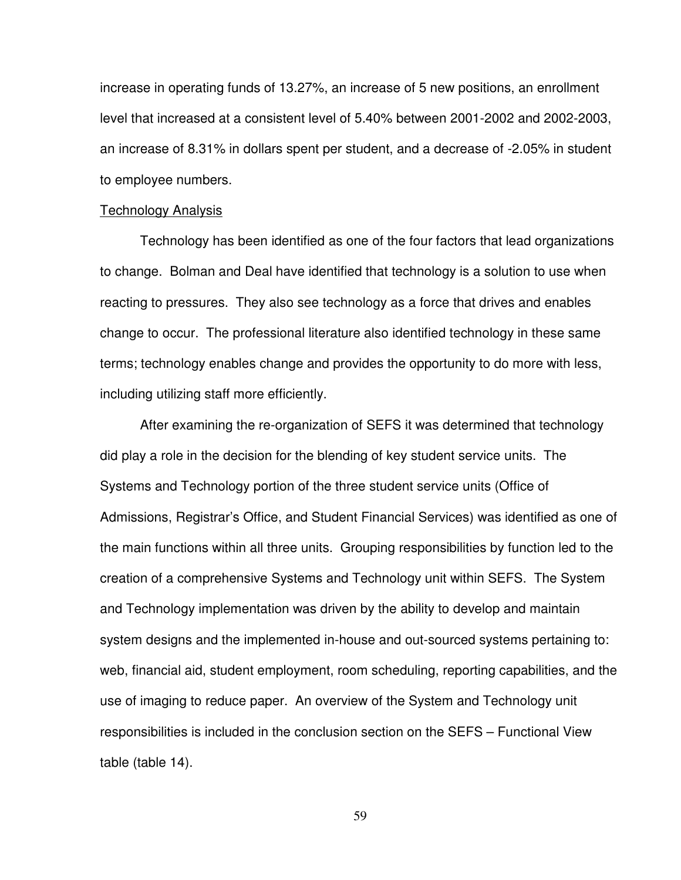increase in operating funds of 13.27%, an increase of 5 new positions, an enrollment level that increased at a consistent level of 5.40% between 2001-2002 and 2002-2003, an increase of 8.31% in dollars spent per student, and a decrease of -2.05% in student to employee numbers.

#### Technology Analysis

 Technology has been identified as one of the four factors that lead organizations to change. Bolman and Deal have identified that technology is a solution to use when reacting to pressures. They also see technology as a force that drives and enables change to occur. The professional literature also identified technology in these same terms; technology enables change and provides the opportunity to do more with less, including utilizing staff more efficiently.

 After examining the re-organization of SEFS it was determined that technology did play a role in the decision for the blending of key student service units. The Systems and Technology portion of the three student service units (Office of Admissions, Registrar's Office, and Student Financial Services) was identified as one of the main functions within all three units. Grouping responsibilities by function led to the creation of a comprehensive Systems and Technology unit within SEFS. The System and Technology implementation was driven by the ability to develop and maintain system designs and the implemented in-house and out-sourced systems pertaining to: web, financial aid, student employment, room scheduling, reporting capabilities, and the use of imaging to reduce paper. An overview of the System and Technology unit responsibilities is included in the conclusion section on the SEFS – Functional View table (table 14).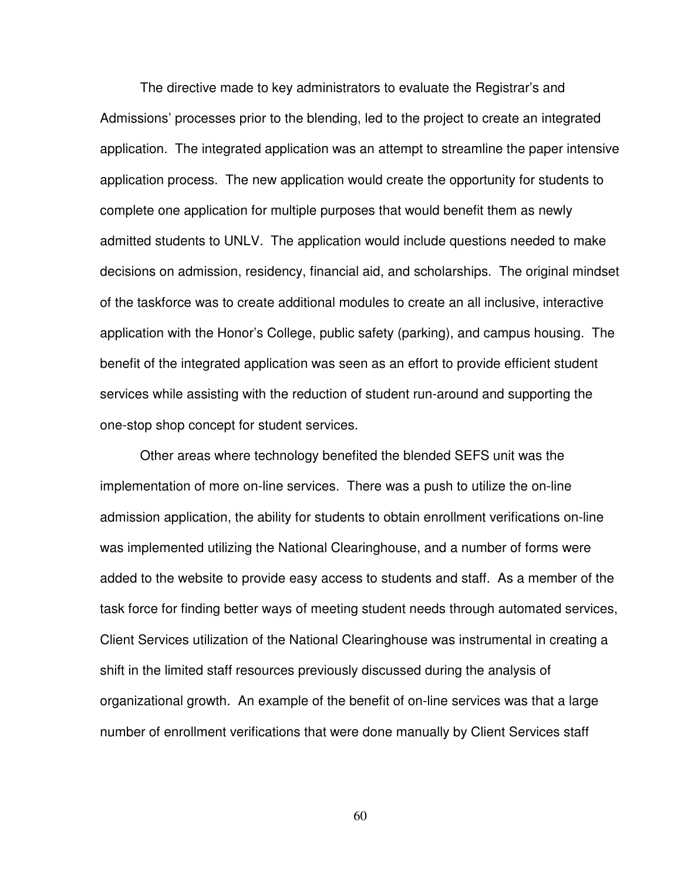The directive made to key administrators to evaluate the Registrar's and Admissions' processes prior to the blending, led to the project to create an integrated application. The integrated application was an attempt to streamline the paper intensive application process. The new application would create the opportunity for students to complete one application for multiple purposes that would benefit them as newly admitted students to UNLV. The application would include questions needed to make decisions on admission, residency, financial aid, and scholarships. The original mindset of the taskforce was to create additional modules to create an all inclusive, interactive application with the Honor's College, public safety (parking), and campus housing. The benefit of the integrated application was seen as an effort to provide efficient student services while assisting with the reduction of student run-around and supporting the one-stop shop concept for student services.

 Other areas where technology benefited the blended SEFS unit was the implementation of more on-line services. There was a push to utilize the on-line admission application, the ability for students to obtain enrollment verifications on-line was implemented utilizing the National Clearinghouse, and a number of forms were added to the website to provide easy access to students and staff. As a member of the task force for finding better ways of meeting student needs through automated services, Client Services utilization of the National Clearinghouse was instrumental in creating a shift in the limited staff resources previously discussed during the analysis of organizational growth. An example of the benefit of on-line services was that a large number of enrollment verifications that were done manually by Client Services staff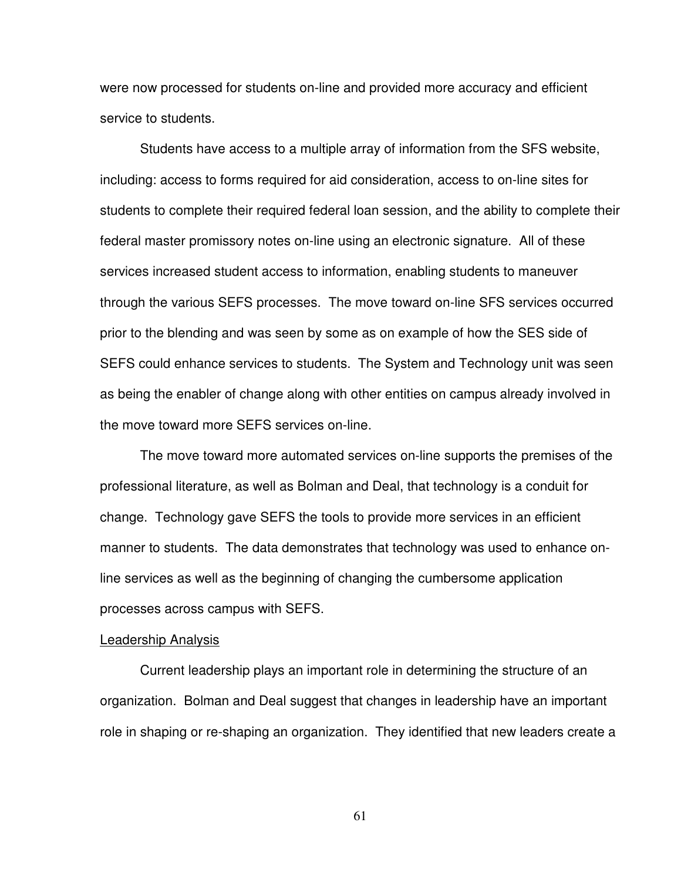were now processed for students on-line and provided more accuracy and efficient service to students.

 Students have access to a multiple array of information from the SFS website, including: access to forms required for aid consideration, access to on-line sites for students to complete their required federal loan session, and the ability to complete their federal master promissory notes on-line using an electronic signature. All of these services increased student access to information, enabling students to maneuver through the various SEFS processes. The move toward on-line SFS services occurred prior to the blending and was seen by some as on example of how the SES side of SEFS could enhance services to students. The System and Technology unit was seen as being the enabler of change along with other entities on campus already involved in the move toward more SEFS services on-line.

 The move toward more automated services on-line supports the premises of the professional literature, as well as Bolman and Deal, that technology is a conduit for change. Technology gave SEFS the tools to provide more services in an efficient manner to students. The data demonstrates that technology was used to enhance online services as well as the beginning of changing the cumbersome application processes across campus with SEFS.

#### Leadership Analysis

 Current leadership plays an important role in determining the structure of an organization. Bolman and Deal suggest that changes in leadership have an important role in shaping or re-shaping an organization. They identified that new leaders create a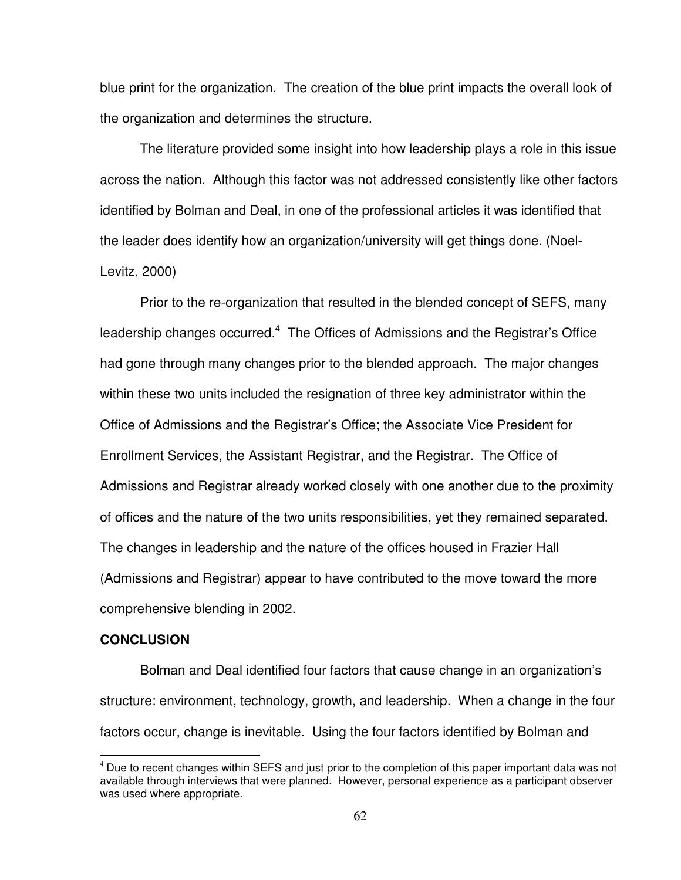blue print for the organization. The creation of the blue print impacts the overall look of the organization and determines the structure.

 The literature provided some insight into how leadership plays a role in this issue across the nation. Although this factor was not addressed consistently like other factors identified by Bolman and Deal, in one of the professional articles it was identified that the leader does identify how an organization/university will get things done. (Noel-Levitz, 2000)

 Prior to the re-organization that resulted in the blended concept of SEFS, many leadership changes occurred.<sup>4</sup> The Offices of Admissions and the Registrar's Office had gone through many changes prior to the blended approach. The major changes within these two units included the resignation of three key administrator within the Office of Admissions and the Registrar's Office; the Associate Vice President for Enrollment Services, the Assistant Registrar, and the Registrar. The Office of Admissions and Registrar already worked closely with one another due to the proximity of offices and the nature of the two units responsibilities, yet they remained separated. The changes in leadership and the nature of the offices housed in Frazier Hall (Admissions and Registrar) appear to have contributed to the move toward the more comprehensive blending in 2002.

#### **CONCLUSION**

 $\overline{a}$ 

 Bolman and Deal identified four factors that cause change in an organization's structure: environment, technology, growth, and leadership. When a change in the four factors occur, change is inevitable. Using the four factors identified by Bolman and

<sup>&</sup>lt;sup>4</sup> Due to recent changes within SEFS and just prior to the completion of this paper important data was not available through interviews that were planned. However, personal experience as a participant observer was used where appropriate.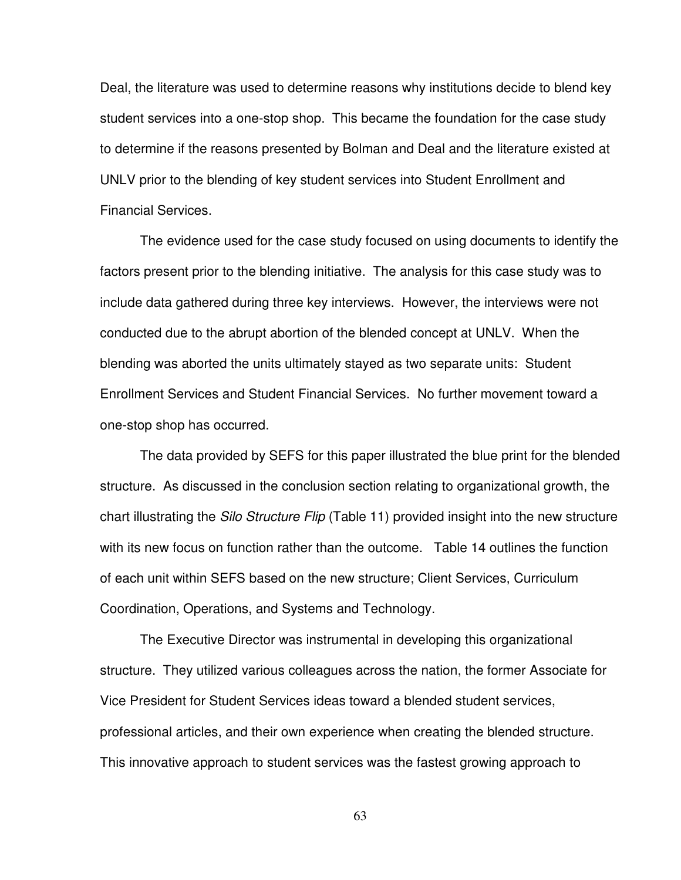Deal, the literature was used to determine reasons why institutions decide to blend key student services into a one-stop shop. This became the foundation for the case study to determine if the reasons presented by Bolman and Deal and the literature existed at UNLV prior to the blending of key student services into Student Enrollment and Financial Services.

 The evidence used for the case study focused on using documents to identify the factors present prior to the blending initiative. The analysis for this case study was to include data gathered during three key interviews. However, the interviews were not conducted due to the abrupt abortion of the blended concept at UNLV. When the blending was aborted the units ultimately stayed as two separate units: Student Enrollment Services and Student Financial Services. No further movement toward a one-stop shop has occurred.

 The data provided by SEFS for this paper illustrated the blue print for the blended structure. As discussed in the conclusion section relating to organizational growth, the chart illustrating the Silo Structure Flip (Table 11) provided insight into the new structure with its new focus on function rather than the outcome. Table 14 outlines the function of each unit within SEFS based on the new structure; Client Services, Curriculum Coordination, Operations, and Systems and Technology.

 The Executive Director was instrumental in developing this organizational structure. They utilized various colleagues across the nation, the former Associate for Vice President for Student Services ideas toward a blended student services, professional articles, and their own experience when creating the blended structure. This innovative approach to student services was the fastest growing approach to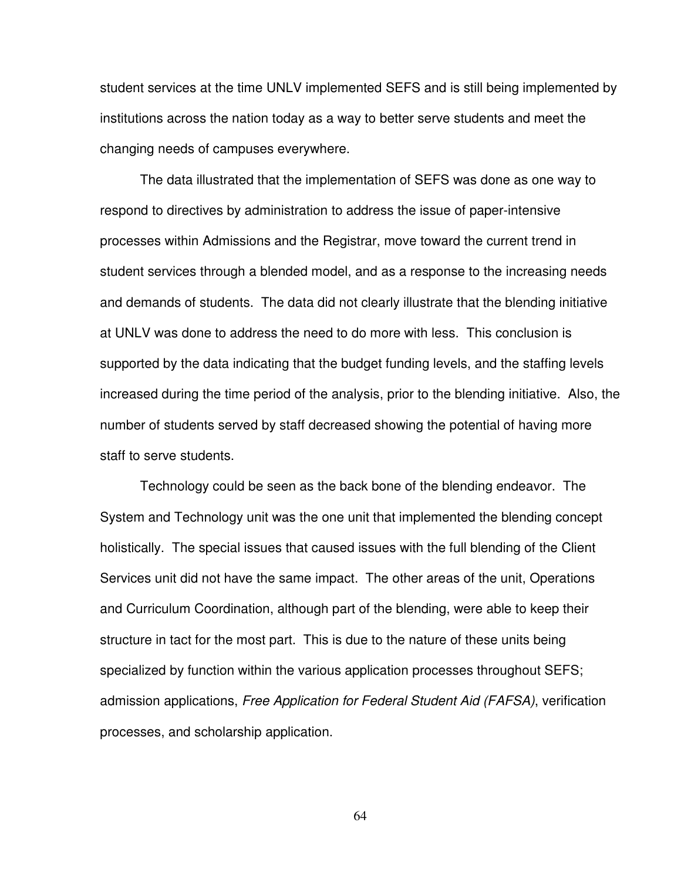student services at the time UNLV implemented SEFS and is still being implemented by institutions across the nation today as a way to better serve students and meet the changing needs of campuses everywhere.

 The data illustrated that the implementation of SEFS was done as one way to respond to directives by administration to address the issue of paper-intensive processes within Admissions and the Registrar, move toward the current trend in student services through a blended model, and as a response to the increasing needs and demands of students. The data did not clearly illustrate that the blending initiative at UNLV was done to address the need to do more with less. This conclusion is supported by the data indicating that the budget funding levels, and the staffing levels increased during the time period of the analysis, prior to the blending initiative. Also, the number of students served by staff decreased showing the potential of having more staff to serve students.

 Technology could be seen as the back bone of the blending endeavor. The System and Technology unit was the one unit that implemented the blending concept holistically. The special issues that caused issues with the full blending of the Client Services unit did not have the same impact. The other areas of the unit, Operations and Curriculum Coordination, although part of the blending, were able to keep their structure in tact for the most part. This is due to the nature of these units being specialized by function within the various application processes throughout SEFS; admission applications, Free Application for Federal Student Aid (FAFSA), verification processes, and scholarship application.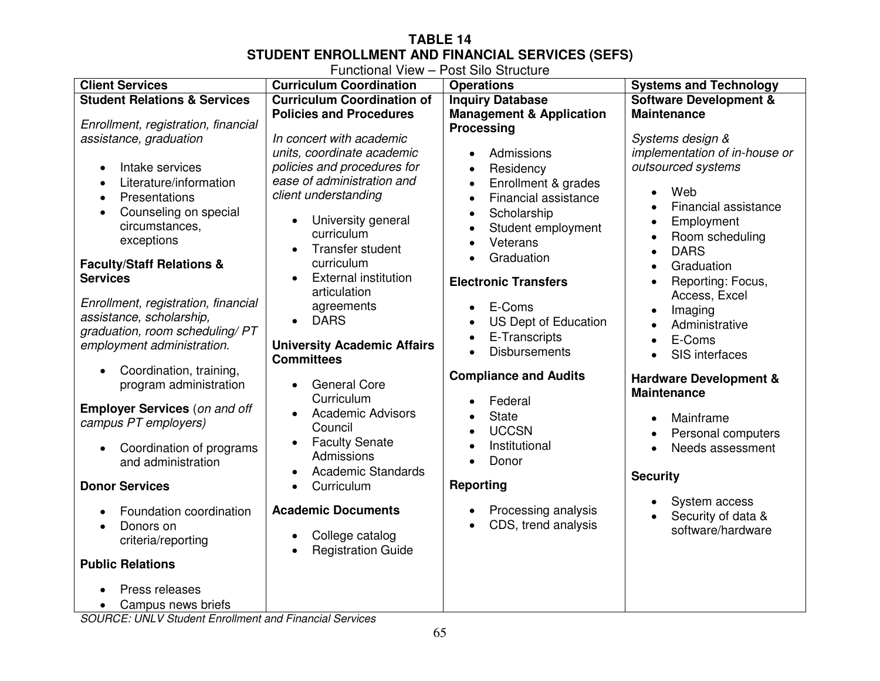# **TABLE 14 STUDENT ENROLLMENT AND FINANCIAL SERVICES (SEFS)**  Functional View – Post Silo Structure

| <b>Client Services</b>                                                                                                                                                                                                                                                                                                                                                                                                                                                                                                                                                                            | <b>Curriculum Coordination</b>                                                                                                                                                                                                                                                                                                                                                                                                                                                                                                                                                                           | <b>Operations</b>                                                                                                                                                                                                                                                                                                                                                                                                                                                                                                                                                                                             | <b>Systems and Technology</b>                                                                                                                                                                                                                                                                                                                                                                                                         |
|---------------------------------------------------------------------------------------------------------------------------------------------------------------------------------------------------------------------------------------------------------------------------------------------------------------------------------------------------------------------------------------------------------------------------------------------------------------------------------------------------------------------------------------------------------------------------------------------------|----------------------------------------------------------------------------------------------------------------------------------------------------------------------------------------------------------------------------------------------------------------------------------------------------------------------------------------------------------------------------------------------------------------------------------------------------------------------------------------------------------------------------------------------------------------------------------------------------------|---------------------------------------------------------------------------------------------------------------------------------------------------------------------------------------------------------------------------------------------------------------------------------------------------------------------------------------------------------------------------------------------------------------------------------------------------------------------------------------------------------------------------------------------------------------------------------------------------------------|---------------------------------------------------------------------------------------------------------------------------------------------------------------------------------------------------------------------------------------------------------------------------------------------------------------------------------------------------------------------------------------------------------------------------------------|
| <b>Student Relations &amp; Services</b>                                                                                                                                                                                                                                                                                                                                                                                                                                                                                                                                                           | <b>Curriculum Coordination of</b>                                                                                                                                                                                                                                                                                                                                                                                                                                                                                                                                                                        | <b>Inquiry Database</b>                                                                                                                                                                                                                                                                                                                                                                                                                                                                                                                                                                                       | <b>Software Development &amp;</b>                                                                                                                                                                                                                                                                                                                                                                                                     |
| Enrollment, registration, financial<br>assistance, graduation<br>Intake services<br>$\bullet$<br>Literature/information<br>Presentations<br>$\bullet$<br>Counseling on special<br>circumstances,<br>exceptions<br><b>Faculty/Staff Relations &amp;</b><br><b>Services</b><br>Enrollment, registration, financial<br>assistance, scholarship,<br>graduation, room scheduling/ PT<br>employment administration.<br>Coordination, training,<br>$\bullet$<br>program administration<br><b>Employer Services (on and off</b><br>campus PT employers)<br>Coordination of programs<br>and administration | <b>Policies and Procedures</b><br>In concert with academic<br>units, coordinate academic<br>policies and procedures for<br>ease of administration and<br>client understanding<br>University general<br>$\bullet$<br>curriculum<br>Transfer student<br>$\bullet$<br>curriculum<br><b>External institution</b><br>$\bullet$<br>articulation<br>agreements<br><b>DARS</b><br>$\bullet$<br><b>University Academic Affairs</b><br><b>Committees</b><br><b>General Core</b><br>$\bullet$<br>Curriculum<br><b>Academic Advisors</b><br>$\bullet$<br>Council<br><b>Faculty Senate</b><br>$\bullet$<br>Admissions | <b>Management &amp; Application</b><br><b>Processing</b><br>Admissions<br>$\bullet$<br>Residency<br>$\bullet$<br>Enrollment & grades<br>$\bullet$<br>Financial assistance<br>$\bullet$<br>Scholarship<br>$\bullet$<br>Student employment<br>$\bullet$<br>Veterans<br>$\bullet$<br>Graduation<br><b>Electronic Transfers</b><br>E-Coms<br>$\bullet$<br><b>US Dept of Education</b><br>$\bullet$<br>E-Transcripts<br>$\bullet$<br><b>Disbursements</b><br>$\bullet$<br><b>Compliance and Audits</b><br>Federal<br>$\bullet$<br><b>State</b><br>$\bullet$<br><b>UCCSN</b><br>$\bullet$<br>Institutional<br>Donor | <b>Maintenance</b><br>Systems design &<br>implementation of in-house or<br>outsourced systems<br>Web<br>Financial assistance<br>Employment<br>Room scheduling<br><b>DARS</b><br>Graduation<br>Reporting: Focus,<br>Access, Excel<br>Imaging<br>Administrative<br>E-Coms<br>$\bullet$<br>SIS interfaces<br>$\bullet$<br><b>Hardware Development &amp;</b><br><b>Maintenance</b><br>Mainframe<br>Personal computers<br>Needs assessment |
|                                                                                                                                                                                                                                                                                                                                                                                                                                                                                                                                                                                                   | <b>Academic Standards</b><br>$\bullet$                                                                                                                                                                                                                                                                                                                                                                                                                                                                                                                                                                   |                                                                                                                                                                                                                                                                                                                                                                                                                                                                                                                                                                                                               |                                                                                                                                                                                                                                                                                                                                                                                                                                       |
| <b>Donor Services</b>                                                                                                                                                                                                                                                                                                                                                                                                                                                                                                                                                                             | Curriculum<br>$\bullet$                                                                                                                                                                                                                                                                                                                                                                                                                                                                                                                                                                                  | <b>Reporting</b>                                                                                                                                                                                                                                                                                                                                                                                                                                                                                                                                                                                              | <b>Security</b>                                                                                                                                                                                                                                                                                                                                                                                                                       |
| Foundation coordination<br>Donors on<br>criteria/reporting<br><b>Public Relations</b><br>Press releases                                                                                                                                                                                                                                                                                                                                                                                                                                                                                           | <b>Academic Documents</b><br>College catalog<br>$\bullet$<br><b>Registration Guide</b><br>$\bullet$                                                                                                                                                                                                                                                                                                                                                                                                                                                                                                      | Processing analysis<br>$\bullet$<br>CDS, trend analysis<br>$\bullet$                                                                                                                                                                                                                                                                                                                                                                                                                                                                                                                                          | System access<br>Security of data &<br>software/hardware                                                                                                                                                                                                                                                                                                                                                                              |
| Campus news briefs<br>COUDCE: UNILLY Ctudent Enrolment and Einenejal Cenvices                                                                                                                                                                                                                                                                                                                                                                                                                                                                                                                     |                                                                                                                                                                                                                                                                                                                                                                                                                                                                                                                                                                                                          |                                                                                                                                                                                                                                                                                                                                                                                                                                                                                                                                                                                                               |                                                                                                                                                                                                                                                                                                                                                                                                                                       |

SOURCE: UNLV Student Enrollment and Financial Services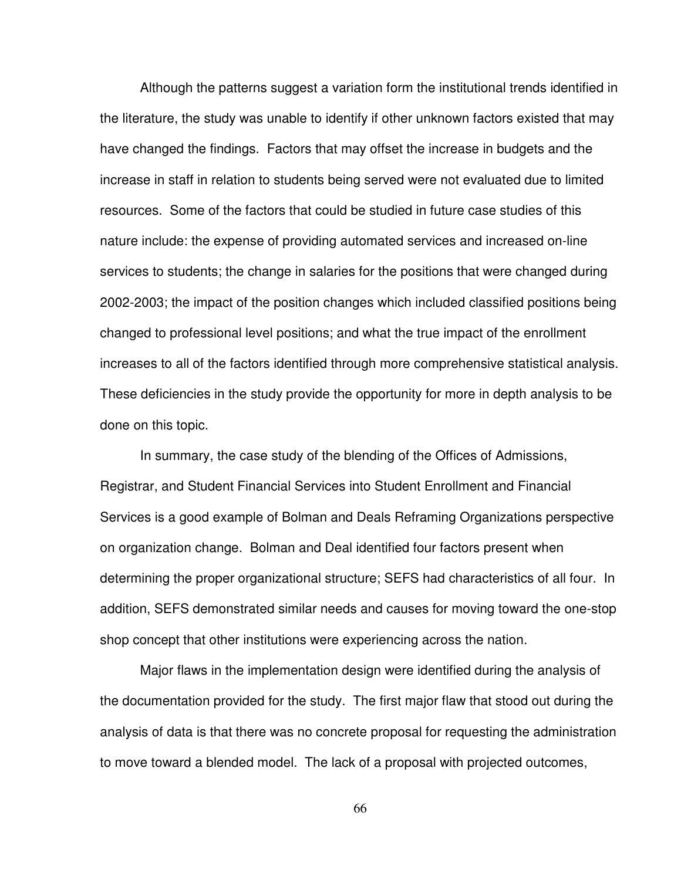Although the patterns suggest a variation form the institutional trends identified in the literature, the study was unable to identify if other unknown factors existed that may have changed the findings. Factors that may offset the increase in budgets and the increase in staff in relation to students being served were not evaluated due to limited resources. Some of the factors that could be studied in future case studies of this nature include: the expense of providing automated services and increased on-line services to students; the change in salaries for the positions that were changed during 2002-2003; the impact of the position changes which included classified positions being changed to professional level positions; and what the true impact of the enrollment increases to all of the factors identified through more comprehensive statistical analysis. These deficiencies in the study provide the opportunity for more in depth analysis to be done on this topic.

 In summary, the case study of the blending of the Offices of Admissions, Registrar, and Student Financial Services into Student Enrollment and Financial Services is a good example of Bolman and Deals Reframing Organizations perspective on organization change. Bolman and Deal identified four factors present when determining the proper organizational structure; SEFS had characteristics of all four. In addition, SEFS demonstrated similar needs and causes for moving toward the one-stop shop concept that other institutions were experiencing across the nation.

 Major flaws in the implementation design were identified during the analysis of the documentation provided for the study. The first major flaw that stood out during the analysis of data is that there was no concrete proposal for requesting the administration to move toward a blended model. The lack of a proposal with projected outcomes,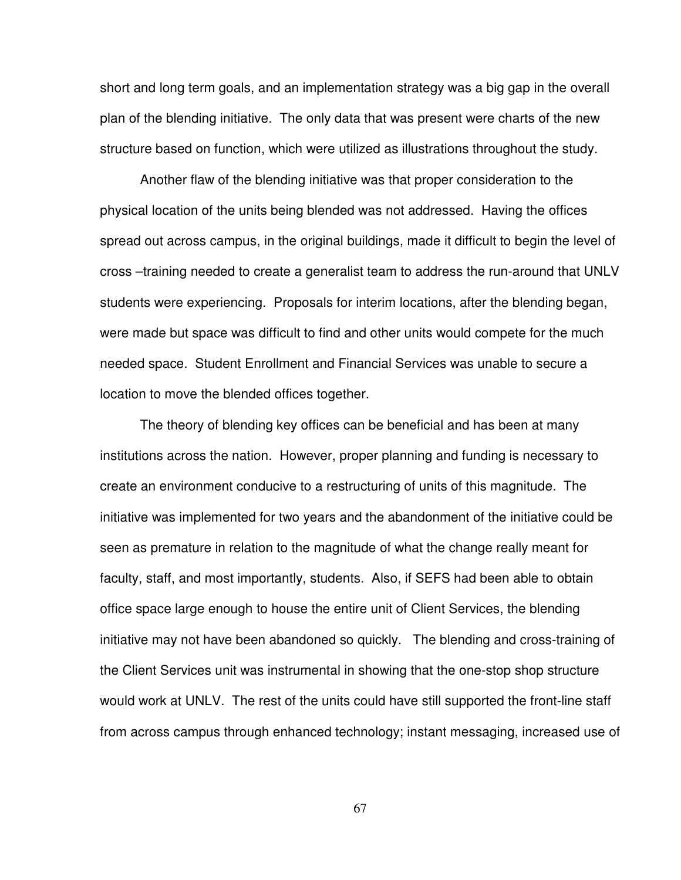short and long term goals, and an implementation strategy was a big gap in the overall plan of the blending initiative. The only data that was present were charts of the new structure based on function, which were utilized as illustrations throughout the study.

 Another flaw of the blending initiative was that proper consideration to the physical location of the units being blended was not addressed. Having the offices spread out across campus, in the original buildings, made it difficult to begin the level of cross –training needed to create a generalist team to address the run-around that UNLV students were experiencing. Proposals for interim locations, after the blending began, were made but space was difficult to find and other units would compete for the much needed space. Student Enrollment and Financial Services was unable to secure a location to move the blended offices together.

 The theory of blending key offices can be beneficial and has been at many institutions across the nation. However, proper planning and funding is necessary to create an environment conducive to a restructuring of units of this magnitude. The initiative was implemented for two years and the abandonment of the initiative could be seen as premature in relation to the magnitude of what the change really meant for faculty, staff, and most importantly, students. Also, if SEFS had been able to obtain office space large enough to house the entire unit of Client Services, the blending initiative may not have been abandoned so quickly. The blending and cross-training of the Client Services unit was instrumental in showing that the one-stop shop structure would work at UNLV. The rest of the units could have still supported the front-line staff from across campus through enhanced technology; instant messaging, increased use of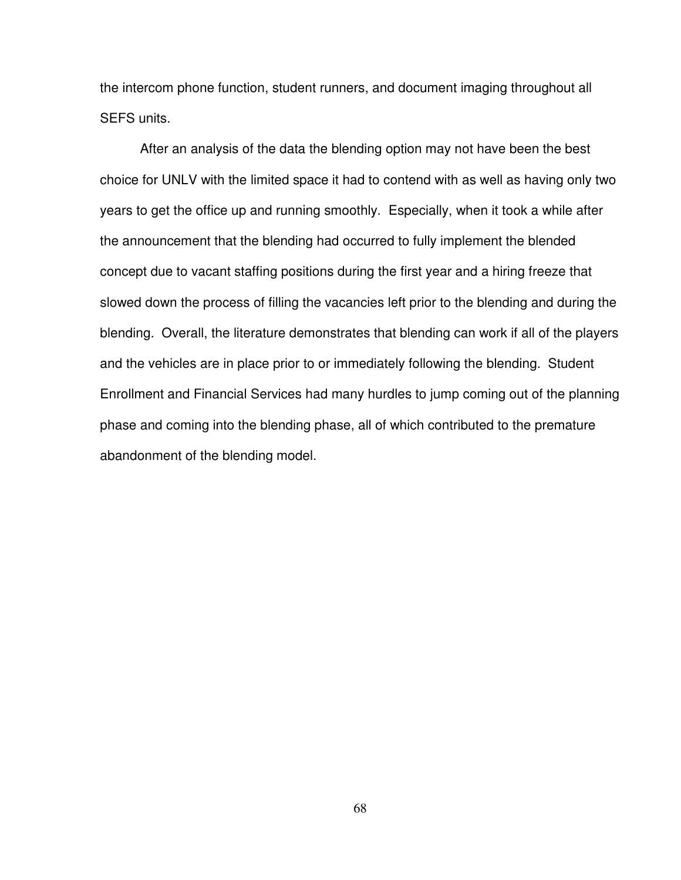the intercom phone function, student runners, and document imaging throughout all SEFS units.

 After an analysis of the data the blending option may not have been the best choice for UNLV with the limited space it had to contend with as well as having only two years to get the office up and running smoothly. Especially, when it took a while after the announcement that the blending had occurred to fully implement the blended concept due to vacant staffing positions during the first year and a hiring freeze that slowed down the process of filling the vacancies left prior to the blending and during the blending. Overall, the literature demonstrates that blending can work if all of the players and the vehicles are in place prior to or immediately following the blending. Student Enrollment and Financial Services had many hurdles to jump coming out of the planning phase and coming into the blending phase, all of which contributed to the premature abandonment of the blending model.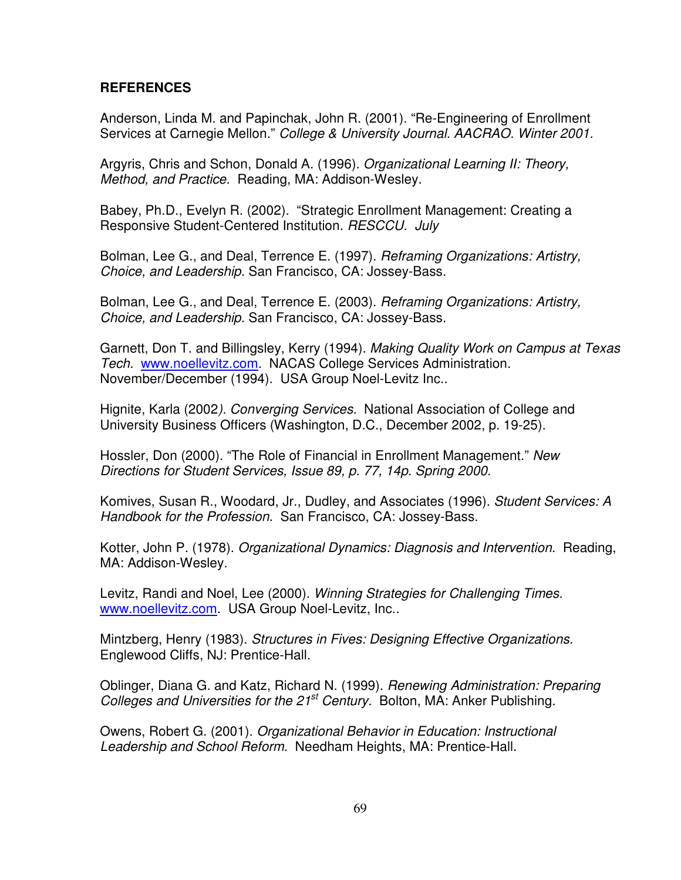## **REFERENCES**

Anderson, Linda M. and Papinchak, John R. (2001). "Re-Engineering of Enrollment Services at Carnegie Mellon." College & University Journal. AACRAO. Winter 2001.

Argyris, Chris and Schon, Donald A. (1996). Organizational Learning II: Theory, Method, and Practice. Reading, MA: Addison-Wesley.

Babey, Ph.D., Evelyn R. (2002). "Strategic Enrollment Management: Creating a Responsive Student-Centered Institution. RESCCU. July

Bolman, Lee G., and Deal, Terrence E. (1997). Reframing Organizations: Artistry, Choice, and Leadership. San Francisco, CA: Jossey-Bass.

Bolman, Lee G., and Deal, Terrence E. (2003). Reframing Organizations: Artistry, Choice, and Leadership. San Francisco, CA: Jossey-Bass.

Garnett, Don T. and Billingsley, Kerry (1994). Making Quality Work on Campus at Texas Tech. www.noellevitz.com. NACAS College Services Administration. November/December (1994). USA Group Noel-Levitz Inc..

Hignite, Karla (2002). Converging Services. National Association of College and University Business Officers (Washington, D.C., December 2002, p. 19-25).

Hossler, Don (2000). "The Role of Financial in Enrollment Management." New Directions for Student Services, Issue 89, p. 77, 14p. Spring 2000.

Komives, Susan R., Woodard, Jr., Dudley, and Associates (1996). Student Services: A Handbook for the Profession. San Francisco, CA: Jossey-Bass.

Kotter, John P. (1978). Organizational Dynamics: Diagnosis and Intervention. Reading, MA: Addison-Wesley.

Levitz, Randi and Noel, Lee (2000). Winning Strategies for Challenging Times. www.noellevitz.com. USA Group Noel-Levitz, Inc..

Mintzberg, Henry (1983). Structures in Fives: Designing Effective Organizations. Englewood Cliffs, NJ: Prentice-Hall.

Oblinger, Diana G. and Katz, Richard N. (1999). Renewing Administration: Preparing Colleges and Universities for the  $21^{st}$  Century. Bolton, MA: Anker Publishing.

Owens, Robert G. (2001). Organizational Behavior in Education: Instructional Leadership and School Reform. Needham Heights, MA: Prentice-Hall.